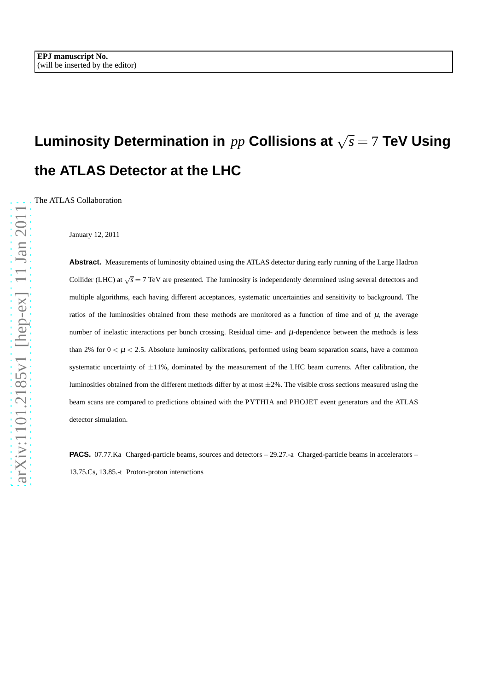# **Luminosity Determination in** *pp* **Collisions at** √ *s* = 7 **TeV Using the ATLAS Detector at the LHC**

The ATLAS Collaboration

January 12, 2011

**Abstract.** Measurements of luminosity obtained using the ATLAS detector during early running of the Large Hadron Collider (LHC) at  $\sqrt{s} = 7$  TeV are presented. The luminosity is independently determined using several detectors and multiple algorithms, each having different acceptances, systematic uncertainties and sensitivity to background. The ratios of the luminosities obtained from these methods are monitored as a function of time and of  $\mu$ , the average number of inelastic interactions per bunch crossing. Residual time- and  $\mu$ -dependence between the methods is less than 2% for  $0 < \mu < 2.5$ . Absolute luminosity calibrations, performed using beam separation scans, have a common systematic uncertainty of  $\pm 11\%$ , dominated by the measurement of the LHC beam currents. After calibration, the luminosities obtained from the different methods differ by at most  $\pm 2\%$ . The visible cross sections measured using the beam scans are compared to predictions obtained with the PYTHIA and PHOJET event generators and the ATLAS detector simulation.

PACS. 07.77.Ka Charged-particle beams, sources and detectors - 29.27.-a Charged-particle beams in accelerators -13.75.Cs, 13.85.-t Proton-proton interactions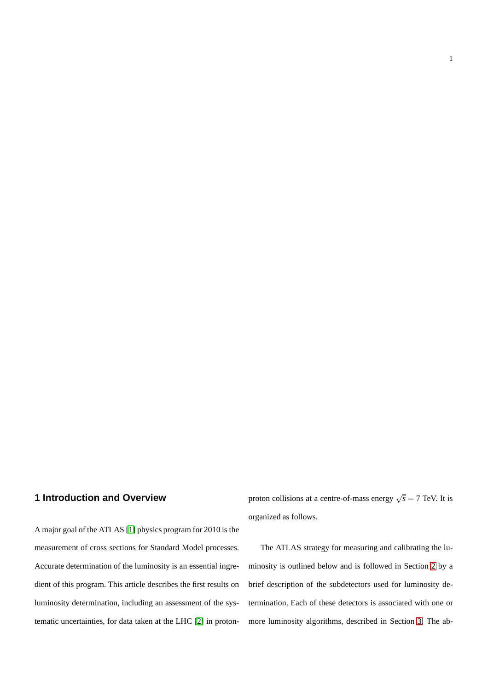## **1 Introduction and Overview**

A major goal of the ATLAS [\[1\]](#page-36-0) physics program for 2010 is the measurement of cross sections for Standard Model processes. Accurate determination of the luminosity is an essential ingredient of this program. This article describes the first results on luminosity determination, including an assessment of the systematic uncertainties, for data taken at the LHC [\[2\]](#page-36-1) in proton-

proton collisions at a centre-of-mass energy  $\sqrt{s} = 7$  TeV. It is organized as follows.

1

The ATLAS strategy for measuring and calibrating the luminosity is outlined below and is followed in Section [2](#page-4-0) by a brief description of the subdetectors used for luminosity determination. Each of these detectors is associated with one or more luminosity algorithms, described in Section [3.](#page-6-0) The ab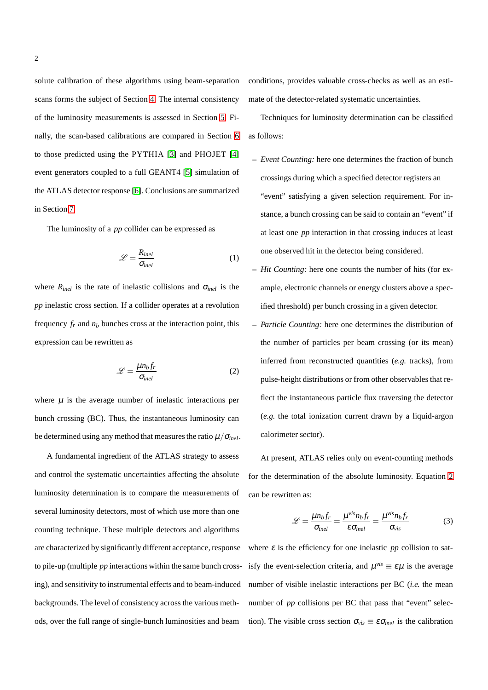solute calibration of these algorithms using beam-separation scans forms the subject of Section [4.](#page-15-0) The internal consistency of the luminosity measurements is assessed in Section [5.](#page-24-0) Finally, the scan-based calibrations are compared in Section [6](#page-25-0) to those predicted using the PYTHIA [\[3\]](#page-36-2) and PHOJET [\[4\]](#page-36-3) event generators coupled to a full GEANT4 [\[5\]](#page-36-4) simulation of the ATLAS detector response [\[6\]](#page-36-5). Conclusions are summarized in Section [7.](#page-27-0)

The luminosity of a *pp* collider can be expressed as

$$
\mathcal{L} = \frac{R_{inel}}{\sigma_{inel}} \tag{1}
$$

where  $R_{inel}$  is the rate of inelastic collisions and  $\sigma_{inel}$  is the *pp* inelastic cross section. If a collider operates at a revolution frequency  $f_r$  and  $n_b$  bunches cross at the interaction point, this expression can be rewritten as

<span id="page-2-0"></span>
$$
\mathcal{L} = \frac{\mu n_b f_r}{\sigma_{inel}} \tag{2}
$$

where  $\mu$  is the average number of inelastic interactions per bunch crossing (BC). Thus, the instantaneous luminosity can be determined using any method that measures the ratio  $\mu/\sigma_{inel}$ .

A fundamental ingredient of the ATLAS strategy to assess and control the systematic uncertainties affecting the absolute luminosity determination is to compare the measurements of several luminosity detectors, most of which use more than one counting technique. These multiple detectors and algorithms are characterized by significantly different acceptance, response to pile-up (multiple *pp* interactions within the same bunch crossing), and sensitivity to instrumental effects and to beam-induced backgrounds. The level of consistency across the various methods, over the full range of single-bunch luminosities and beam

conditions, provides valuable cross-checks as well as an estimate of the detector-related systematic uncertainties.

Techniques for luminosity determination can be classified as follows:

- **–** *Event Counting:* here one determines the fraction of bunch crossings during which a specified detector registers an "event" satisfying a given selection requirement. For instance, a bunch crossing can be said to contain an "event" if at least one *pp* interaction in that crossing induces at least one observed hit in the detector being considered.
- **–** *Hit Counting:* here one counts the number of hits (for example, electronic channels or energy clusters above a specified threshold) per bunch crossing in a given detector.
- **–** *Particle Counting:* here one determines the distribution of the number of particles per beam crossing (or its mean) inferred from reconstructed quantities (*e.g.* tracks), from pulse-height distributions or from other observables that reflect the instantaneous particle flux traversing the detector (*e.g.* the total ionization current drawn by a liquid-argon calorimeter sector).

At present, ATLAS relies only on event-counting methods for the determination of the absolute luminosity. Equation [2](#page-2-0) can be rewritten as:

<span id="page-2-1"></span>
$$
\mathcal{L} = \frac{\mu n_b f_r}{\sigma_{inel}} = \frac{\mu^{vis} n_b f_r}{\varepsilon \sigma_{inel}} = \frac{\mu^{vis} n_b f_r}{\sigma_{vis}}
$$
(3)

where  $\varepsilon$  is the efficiency for one inelastic *pp* collision to satisfy the event-selection criteria, and  $\mu^{vis} \equiv \varepsilon \mu$  is the average number of visible inelastic interactions per BC (*i.e.* the mean number of *pp* collisions per BC that pass that "event" selection). The visible cross section  $\sigma_{vis} \equiv \varepsilon \sigma_{inel}$  is the calibration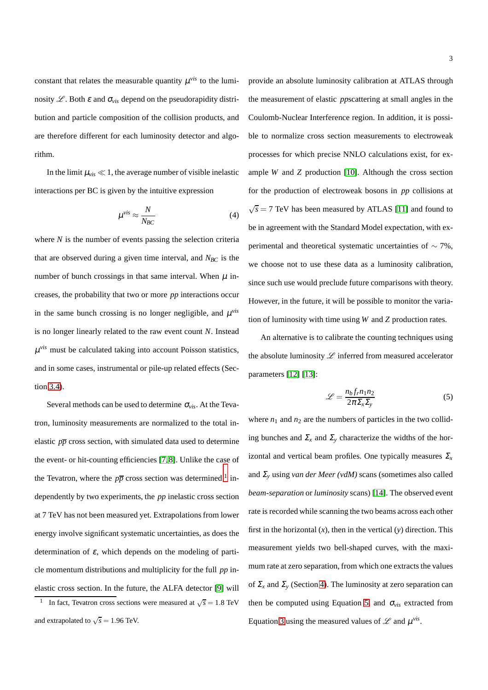constant that relates the measurable quantity  $\mu$ <sup>*vis*</sup> to the luminosity  $\mathscr{L}$ . Both  $\varepsilon$  and  $\sigma_{vis}$  depend on the pseudorapidity distribution and particle composition of the collision products, and are therefore different for each luminosity detector and algorithm.

In the limit  $\mu_{vis} \ll 1$ , the average number of visible inelastic interactions per BC is given by the intuitive expression

$$
\mu^{\text{vis}} \approx \frac{N}{N_{BC}} \tag{4}
$$

where *N* is the number of events passing the selection criteria that are observed during a given time interval, and  $N_{BC}$  is the number of bunch crossings in that same interval. When  $\mu$  increases, the probability that two or more *pp* interactions occur in the same bunch crossing is no longer negligible, and  $\mu$ <sup>vis</sup> is no longer linearly related to the raw event count *N*. Instead  $\mu$ <sup>vis</sup> must be calculated taking into account Poisson statistics, and in some cases, instrumental or pile-up related effects (Section [3.4\)](#page-13-0).

Several methods can be used to determine  $\sigma_{vis}$ . At the Tevatron, luminosity measurements are normalized to the total inelastic  $p\bar{p}$  cross section, with simulated data used to determine the event- or hit-counting efficiencies [\[7,](#page-36-6) [8\]](#page-36-7). Unlike the case of the Tevatron, where the  $p\overline{p}$  cross section was determined <sup>[1](#page-3-0)</sup> independently by two experiments, the *pp* inelastic cross section at 7 TeV has not been measured yet. Extrapolations from lower energy involve significant systematic uncertainties, as does the determination of  $\varepsilon$ , which depends on the modeling of particle momentum distributions and multiplicity for the full *pp* inelastic cross section. In the future, the ALFA detector [\[9\]](#page-36-8) will provide an absolute luminosity calibration at ATLAS through the measurement of elastic *pp*scattering at small angles in the Coulomb-Nuclear Interference region. In addition, it is possible to normalize cross section measurements to electroweak processes for which precise NNLO calculations exist, for example *W* and *Z* production [\[10\]](#page-36-9). Although the cross section for the production of electroweak bosons in *pp* collisions at  $\sqrt{s}$  = 7 TeV has been measured by ATLAS [\[11\]](#page-36-10) and found to be in agreement with the Standard Model expectation, with experimental and theoretical systematic uncertainties of ∼ 7%, we choose not to use these data as a luminosity calibration, since such use would preclude future comparisons with theory. However, in the future, it will be possible to monitor the variation of luminosity with time using *W* and *Z* production rates.

An alternative is to calibrate the counting techniques using the absolute luminosity  $\mathscr L$  inferred from measured accelerator parameters [\[12\]](#page-36-11) [\[13\]](#page-36-12):

<span id="page-3-1"></span>
$$
\mathcal{L} = \frac{n_b f_r n_1 n_2}{2\pi \Sigma_x \Sigma_y} \tag{5}
$$

where  $n_1$  and  $n_2$  are the numbers of particles in the two colliding bunches and  $\Sigma_x$  and  $\Sigma_y$  characterize the widths of the horizontal and vertical beam profiles. One typically measures  $\Sigma_x$ and <sup>Σ</sup>*<sup>y</sup>* using *van der Meer (vdM)* scans (sometimes also called *beam-separation* or *luminosity* scans) [\[14\]](#page-36-13). The observed event rate is recorded while scanning the two beams across each other first in the horizontal  $(x)$ , then in the vertical  $(y)$  direction. This measurement yields two bell-shaped curves, with the maximum rate at zero separation, from which one extracts the values of  $\Sigma_x$  and  $\Sigma_y$  (Section [4\)](#page-15-0). The luminosity at zero separation can then be computed using Equation [5,](#page-3-1) and  $\sigma_{vis}$  extracted from Equation [3](#page-2-1) using the measured values of  $\mathscr L$  and  $\mu^{\text{vis}}$ .

<span id="page-3-0"></span><sup>1</sup> In fact, Tevatron cross sections were measured at  $\sqrt{s} = 1.8$  TeV and extrapolated to  $\sqrt{s} = 1.96$  TeV.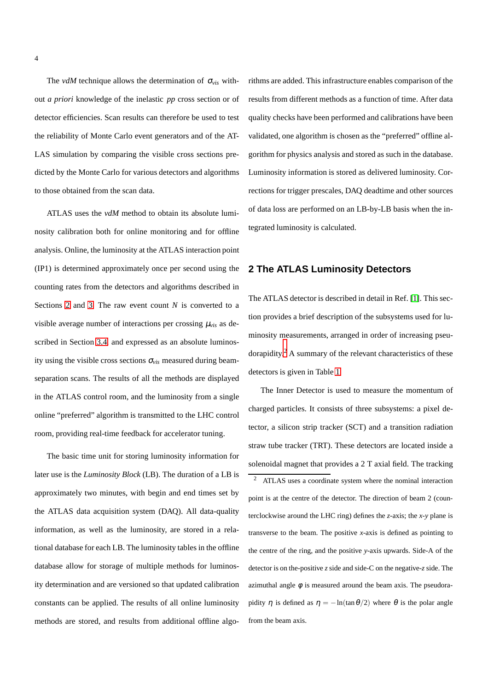The *vdM* technique allows the determination of  $\sigma_{vis}$  without *a priori* knowledge of the inelastic *pp* cross section or of detector efficiencies. Scan results can therefore be used to test the reliability of Monte Carlo event generators and of the AT-LAS simulation by comparing the visible cross sections predicted by the Monte Carlo for various detectors and algorithms to those obtained from the scan data.

ATLAS uses the *vdM* method to obtain its absolute luminosity calibration both for online monitoring and for offline analysis. Online, the luminosity at the ATLAS interaction point (IP1) is determined approximately once per second using the counting rates from the detectors and algorithms described in Sections [2](#page-4-0) and [3.](#page-6-0) The raw event count *N* is converted to a visible average number of interactions per crossing  $\mu_{vis}$  as described in Section [3.4,](#page-13-0) and expressed as an absolute luminosity using the visible cross sections <sup>σ</sup>*vis* measured during beamseparation scans. The results of all the methods are displayed in the ATLAS control room, and the luminosity from a single online "preferred" algorithm is transmitted to the LHC control room, providing real-time feedback for accelerator tuning.

The basic time unit for storing luminosity information for later use is the *Luminosity Block* (LB). The duration of a LB is approximately two minutes, with begin and end times set by the ATLAS data acquisition system (DAQ). All data-quality information, as well as the luminosity, are stored in a relational database for each LB. The luminosity tables in the offline database allow for storage of multiple methods for luminosity determination and are versioned so that updated calibration constants can be applied. The results of all online luminosity methods are stored, and results from additional offline algorithms are added. This infrastructure enables comparison of the results from different methods as a function of time. After data quality checks have been performed and calibrations have been validated, one algorithm is chosen as the "preferred" offline algorithm for physics analysis and stored as such in the database. Luminosity information is stored as delivered luminosity. Corrections for trigger prescales, DAQ deadtime and other sources of data loss are performed on an LB-by-LB basis when the integrated luminosity is calculated.

## <span id="page-4-0"></span>**2 The ATLAS Luminosity Detectors**

The ATLAS detector is described in detail in Ref. [\[1\]](#page-36-0). This section provides a brief description of the subsystems used for luminosity measurements, arranged in order of increasing pseu-dorapidity.<sup>[2](#page-4-1)</sup> A summary of the relevant characteristics of these detectors is given in Table [1.](#page-5-0)

<span id="page-4-1"></span>The Inner Detector is used to measure the momentum of charged particles. It consists of three subsystems: a pixel detector, a silicon strip tracker (SCT) and a transition radiation straw tube tracker (TRT). These detectors are located inside a solenoidal magnet that provides a 2 T axial field. The tracking <sup>2</sup> ATLAS uses a coordinate system where the nominal interaction point is at the centre of the detector. The direction of beam 2 (counterclockwise around the LHC ring) defines the *z*-axis; the *x*-*y* plane is transverse to the beam. The positive *x*-axis is defined as pointing to the centre of the ring, and the positive *y*-axis upwards. Side-A of the detector is on the-positive *z* side and side-C on the negative-*z* side. The azimuthal angle  $\phi$  is measured around the beam axis. The pseudorapidity  $\eta$  is defined as  $\eta = -\ln(\tan \theta/2)$  where  $\theta$  is the polar angle from the beam axis.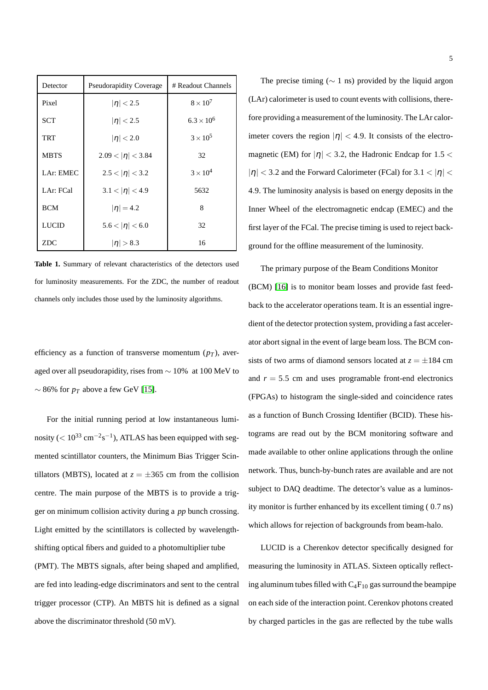| Detector     | <b>Pseudorapidity Coverage</b> | # Readout Channels  |
|--------------|--------------------------------|---------------------|
| Pixel        | $ \eta $ < 2.5                 | $8 \times 10^7$     |
| <b>SCT</b>   | $ \eta $ < 2.5                 | $6.3 \times 10^{6}$ |
| <b>TRT</b>   | $ \eta  < 2.0$                 | $3 \times 10^5$     |
| <b>MBTS</b>  | $2.09 <  \eta  < 3.84$         | 32                  |
| LAr: EMEC    | $2.5 <  \eta  < 3.2$           | $3 \times 10^4$     |
| LAr: FCal    | $3.1 <  \eta  < 4.9$           | 5632                |
| <b>BCM</b>   | $ \eta  = 4.2$                 | 8                   |
| <b>LUCID</b> | $5.6 <  \eta  < 6.0$           | 32                  |
| <b>ZDC</b>   | $ \eta  > 8.3$                 | 16                  |

<span id="page-5-0"></span>**Table 1.** Summary of relevant characteristics of the detectors used for luminosity measurements. For the ZDC, the number of readout channels only includes those used by the luminosity algorithms.

efficiency as a function of transverse momentum  $(p_T)$ , averaged over all pseudorapidity, rises from ∼ 10% at 100 MeV to  $\sim$  86% for  $p_T$  above a few GeV [\[15\]](#page-36-14).

For the initial running period at low instantaneous luminosity ( $< 10^{33}$  cm<sup>-2</sup>s<sup>-1</sup>), ATLAS has been equipped with segmented scintillator counters, the Minimum Bias Trigger Scintillators (MBTS), located at  $z = \pm 365$  cm from the collision centre. The main purpose of the MBTS is to provide a trigger on minimum collision activity during a *pp* bunch crossing. Light emitted by the scintillators is collected by wavelengthshifting optical fibers and guided to a photomultiplier tube (PMT). The MBTS signals, after being shaped and amplified, are fed into leading-edge discriminators and sent to the central

trigger processor (CTP). An MBTS hit is defined as a signal

above the discriminator threshold (50 mV).

The precise timing ( $\sim$  1 ns) provided by the liquid argon (LAr) calorimeter is used to count events with collisions, therefore providing a measurement of the luminosity. The LAr calorimeter covers the region  $|\eta| < 4.9$ . It consists of the electromagnetic (EM) for  $|\eta|$  < 3.2, the Hadronic Endcap for 1.5 <  $|\eta|$  < 3.2 and the Forward Calorimeter (FCal) for 3.1 <  $|\eta|$  < 4.9. The luminosity analysis is based on energy deposits in the Inner Wheel of the electromagnetic endcap (EMEC) and the first layer of the FCal. The precise timing is used to reject background for the offline measurement of the luminosity.

The primary purpose of the Beam Conditions Monitor (BCM) [\[16\]](#page-36-15) is to monitor beam losses and provide fast feedback to the accelerator operations team. It is an essential ingredient of the detector protection system, providing a fast accelerator abort signal in the event of large beam loss. The BCM consists of two arms of diamond sensors located at  $z = \pm 184$  cm and  $r = 5.5$  cm and uses programable front-end electronics (FPGAs) to histogram the single-sided and coincidence rates as a function of Bunch Crossing Identifier (BCID). These histograms are read out by the BCM monitoring software and made available to other online applications through the online network. Thus, bunch-by-bunch rates are available and are not subject to DAQ deadtime. The detector's value as a luminosity monitor is further enhanced by its excellent timing ( 0.7 ns) which allows for rejection of backgrounds from beam-halo.

LUCID is a Cherenkov detector specifically designed for measuring the luminosity in ATLAS. Sixteen optically reflecting aluminum tubes filled with  $C_4F_{10}$  gas surround the beampipe on each side of the interaction point. Cerenkov photons created by charged particles in the gas are reflected by the tube walls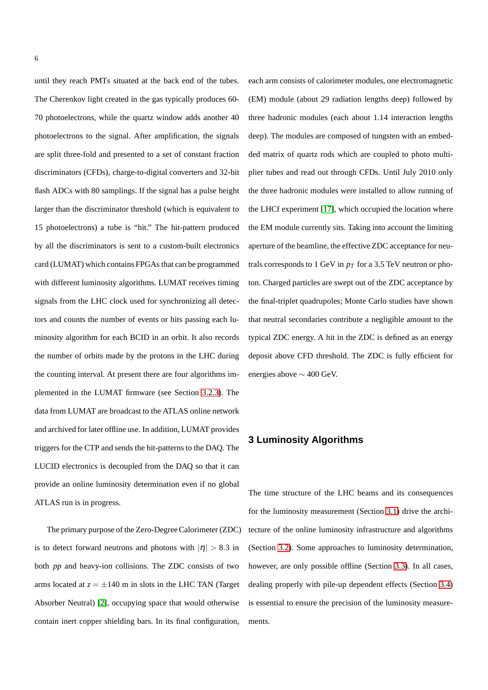until they reach PMTs situated at the back end of the tubes. The Cherenkov light created in the gas typically produces 60- 70 photoelectrons, while the quartz window adds another 40 photoelectrons to the signal. After amplification, the signals are split three-fold and presented to a set of constant fraction discriminators (CFDs), charge-to-digital converters and 32-bit flash ADCs with 80 samplings. If the signal has a pulse height larger than the discriminator threshold (which is equivalent to 15 photoelectrons) a tube is "hit." The hit-pattern produced by all the discriminators is sent to a custom-built electronics card (LUMAT) which contains FPGAs that can be programmed with different luminosity algorithms. LUMAT receives timing signals from the LHC clock used for synchronizing all detectors and counts the number of events or hits passing each luminosity algorithm for each BCID in an orbit. It also records the number of orbits made by the protons in the LHC during the counting interval. At present there are four algorithms implemented in the LUMAT firmware (see Section [3.2.3\)](#page-10-0). The data from LUMAT are broadcast to the ATLAS online network and archived for later offline use. In addition, LUMAT provides triggers for the CTP and sends the hit-patterns to the DAQ. The LUCID electronics is decoupled from the DAQ so that it can provide an online luminosity determination even if no global ATLAS run is in progress.

The primary purpose of the Zero-Degree Calorimeter (ZDC) is to detect forward neutrons and photons with  $|\eta| > 8.3$  in both *pp* and heavy-ion collisions. The ZDC consists of two arms located at  $z = \pm 140$  m in slots in the LHC TAN (Target Absorber Neutral) [\[2\]](#page-36-1), occupying space that would otherwise contain inert copper shielding bars. In its final configuration,

each arm consists of calorimeter modules, one electromagnetic (EM) module (about 29 radiation lengths deep) followed by three hadronic modules (each about 1.14 interaction lengths deep). The modules are composed of tungsten with an embedded matrix of quartz rods which are coupled to photo multiplier tubes and read out through CFDs. Until July 2010 only the three hadronic modules were installed to allow running of the LHCf experiment [\[17\]](#page-36-16), which occupied the location where the EM module currently sits. Taking into account the limiting aperture of the beamline, the effective ZDC acceptance for neutrals corresponds to 1 GeV in  $p_T$  for a 3.5 TeV neutron or photon. Charged particles are swept out of the ZDC acceptance by the final-triplet quadrupoles; Monte Carlo studies have shown that neutral secondaries contribute a negligible amount to the typical ZDC energy. A hit in the ZDC is defined as an energy deposit above CFD threshold. The ZDC is fully efficient for energies above ∼ 400 GeV.

## <span id="page-6-0"></span>**3 Luminosity Algorithms**

The time structure of the LHC beams and its consequences for the luminosity measurement (Section [3.1\)](#page-7-0) drive the architecture of the online luminosity infrastructure and algorithms (Section [3.2\)](#page-8-0). Some approaches to luminosity determination, however, are only possible offline (Section [3.3\)](#page-11-0). In all cases, dealing properly with pile-up dependent effects (Section [3.4\)](#page-13-0) is essential to ensure the precision of the luminosity measurements.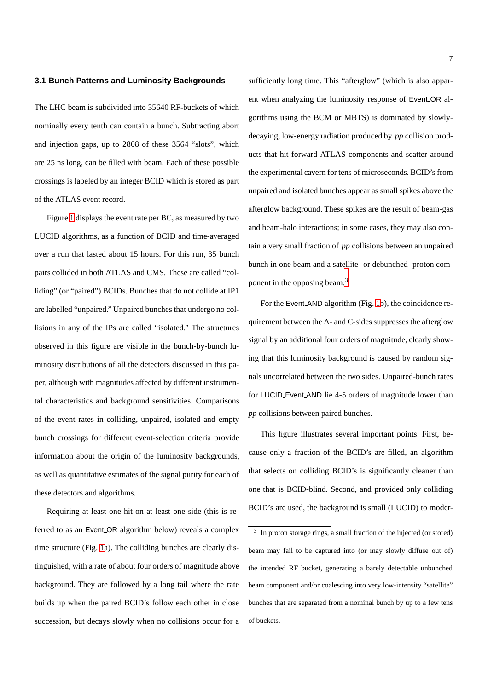## <span id="page-7-0"></span>**3.1 Bunch Patterns and Luminosity Backgrounds**

The LHC beam is subdivided into 35640 RF-buckets of which nominally every tenth can contain a bunch. Subtracting abort and injection gaps, up to 2808 of these 3564 "slots", which are 25 ns long, can be filled with beam. Each of these possible crossings is labeled by an integer BCID which is stored as part of the ATLAS event record.

Figure [1](#page-9-0) displays the event rate per BC, as measured by two LUCID algorithms, as a function of BCID and time-averaged over a run that lasted about 15 hours. For this run, 35 bunch pairs collided in both ATLAS and CMS. These are called "colliding" (or "paired") BCIDs. Bunches that do not collide at IP1 are labelled "unpaired." Unpaired bunches that undergo no collisions in any of the IPs are called "isolated." The structures observed in this figure are visible in the bunch-by-bunch luminosity distributions of all the detectors discussed in this paper, although with magnitudes affected by different instrumental characteristics and background sensitivities. Comparisons of the event rates in colliding, unpaired, isolated and empty bunch crossings for different event-selection criteria provide information about the origin of the luminosity backgrounds, as well as quantitative estimates of the signal purity for each of these detectors and algorithms.

Requiring at least one hit on at least one side (this is referred to as an Event OR algorithm below) reveals a complex time structure (Fig. [1a](#page-9-0)). The colliding bunches are clearly distinguished, with a rate of about four orders of magnitude above background. They are followed by a long tail where the rate builds up when the paired BCID's follow each other in close succession, but decays slowly when no collisions occur for a

sufficiently long time. This "afterglow" (which is also apparent when analyzing the luminosity response of Event OR algorithms using the BCM or MBTS) is dominated by slowlydecaying, low-energy radiation produced by *pp* collision products that hit forward ATLAS components and scatter around the experimental cavern for tens of microseconds. BCID's from unpaired and isolated bunches appear as small spikes above the afterglow background. These spikes are the result of beam-gas and beam-halo interactions; in some cases, they may also contain a very small fraction of *pp* collisions between an unpaired bunch in one beam and a satellite- or debunched- proton component in the opposing beam.[3](#page-7-1)

For the Event AND algorithm (Fig. [1b](#page-9-0)), the coincidence requirement between the A- and C-sides suppresses the afterglow signal by an additional four orders of magnitude, clearly showing that this luminosity background is caused by random signals uncorrelated between the two sides. Unpaired-bunch rates for LUCID Event AND lie 4-5 orders of magnitude lower than *pp* collisions between paired bunches.

This figure illustrates several important points. First, because only a fraction of the BCID's are filled, an algorithm that selects on colliding BCID's is significantly cleaner than one that is BCID-blind. Second, and provided only colliding BCID's are used, the background is small (LUCID) to moder-

<span id="page-7-1"></span><sup>&</sup>lt;sup>3</sup> In proton storage rings, a small fraction of the injected (or stored) beam may fail to be captured into (or may slowly diffuse out of) the intended RF bucket, generating a barely detectable unbunched beam component and/or coalescing into very low-intensity "satellite" bunches that are separated from a nominal bunch by up to a few tens of buckets.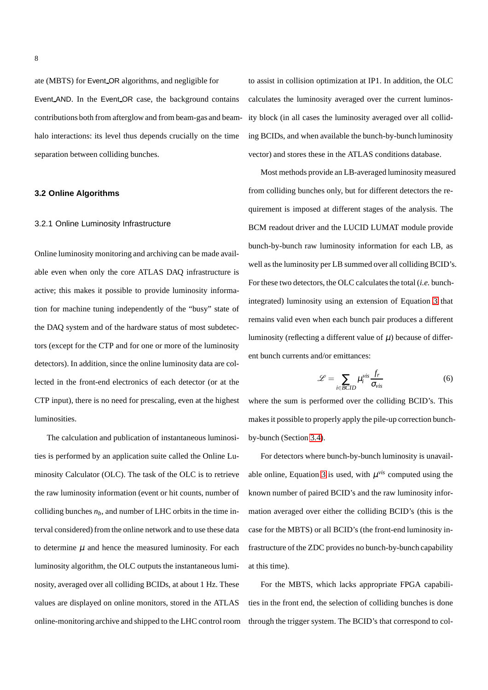ate (MBTS) for Event OR algorithms, and negligible for Event AND. In the Event OR case, the background contains contributions both from afterglow and from beam-gas and beamhalo interactions: its level thus depends crucially on the time separation between colliding bunches.

## <span id="page-8-0"></span>**3.2 Online Algorithms**

#### 3.2.1 Online Luminosity Infrastructure

Online luminosity monitoring and archiving can be made available even when only the core ATLAS DAQ infrastructure is active; this makes it possible to provide luminosity information for machine tuning independently of the "busy" state of the DAQ system and of the hardware status of most subdetectors (except for the CTP and for one or more of the luminosity detectors). In addition, since the online luminosity data are collected in the front-end electronics of each detector (or at the CTP input), there is no need for prescaling, even at the highest luminosities.

The calculation and publication of instantaneous luminosities is performed by an application suite called the Online Luminosity Calculator (OLC). The task of the OLC is to retrieve the raw luminosity information (event or hit counts, number of colliding bunches  $n_b$ , and number of LHC orbits in the time interval considered) from the online network and to use these data to determine  $\mu$  and hence the measured luminosity. For each luminosity algorithm, the OLC outputs the instantaneous luminosity, averaged over all colliding BCIDs, at about 1 Hz. These values are displayed on online monitors, stored in the ATLAS online-monitoring archive and shipped to the LHC control room to assist in collision optimization at IP1. In addition, the OLC calculates the luminosity averaged over the current luminosity block (in all cases the luminosity averaged over all colliding BCIDs, and when available the bunch-by-bunch luminosity vector) and stores these in the ATLAS conditions database.

Most methods provide an LB-averaged luminosity measured from colliding bunches only, but for different detectors the requirement is imposed at different stages of the analysis. The BCM readout driver and the LUCID LUMAT module provide bunch-by-bunch raw luminosity information for each LB, as well as the luminosity per LB summed over all colliding BCID's. For these two detectors, the OLC calculates the total (*i.e.* bunchintegrated) luminosity using an extension of Equation [3](#page-2-1) that remains valid even when each bunch pair produces a different luminosity (reflecting a different value of  $\mu$ ) because of different bunch currents and/or emittances:

$$
\mathcal{L} = \sum_{i \in BCID} \mu_i^{vis} \frac{f_r}{\sigma_{vis}} \tag{6}
$$

where the sum is performed over the colliding BCID's. This makes it possible to properly apply the pile-up correction bunchby-bunch (Section [3.4\)](#page-13-0).

For detectors where bunch-by-bunch luminosity is unavail-able online, Equation [3](#page-2-1) is used, with  $\mu$ <sup>vis</sup> computed using the known number of paired BCID's and the raw luminosity information averaged over either the colliding BCID's (this is the case for the MBTS) or all BCID's (the front-end luminosity infrastructure of the ZDC provides no bunch-by-bunch capability at this time).

For the MBTS, which lacks appropriate FPGA capabilities in the front end, the selection of colliding bunches is done through the trigger system. The BCID's that correspond to col-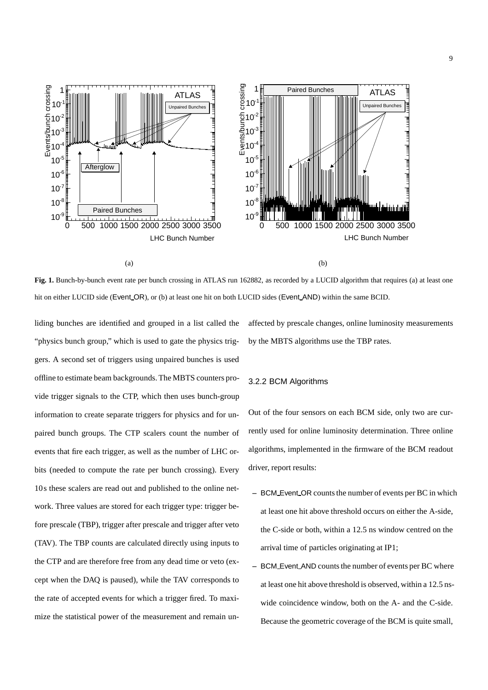

(a)

(b)

<span id="page-9-0"></span>**Fig. 1.** Bunch-by-bunch event rate per bunch crossing in ATLAS run 162882, as recorded by a LUCID algorithm that requires (a) at least one hit on either LUCID side (Event OR), or (b) at least one hit on both LUCID sides (Event AND) within the same BCID.

liding bunches are identified and grouped in a list called the "physics bunch group," which is used to gate the physics triggers. A second set of triggers using unpaired bunches is used offline to estimate beam backgrounds. The MBTS counters provide trigger signals to the CTP, which then uses bunch-group information to create separate triggers for physics and for unpaired bunch groups. The CTP scalers count the number of events that fire each trigger, as well as the number of LHC orbits (needed to compute the rate per bunch crossing). Every 10s these scalers are read out and published to the online network. Three values are stored for each trigger type: trigger before prescale (TBP), trigger after prescale and trigger after veto (TAV). The TBP counts are calculated directly using inputs to the CTP and are therefore free from any dead time or veto (except when the DAQ is paused), while the TAV corresponds to the rate of accepted events for which a trigger fired. To maximize the statistical power of the measurement and remain unaffected by prescale changes, online luminosity measurements by the MBTS algorithms use the TBP rates.

## 3.2.2 BCM Algorithms

Out of the four sensors on each BCM side, only two are currently used for online luminosity determination. Three online algorithms, implemented in the firmware of the BCM readout driver, report results:

- **–** BCM Event OR counts the number of events per BC in which at least one hit above threshold occurs on either the A-side, the C-side or both, within a 12.5 ns window centred on the arrival time of particles originating at IP1;
- **–** BCM Event AND counts the number of events per BC where at least one hit above threshold is observed, within a 12.5 nswide coincidence window, both on the A- and the C-side. Because the geometric coverage of the BCM is quite small,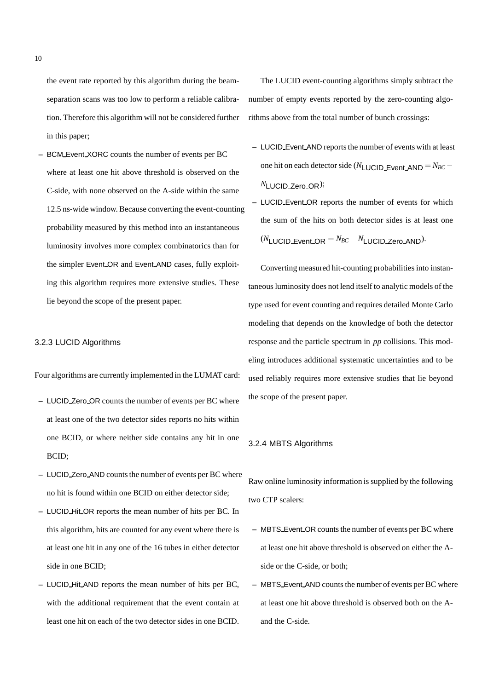the event rate reported by this algorithm during the beamseparation scans was too low to perform a reliable calibration. Therefore this algorithm will not be considered further in this paper;

**–** BCM Event XORC counts the number of events per BC where at least one hit above threshold is observed on the C-side, with none observed on the A-side within the same 12.5 ns-wide window. Because converting the event-counting probability measured by this method into an instantaneous luminosity involves more complex combinatorics than for the simpler Event OR and Event AND cases, fully exploiting this algorithm requires more extensive studies. These lie beyond the scope of the present paper.

#### <span id="page-10-0"></span>3.2.3 LUCID Algorithms

Four algorithms are currently implemented in the LUMAT card:

- **–** LUCID Zero OR counts the number of events per BC where at least one of the two detector sides reports no hits within one BCID, or where neither side contains any hit in one BCID;
- **–** LUCID Zero AND counts the number of events per BC where no hit is found within one BCID on either detector side;
- **–** LUCID Hit OR reports the mean number of hits per BC. In this algorithm, hits are counted for any event where there is at least one hit in any one of the 16 tubes in either detector side in one BCID;
- **–** LUCID Hit AND reports the mean number of hits per BC, with the additional requirement that the event contain at least one hit on each of the two detector sides in one BCID.

The LUCID event-counting algorithms simply subtract the number of empty events reported by the zero-counting algorithms above from the total number of bunch crossings:

- **–** LUCID Event AND reports the number of events with at least one hit on each detector side ( $N_{\text{LUCID\_Event}\_\text{AND}} = N_{BC} -$ *N*LUCID Zero OR);
- **–** LUCID Event OR reports the number of events for which the sum of the hits on both detector sides is at least one  $(N_{\text{LUCID}})$  Event OR  $=N_{BC}-N_{\text{LUCID}}$  Zero AND).

Converting measured hit-counting probabilities into instantaneous luminosity does not lend itself to analytic models of the type used for event counting and requires detailed Monte Carlo modeling that depends on the knowledge of both the detector response and the particle spectrum in *pp* collisions. This modeling introduces additional systematic uncertainties and to be used reliably requires more extensive studies that lie beyond the scope of the present paper.

## 3.2.4 MBTS Algorithms

Raw online luminosity information is supplied by the following two CTP scalers:

- **–** MBTS Event OR counts the number of events per BC where at least one hit above threshold is observed on either the Aside or the C-side, or both;
- **–** MBTS Event AND counts the number of events per BC where at least one hit above threshold is observed both on the Aand the C-side.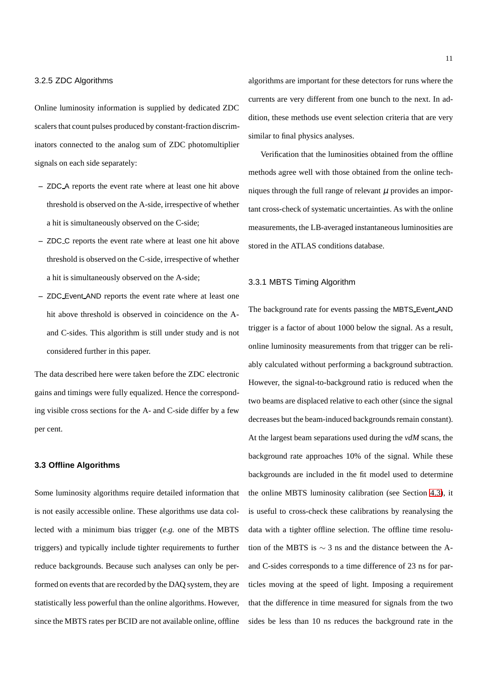## 3.2.5 ZDC Algorithms

Online luminosity information is supplied by dedicated ZDC scalers that count pulses produced by constant-fraction discriminators connected to the analog sum of ZDC photomultiplier signals on each side separately:

- **–** ZDC A reports the event rate where at least one hit above threshold is observed on the A-side, irrespective of whether a hit is simultaneously observed on the C-side;
- **–** ZDC C reports the event rate where at least one hit above threshold is observed on the C-side, irrespective of whether a hit is simultaneously observed on the A-side;
- **–** ZDC Event AND reports the event rate where at least one hit above threshold is observed in coincidence on the Aand C-sides. This algorithm is still under study and is not considered further in this paper.

The data described here were taken before the ZDC electronic gains and timings were fully equalized. Hence the corresponding visible cross sections for the A- and C-side differ by a few per cent.

## <span id="page-11-0"></span>**3.3 Offline Algorithms**

Some luminosity algorithms require detailed information that is not easily accessible online. These algorithms use data collected with a minimum bias trigger (*e.g.* one of the MBTS triggers) and typically include tighter requirements to further reduce backgrounds. Because such analyses can only be performed on events that are recorded by the DAQ system, they are statistically less powerful than the online algorithms. However, since the MBTS rates per BCID are not available online, offline

algorithms are important for these detectors for runs where the currents are very different from one bunch to the next. In addition, these methods use event selection criteria that are very similar to final physics analyses.

Verification that the luminosities obtained from the offline methods agree well with those obtained from the online techniques through the full range of relevant  $\mu$  provides an important cross-check of systematic uncertainties. As with the online measurements, the LB-averaged instantaneous luminosities are stored in the ATLAS conditions database.

## 3.3.1 MBTS Timing Algorithm

The background rate for events passing the MBTS Event AND trigger is a factor of about 1000 below the signal. As a result, online luminosity measurements from that trigger can be reliably calculated without performing a background subtraction. However, the signal-to-background ratio is reduced when the two beams are displaced relative to each other (since the signal decreases but the beam-induced backgrounds remain constant). At the largest beam separations used during the *vdM* scans, the background rate approaches 10% of the signal. While these backgrounds are included in the fit model used to determine the online MBTS luminosity calibration (see Section [4.3\)](#page-17-0), it is useful to cross-check these calibrations by reanalysing the data with a tighter offline selection. The offline time resolution of the MBTS is ∼ 3 ns and the distance between the Aand C-sides corresponds to a time difference of 23 ns for particles moving at the speed of light. Imposing a requirement that the difference in time measured for signals from the two sides be less than 10 ns reduces the background rate in the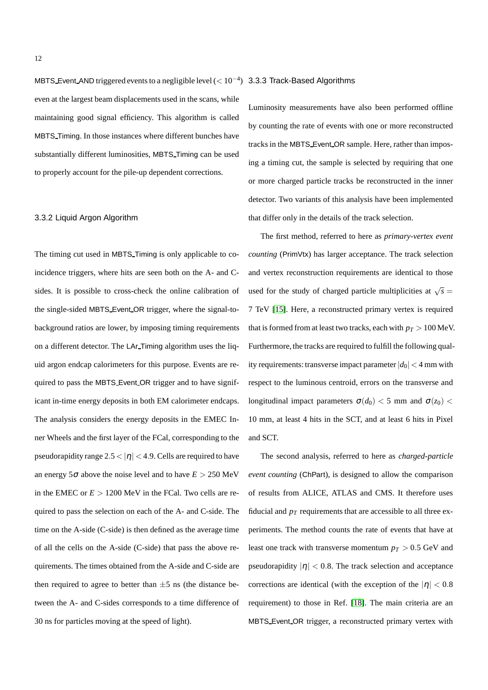MBTS Event AND triggered events to a negligible level ( $< 10^{-4}$ ) 3.3.3 Track-Based Algorithms even at the largest beam displacements used in the scans, while maintaining good signal efficiency. This algorithm is called MBTS Timing. In those instances where different bunches have substantially different luminosities, MBTS Timing can be used to properly account for the pile-up dependent corrections.

## 3.3.2 Liquid Argon Algorithm

The timing cut used in MBTS Timing is only applicable to coincidence triggers, where hits are seen both on the A- and Csides. It is possible to cross-check the online calibration of the single-sided MBTS Event OR trigger, where the signal-tobackground ratios are lower, by imposing timing requirements on a different detector. The LAr Timing algorithm uses the liquid argon endcap calorimeters for this purpose. Events are required to pass the MBTS Event OR trigger and to have significant in-time energy deposits in both EM calorimeter endcaps. The analysis considers the energy deposits in the EMEC Inner Wheels and the first layer of the FCal, corresponding to the pseudorapidity range  $2.5 < |\eta| < 4.9$ . Cells are required to have an energy 5 $\sigma$  above the noise level and to have  $E > 250$  MeV in the EMEC or  $E > 1200$  MeV in the FCal. Two cells are required to pass the selection on each of the A- and C-side. The time on the A-side (C-side) is then defined as the average time of all the cells on the A-side (C-side) that pass the above requirements. The times obtained from the A-side and C-side are then required to agree to better than  $\pm 5$  ns (the distance between the A- and C-sides corresponds to a time difference of 30 ns for particles moving at the speed of light).

Luminosity measurements have also been performed offline by counting the rate of events with one or more reconstructed tracks in the MBTS Event OR sample. Here, rather than imposing a timing cut, the sample is selected by requiring that one or more charged particle tracks be reconstructed in the inner detector. Two variants of this analysis have been implemented that differ only in the details of the track selection.

The first method, referred to here as *primary-vertex event counting* (PrimVtx) has larger acceptance. The track selection and vertex reconstruction requirements are identical to those used for the study of charged particle multiplicities at  $\sqrt{s}$  = 7 TeV [\[15\]](#page-36-14). Here, a reconstructed primary vertex is required that is formed from at least two tracks, each with  $p_T > 100$  MeV. Furthermore, the tracks are required to fulfill the following quality requirements: transverse impact parameter  $|d_0| < 4$  mm with respect to the luminous centroid, errors on the transverse and longitudinal impact parameters  $\sigma(d_0)$  < 5 mm and  $\sigma(z_0)$  < 10 mm, at least 4 hits in the SCT, and at least 6 hits in Pixel and SCT.

The second analysis, referred to here as *charged-particle event counting* (ChPart), is designed to allow the comparison of results from ALICE, ATLAS and CMS. It therefore uses fiducial and  $p_T$  requirements that are accessible to all three experiments. The method counts the rate of events that have at least one track with transverse momentum  $p_T > 0.5$  GeV and pseudorapidity  $|\eta| < 0.8$ . The track selection and acceptance corrections are identical (with the exception of the  $|\eta| < 0.8$ requirement) to those in Ref. [\[18\]](#page-36-17). The main criteria are an MBTS Event OR trigger, a reconstructed primary vertex with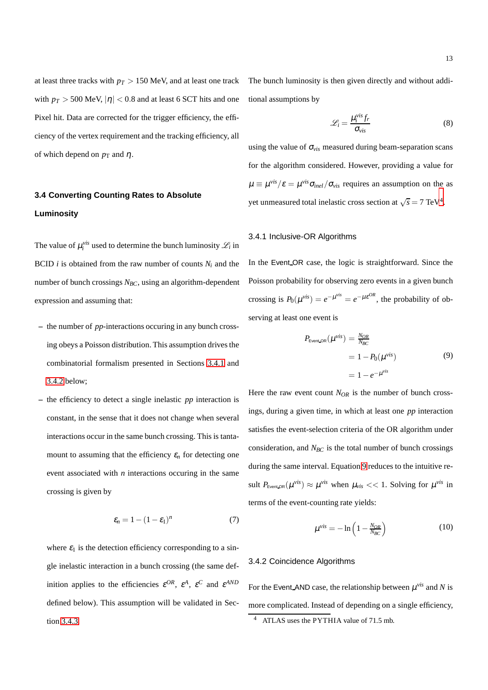at least three tracks with  $p_T > 150$  MeV, and at least one track with  $p_T > 500$  MeV,  $|\eta| < 0.8$  and at least 6 SCT hits and one Pixel hit. Data are corrected for the trigger efficiency, the efficiency of the vertex requirement and the tracking efficiency, all of which depend on  $p_T$  and  $\eta$ .

## <span id="page-13-0"></span>**3.4 Converting Counting Rates to Absolute Luminosity**

The value of  $\mu_i^{vis}$  used to determine the bunch luminosity  $\mathcal{L}_i$  in BCID *i* is obtained from the raw number of counts  $N_i$  and the number of bunch crossings *NBC*, using an algorithm-dependent expression and assuming that:

- **–** the number of *pp*-interactions occuring in any bunch crossing obeys a Poisson distribution. This assumption drives the combinatorial formalism presented in Sections [3.4.1](#page-13-1) and [3.4.2](#page-13-2) below;
- **–** the efficiency to detect a single inelastic *pp* interaction is constant, in the sense that it does not change when several interactions occur in the same bunch crossing. This is tantamount to assuming that the efficiency  $\varepsilon_n$  for detecting one event associated with *n* interactions occuring in the same crossing is given by

<span id="page-13-6"></span>
$$
\varepsilon_n = 1 - (1 - \varepsilon_1)^n \tag{7}
$$

where  $\varepsilon_1$  is the detection efficiency corresponding to a single inelastic interaction in a bunch crossing (the same definition applies to the efficiencies  $\varepsilon^{OR}$ ,  $\varepsilon^A$ ,  $\varepsilon^C$  and  $\varepsilon^{AND}$ defined below). This assumption will be validated in Section [3.4.3.](#page-14-0)

The bunch luminosity is then given directly and without additional assumptions by

$$
\mathcal{L}_i = \frac{\mu_i^{vis} f_r}{\sigma_{vis}} \tag{8}
$$

using the value of  $\sigma_{vis}$  measured during beam-separation scans for the algorithm considered. However, providing a value for  $\mu \equiv \mu^{\text{vis}}/\varepsilon = \mu^{\text{vis}} \sigma_{\text{inel}} / \sigma_{\text{vis}}$  requires an assumption on the as yet unmeasured total inelastic cross section at  $\sqrt{s} = 7 \text{ TeV}^4$  $\sqrt{s} = 7 \text{ TeV}^4$ .

### <span id="page-13-1"></span>3.4.1 Inclusive-OR Algorithms

In the Event OR case, the logic is straightforward. Since the Poisson probability for observing zero events in a given bunch crossing is  $P_0(\mu^{vis}) = e^{-\mu^{vis}} = e^{-\mu \varepsilon^{OR}}$ , the probability of observing at least one event is

<span id="page-13-4"></span>
$$
P_{\text{EventLOR}}(\mu^{\text{vis}}) = \frac{N_{OR}}{N_{BC}}
$$
  
= 1 - P<sub>0</sub>(\mu^{\text{vis}})  
= 1 - e^{-\mu^{\text{vis}}} (9)

Here the raw event count  $N_{OR}$  is the number of bunch crossings, during a given time, in which at least one *pp* interaction satisfies the event-selection criteria of the OR algorithm under consideration, and *NBC* is the total number of bunch crossings during the same interval. Equation [9](#page-13-4) reduces to the intuitive result  $P_{\text{Event\_OR}}(\mu^{\text{vis}}) \approx \mu^{\text{vis}}$  when  $\mu_{\text{vis}} << 1$ . Solving for  $\mu^{\text{vis}}$  in terms of the event-counting rate yields:

<span id="page-13-5"></span>
$$
\mu^{\text{vis}} = -\ln\left(1 - \frac{N_{OR}}{N_{BC}}\right) \tag{10}
$$

## <span id="page-13-2"></span>3.4.2 Coincidence Algorithms

For the Event AND case, the relationship between  $\mu^{vis}$  and N is more complicated. Instead of depending on a single efficiency,

<span id="page-13-3"></span>ATLAS uses the PYTHIA value of 71.5 mb.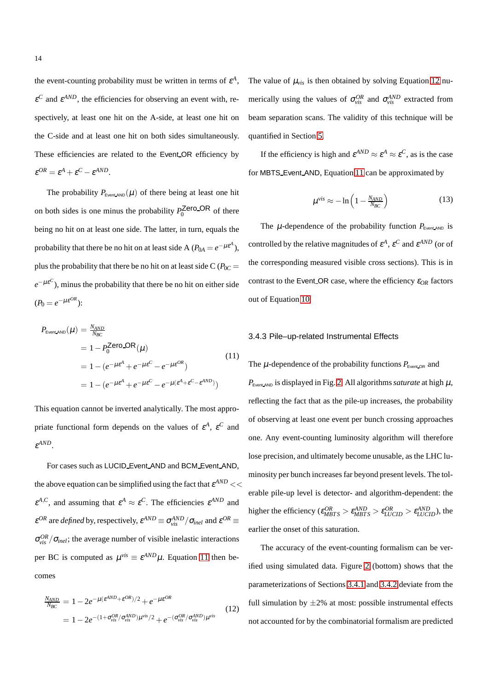the event-counting probability must be written in terms of  $\varepsilon^A$ ,  $\varepsilon^C$  and  $\varepsilon^{AND}$ , the efficiencies for observing an event with, respectively, at least one hit on the A-side, at least one hit on the C-side and at least one hit on both sides simultaneously. These efficiencies are related to the Event OR efficiency by  $\epsilon^{OR} = \epsilon^A + \epsilon^C - \epsilon^{AND}.$ 

The probability  $P_{Event, AND}(\mu)$  of there being at least one hit on both sides is one minus the probability  $P_0^{\text{Zero\_OR}}$  of there being no hit on at least one side. The latter, in turn, equals the probability that there be no hit on at least side A ( $P_{0A} = e^{-\mu \varepsilon^A}$ ), plus the probability that there be no hit on at least side  $C(P_{0C} =$  $e^{-\mu \varepsilon^C}$ ), minus the probability that there be no hit on either side  $(P_0 = e^{-\mu \varepsilon^{OR}})$ :

<span id="page-14-1"></span>
$$
P_{\text{Event,AND}}(\mu) = \frac{N_{\text{AND}}}{N_{\text{BC}}}
$$
  
= 1 - P\_0^{\text{Zero\\_OR}}(\mu) (11)  
= 1 - (e^{-\mu \varepsilon^A} + e^{-\mu \varepsilon^C} - e^{-\mu \varepsilon^{OR}})  
= 1 - (e^{-\mu \varepsilon^A} + e^{-\mu \varepsilon^C} - e^{-\mu (\varepsilon^A + \varepsilon^C - \varepsilon^{AND})})

This equation cannot be inverted analytically. The most appropriate functional form depends on the values of  $\varepsilon^A$ ,  $\varepsilon^C$  and ε *AND*.

For cases such as LUCID Event AND and BCM Event AND, the above equation can be simplified using the fact that  $\varepsilon^{AND}$  <<  $\varepsilon^{A,C}$ , and assuming that  $\varepsilon^A \approx \varepsilon^C$ . The efficiencies  $\varepsilon^{AND}$  and  $\varepsilon^{OR}$  are *defined* by, respectively,  $\varepsilon^{AND} \equiv \sigma_{vis}^{AND}/\sigma_{inel}$  and  $\varepsilon^{OR} \equiv$  $\sigma_{vis}^{OR}/\sigma_{inel}$ ; the average number of visible inelastic interactions per BC is computed as  $\mu^{vis} \equiv \varepsilon^{AND}\mu$ . Equation [11](#page-14-1) then becomes

<span id="page-14-2"></span>
$$
\frac{N_{AND}}{N_{BC}} = 1 - 2e^{-\mu(\epsilon^{AND} + \epsilon^{OR})/2} + e^{-\mu\epsilon^{OR}}
$$
\n
$$
= 1 - 2e^{-(1 + \sigma_{vis}^{OR}/\sigma_{vis}^{AND})\mu^{vis}/2} + e^{-(\sigma_{vis}^{OR}/\sigma_{vis}^{AND})\mu^{vis}}
$$
\n(12)

The value of  $\mu_{vis}$  is then obtained by solving Equation [12](#page-14-2) numerically using the values of  $\sigma_{vis}^{OR}$  and  $\sigma_{vis}^{AND}$  extracted from beam separation scans. The validity of this technique will be quantified in Section [5.](#page-24-0)

If the efficiency is high and  $\varepsilon^{AND} \approx \varepsilon^A \approx \varepsilon^C$ , as is the case for MBTS Event AND, Equation [11](#page-14-1) can be approximated by

$$
\mu^{\text{vis}} \approx -\ln\left(1 - \frac{N_{\text{AND}}}{N_{\text{BC}}}\right) \tag{13}
$$

The  $\mu$ -dependence of the probability function  $P_{\text{EventAND}}$  is controlled by the relative magnitudes of  $\varepsilon^A$ ,  $\varepsilon^C$  and  $\varepsilon^{AND}$  (or of the corresponding measured visible cross sections). This is in contrast to the Event OR case, where the efficiency <sup>ε</sup>*OR* factors out of Equation [10.](#page-13-5)

## <span id="page-14-0"></span>3.4.3 Pile–up-related Instrumental Effects

The  $\mu$ -dependence of the probability functions  $P_{\text{Event-OR}}$  and  $P_{\text{Event,AND}}$  is displayed in Fig. [2.](#page-15-1) All algorithms *saturate* at high  $\mu$ , reflecting the fact that as the pile-up increases, the probability of observing at least one event per bunch crossing approaches one. Any event-counting luminosity algorithm will therefore lose precision, and ultimately become unusable, as the LHC luminosity per bunch increases far beyond present levels. The tolerable pile-up level is detector- and algorithm-dependent: the higher the efficiency ( $\varepsilon_{MBTS}^{OR} > \varepsilon_{MBTS}^{AND} > \varepsilon_{LUCID}^{OR} > \varepsilon_{LUCID}^{AND}$ ), the earlier the onset of this saturation.

The accuracy of the event-counting formalism can be verified using simulated data. Figure [2](#page-15-1) (bottom) shows that the parameterizations of Sections [3.4.1](#page-13-1) and [3.4.2](#page-13-2) deviate from the full simulation by  $\pm 2\%$  at most: possible instrumental effects not accounted for by the combinatorial formalism are predicted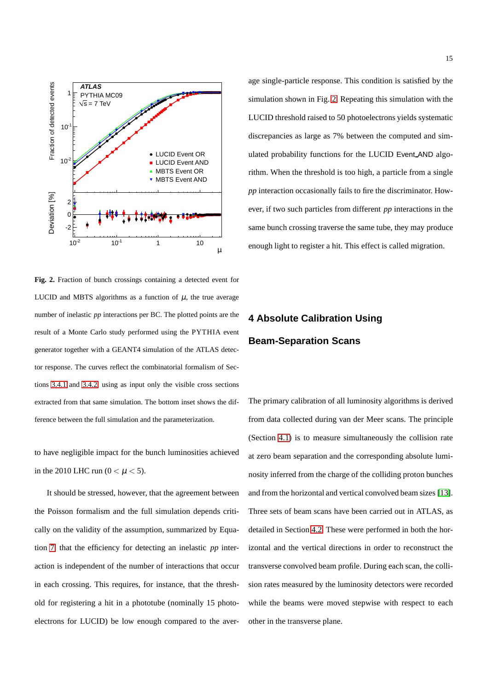

<span id="page-15-1"></span>**Fig. 2.** Fraction of bunch crossings containing a detected event for LUCID and MBTS algorithms as a function of  $\mu$ , the true average number of inelastic *pp* interactions per BC. The plotted points are the result of a Monte Carlo study performed using the PYTHIA event generator together with a GEANT4 simulation of the ATLAS detector response. The curves reflect the combinatorial formalism of Sections [3.4.1](#page-13-1) and [3.4.2,](#page-13-2) using as input only the visible cross sections extracted from that same simulation. The bottom inset shows the difference between the full simulation and the parameterization.

to have negligible impact for the bunch luminosities achieved in the 2010 LHC run ( $0 < \mu < 5$ ).

It should be stressed, however, that the agreement between the Poisson formalism and the full simulation depends critically on the validity of the assumption, summarized by Equation [7,](#page-13-6) that the efficiency for detecting an inelastic *pp* interaction is independent of the number of interactions that occur in each crossing. This requires, for instance, that the threshold for registering a hit in a phototube (nominally 15 photoelectrons for LUCID) be low enough compared to the aver-

age single-particle response. This condition is satisfied by the simulation shown in Fig. [2.](#page-15-1) Repeating this simulation with the LUCID threshold raised to 50 photoelectrons yields systematic discrepancies as large as 7% between the computed and simulated probability functions for the LUCID Event AND algorithm. When the threshold is too high, a particle from a single *pp* interaction occasionally fails to fire the discriminator. However, if two such particles from different *pp* interactions in the same bunch crossing traverse the same tube, they may produce enough light to register a hit. This effect is called migration.

## <span id="page-15-0"></span>**4 Absolute Calibration Using Beam-Separation Scans**

The primary calibration of all luminosity algorithms is derived from data collected during van der Meer scans. The principle (Section [4.1\)](#page-16-0) is to measure simultaneously the collision rate at zero beam separation and the corresponding absolute luminosity inferred from the charge of the colliding proton bunches and from the horizontal and vertical convolved beam sizes [\[13\]](#page-36-12). Three sets of beam scans have been carried out in ATLAS, as detailed in Section [4.2.](#page-16-1) These were performed in both the horizontal and the vertical directions in order to reconstruct the transverse convolved beam profile. During each scan, the collision rates measured by the luminosity detectors were recorded while the beams were moved stepwise with respect to each other in the transverse plane.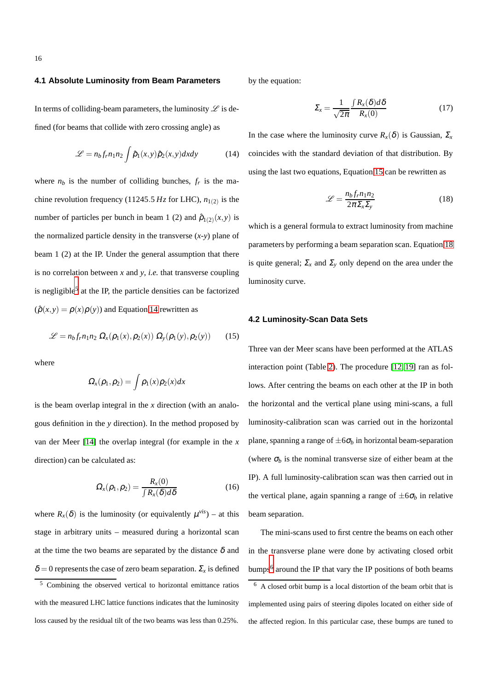## <span id="page-16-0"></span>**4.1 Absolute Luminosity from Beam Parameters**

In terms of colliding-beam parameters, the luminosity  $\mathscr L$  is defined (for beams that collide with zero crossing angle) as

<span id="page-16-3"></span>
$$
\mathcal{L} = n_b f_r n_1 n_2 \int \hat{\rho}_1(x, y) \hat{\rho}_2(x, y) dx dy \tag{14}
$$

where  $n_b$  is the number of colliding bunches,  $f_r$  is the machine revolution frequency (11245.5  $Hz$  for LHC),  $n_{1(2)}$  is the number of particles per bunch in beam 1 (2) and  $\hat{\rho}_{1(2)}(x, y)$  is the normalized particle density in the transverse  $(x-y)$  plane of beam 1 (2) at the IP. Under the general assumption that there is no correlation between *x* and *y*, *i.e.* that transverse coupling is negligible<sup>[5](#page-16-2)</sup> at the IP, the particle densities can be factorized  $(\hat{\rho}(x, y) = \rho(x)\rho(y))$  and Equation [14](#page-16-3) rewritten as

<span id="page-16-4"></span>
$$
\mathcal{L} = n_b f_r n_1 n_2 \Omega_x(\rho_1(x), \rho_2(x)) \Omega_y(\rho_1(y), \rho_2(y)) \qquad (15)
$$

where

$$
\Omega_x(\rho_1,\rho_2)=\int \rho_1(x)\rho_2(x)dx
$$

is the beam overlap integral in the *x* direction (with an analogous definition in the *y* direction). In the method proposed by van der Meer [\[14\]](#page-36-13) the overlap integral (for example in the *x* direction) can be calculated as:

$$
\Omega_{x}(\rho_1,\rho_2) = \frac{R_x(0)}{\int R_x(\delta)d\delta}
$$
\n(16)

where  $R_x(\delta)$  is the luminosity (or equivalently  $\mu^{vis}$ ) – at this stage in arbitrary units – measured during a horizontal scan at the time the two beams are separated by the distance  $\delta$  and  $\delta = 0$  represents the case of zero beam separation.  $\Sigma_x$  is defined by the equation:

<span id="page-16-7"></span>
$$
\Sigma_x = \frac{1}{\sqrt{2\pi}} \frac{\int R_x(\delta) d\delta}{R_x(0)} \tag{17}
$$

In the case where the luminosity curve  $R_{\rm x}(\delta)$  is Gaussian,  $\Sigma_{\rm x}$ coincides with the standard deviation of that distribution. By using the last two equations, Equation [15](#page-16-4) can be rewritten as

<span id="page-16-5"></span>
$$
\mathcal{L} = \frac{n_b f_r n_1 n_2}{2\pi \Sigma_x \Sigma_y} \tag{18}
$$

which is a general formula to extract luminosity from machine parameters by performing a beam separation scan. Equation [18](#page-16-5) is quite general;  $\Sigma_x$  and  $\Sigma_y$  only depend on the area under the luminosity curve.

## <span id="page-16-1"></span>**4.2 Luminosity-Scan Data Sets**

Three van der Meer scans have been performed at the ATLAS interaction point (Table [2\)](#page-18-0). The procedure [\[12,](#page-36-11) [19\]](#page-36-18) ran as follows. After centring the beams on each other at the IP in both the horizontal and the vertical plane using mini-scans, a full luminosity-calibration scan was carried out in the horizontal plane, spanning a range of  $\pm 6\sigma_b$  in horizontal beam-separation (where  $\sigma_b$  is the nominal transverse size of either beam at the IP). A full luminosity-calibration scan was then carried out in the vertical plane, again spanning a range of  $\pm 6\sigma_b$  in relative beam separation.

The mini-scans used to first centre the beams on each other in the transverse plane were done by activating closed orbit bumps<sup>[6](#page-16-6)</sup> around the IP that vary the IP positions of both beams

<span id="page-16-2"></span><sup>5</sup> Combining the observed vertical to horizontal emittance ratios with the measured LHC lattice functions indicates that the luminosity loss caused by the residual tilt of the two beams was less than 0.25%.

<span id="page-16-6"></span><sup>6</sup> A closed orbit bump is a local distortion of the beam orbit that is implemented using pairs of steering dipoles located on either side of the affected region. In this particular case, these bumps are tuned to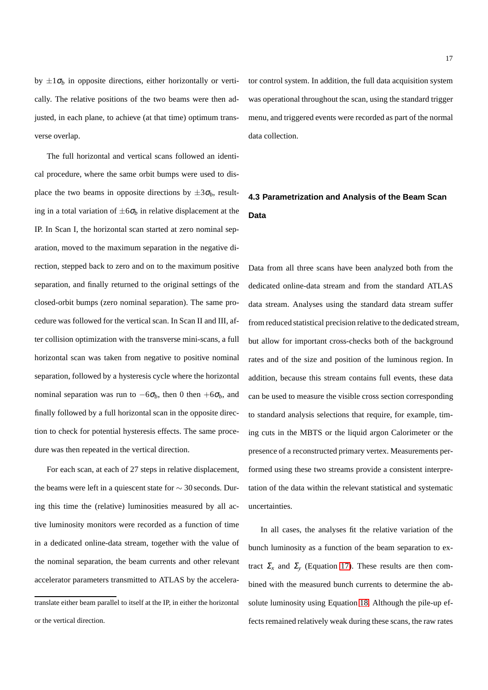by  $\pm 1\sigma_b$  in opposite directions, either horizontally or vertically. The relative positions of the two beams were then adjusted, in each plane, to achieve (at that time) optimum transverse overlap.

The full horizontal and vertical scans followed an identical procedure, where the same orbit bumps were used to displace the two beams in opposite directions by  $\pm 3\sigma_b$ , resulting in a total variation of  $\pm 6\sigma_b$  in relative displacement at the IP. In Scan I, the horizontal scan started at zero nominal separation, moved to the maximum separation in the negative direction, stepped back to zero and on to the maximum positive separation, and finally returned to the original settings of the closed-orbit bumps (zero nominal separation). The same procedure was followed for the vertical scan. In Scan II and III, after collision optimization with the transverse mini-scans, a full horizontal scan was taken from negative to positive nominal separation, followed by a hysteresis cycle where the horizontal nominal separation was run to  $-6\sigma_b$ , then 0 then  $+6\sigma_b$ , and finally followed by a full horizontal scan in the opposite direction to check for potential hysteresis effects. The same procedure was then repeated in the vertical direction.

For each scan, at each of 27 steps in relative displacement, the beams were left in a quiescent state for ∼ 30 seconds. During this time the (relative) luminosities measured by all active luminosity monitors were recorded as a function of time in a dedicated online-data stream, together with the value of the nominal separation, the beam currents and other relevant accelerator parameters transmitted to ATLAS by the accelerator control system. In addition, the full data acquisition system was operational throughout the scan, using the standard trigger menu, and triggered events were recorded as part of the normal data collection.

## <span id="page-17-0"></span>**4.3 Parametrization and Analysis of the Beam Scan Data**

Data from all three scans have been analyzed both from the dedicated online-data stream and from the standard ATLAS data stream. Analyses using the standard data stream suffer from reduced statistical precision relative to the dedicated stream, but allow for important cross-checks both of the background rates and of the size and position of the luminous region. In addition, because this stream contains full events, these data can be used to measure the visible cross section corresponding to standard analysis selections that require, for example, timing cuts in the MBTS or the liquid argon Calorimeter or the presence of a reconstructed primary vertex. Measurements performed using these two streams provide a consistent interpretation of the data within the relevant statistical and systematic uncertainties.

In all cases, the analyses fit the relative variation of the bunch luminosity as a function of the beam separation to extract  $\Sigma_x$  and  $\Sigma_y$  (Equation [17\)](#page-16-7). These results are then combined with the measured bunch currents to determine the absolute luminosity using Equation [18.](#page-16-5) Although the pile-up effects remained relatively weak during these scans, the raw rates

translate either beam parallel to itself at the IP, in either the horizontal or the vertical direction.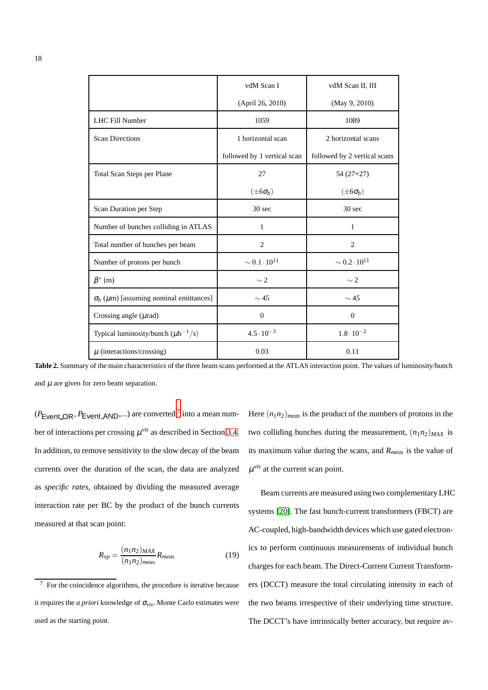|                                                     | vdM Scan I                  | vdM Scan II, III             |
|-----------------------------------------------------|-----------------------------|------------------------------|
|                                                     | (April 26, 2010)            | (May 9, 2010)                |
| <b>LHC Fill Number</b>                              | 1059                        | 1089                         |
| <b>Scan Directions</b>                              | 1 horizontal scan           | 2 horizontal scans           |
|                                                     | followed by 1 vertical scan | followed by 2 vertical scans |
| Total Scan Steps per Plane                          | 27                          | $54(27+27)$                  |
|                                                     | $(\pm 6\sigma_b)$           | $(\pm 6\sigma_b)$            |
| Scan Duration per Step                              | 30 <sub>sec</sub>           | 30 sec                       |
| Number of bunches colliding in ATLAS                | 1                           | 1                            |
| Total number of bunches per beam                    | $\overline{2}$              | $\overline{2}$               |
| Number of protons per bunch                         | $\sim 0.1 \cdot 10^{11}$    | $\sim 0.2 \cdot 10^{11}$     |
| $\beta^*$ (m)                                       | $\sim$ 2                    | $\sim$ 2                     |
| $\sigma_b$ ( $\mu$ m) [assuming nominal emittances] | $\sim$ 45                   | $\sim$ 45                    |
| Crossing angle $(\mu rad)$                          | $\mathbf{0}$                | $\overline{0}$               |
| Typical luminosity/bunch $(\mu b^{-1}/s)$           | $4.5 \cdot 10^{-3}$         | $1.8 \cdot 10^{-2}$          |
| $\mu$ (interactions/crossing)                       | 0.03                        | 0.11                         |

<span id="page-18-0"></span>**Table 2.** Summary of the main characteristics of the three beam scans performed at the ATLAS interaction point. The values of luminosity/bunch and  $\mu$  are given for zero beam separation.

 $(P_{Event\_OR}, P_{Event\_AND}, ...)$  are converted <sup>[7](#page-18-1)</sup> into a mean number of interactions per crossing  $\mu$ <sup>vis</sup> as described in Section [3.4.](#page-13-0) In addition, to remove sensitivity to the slow decay of the beam currents over the duration of the scan, the data are analyzed as *specific rates*, obtained by dividing the measured average interaction rate per BC by the product of the bunch currents measured at that scan point:

$$
R_{sp} = \frac{(n_1 n_2)_{MAX}}{(n_1 n_2)_{meas}} R_{meas}
$$
\n(19)

Here  $(n_1n_2)_{meas}$  is the product of the numbers of protons in the two colliding bunches during the measurement,  $(n_1n_2)_{MAX}$  is its maximum value during the scans, and *Rmeas* is the value of  $\mu$ <sup>*vis*</sup> at the current scan point.

Beam currents are measured using two complementary LHC systems [\[20\]](#page-36-19). The fast bunch-current transformers (FBCT) are AC-coupled, high-bandwidth devices which use gated electronics to perform continuous measurements of individual bunch charges for each beam. The Direct-Current Current Transformers (DCCT) measure the total circulating intensity in each of the two beams irrespective of their underlying time structure. The DCCT's have intrinsically better accuracy, but require av-

<span id="page-18-1"></span><sup>7</sup> For the coincidence algorithms, the procedure is iterative because it requires the *a priori* knowledge of <sup>σ</sup>*vis*. Monte Carlo estimates were used as the starting point.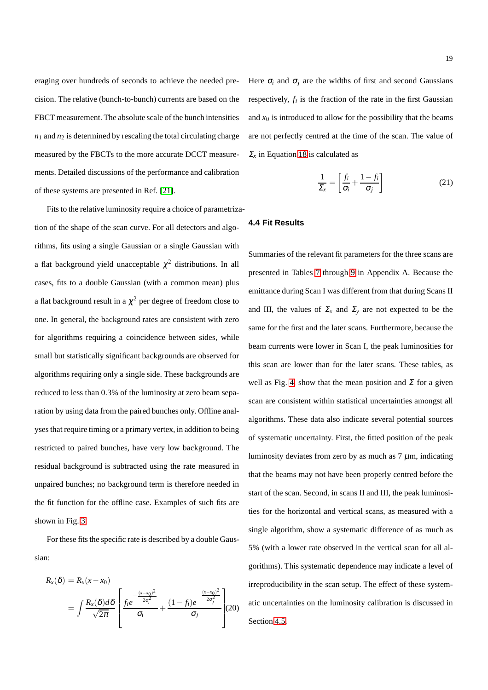eraging over hundreds of seconds to achieve the needed precision. The relative (bunch-to-bunch) currents are based on the FBCT measurement. The absolute scale of the bunch intensities  $n_1$  and  $n_2$  is determined by rescaling the total circulating charge measured by the FBCTs to the more accurate DCCT measurements. Detailed discussions of the performance and calibration of these systems are presented in Ref. [\[21\]](#page-36-20).

Fits to the relative luminosity require a choice of parametrization of the shape of the scan curve. For all detectors and algorithms, fits using a single Gaussian or a single Gaussian with a flat background yield unacceptable  $\chi^2$  distributions. In all cases, fits to a double Gaussian (with a common mean) plus a flat background result in a  $\chi^2$  per degree of freedom close to one. In general, the background rates are consistent with zero for algorithms requiring a coincidence between sides, while small but statistically significant backgrounds are observed for algorithms requiring only a single side. These backgrounds are reduced to less than 0.3% of the luminosity at zero beam separation by using data from the paired bunches only. Offline analyses that require timing or a primary vertex, in addition to being restricted to paired bunches, have very low background. The residual background is subtracted using the rate measured in unpaired bunches; no background term is therefore needed in the fit function for the offline case. Examples of such fits are shown in Fig. [3.](#page-20-0)

For these fits the specific rate is described by a double Gaussian:

$$
R_{x}(\delta) = R_{x}(x - x_{0})
$$
  
= 
$$
\int \frac{R_{x}(\delta) d\delta}{\sqrt{2\pi}} \left[ \frac{f_{i}e^{-\frac{(x - x_{0})^{2}}{2\sigma_{i}^{2}}} }{\sigma_{i}} + \frac{(1 - f_{i})e^{-\frac{(x - x_{0})^{2}}{2\sigma_{j}^{2}}} }{\sigma_{j}} \right](20)
$$

Here  $\sigma_i$  and  $\sigma_j$  are the widths of first and second Gaussians respectively,  $f_i$  is the fraction of the rate in the first Gaussian and  $x_0$  is introduced to allow for the possibility that the beams are not perfectly centred at the time of the scan. The value of  $\Sigma$ <sub>x</sub> in Equation [18](#page-16-5) is calculated as

$$
\frac{1}{\Sigma_x} = \left[ \frac{f_i}{\sigma_i} + \frac{1 - f_i}{\sigma_j} \right]
$$
 (21)

## <span id="page-19-0"></span>**4.4 Fit Results**

Summaries of the relevant fit parameters for the three scans are presented in Tables [7](#page-32-0) through [9](#page-34-0) in Appendix A. Because the emittance during Scan I was different from that during Scans II and III, the values of  $\Sigma_x$  and  $\Sigma_y$  are not expected to be the same for the first and the later scans. Furthermore, because the beam currents were lower in Scan I, the peak luminosities for this scan are lower than for the later scans. These tables, as well as Fig. [4,](#page-30-0) show that the mean position and  $\Sigma$  for a given scan are consistent within statistical uncertainties amongst all algorithms. These data also indicate several potential sources of systematic uncertainty. First, the fitted position of the peak luminosity deviates from zero by as much as  $7 \mu m$ , indicating that the beams may not have been properly centred before the start of the scan. Second, in scans II and III, the peak luminosities for the horizontal and vertical scans, as measured with a single algorithm, show a systematic difference of as much as 5% (with a lower rate observed in the vertical scan for all algorithms). This systematic dependence may indicate a level of irreproducibility in the scan setup. The effect of these systematic uncertainties on the luminosity calibration is discussed in Section [4.5.](#page-21-0)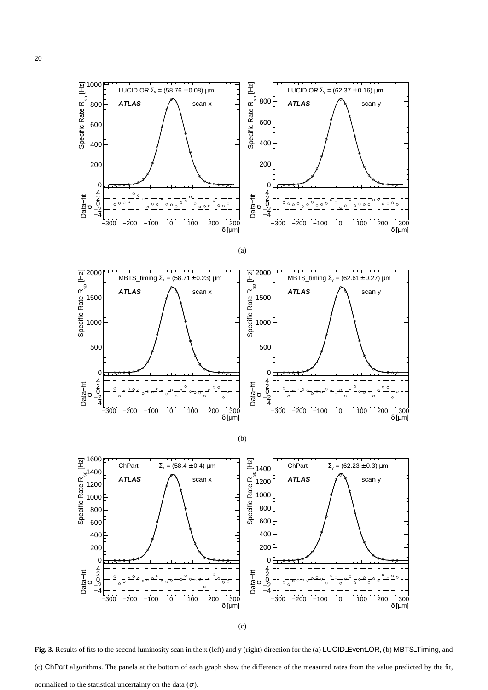









(c)

<span id="page-20-0"></span>Fig. 3. Results of fits to the second luminosity scan in the x (left) and y (right) direction for the (a) LUCID Event OR, (b) MBTS Timing, and (c) ChPart algorithms. The panels at the bottom of each graph show the difference of the measured rates from the value predicted by the fit, normalized to the statistical uncertainty on the data  $(\sigma)$ .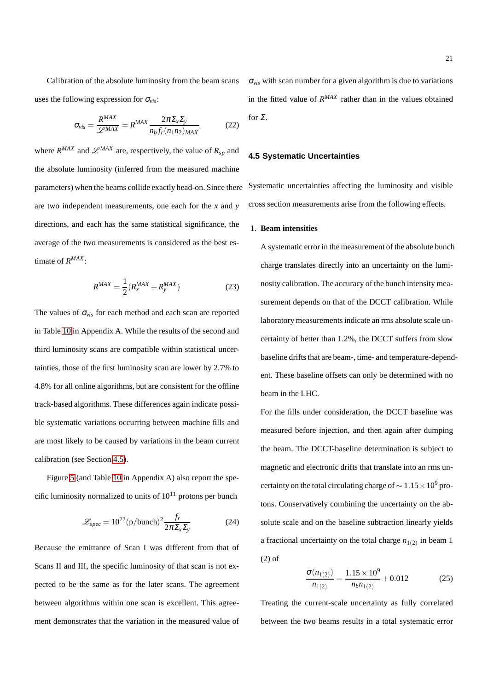Calibration of the absolute luminosity from the beam scans uses the following expression for <sup>σ</sup>*vis*:

<span id="page-21-2"></span>
$$
\sigma_{vis} = \frac{R^{MAX}}{\mathscr{L}^{MAX}} = R^{MAX} \frac{2\pi \Sigma_x \Sigma_y}{n_b f_r(n_1 n_2)_{MAX}} \tag{22}
$$

where  $R^{MAX}$  and  $\mathscr{L}^{MAX}$  are, respectively, the value of  $R_{sp}$  and the absolute luminosity (inferred from the measured machine parameters) when the beams collide exactly head-on. Since there are two independent measurements, one each for the *x* and *y* directions, and each has the same statistical significance, the average of the two measurements is considered as the best estimate of *R MAX* :

<span id="page-21-1"></span>
$$
R^{MAX} = \frac{1}{2}(R_x^{MAX} + R_y^{MAX})
$$
 (23)

The values of  $\sigma_{vis}$  for each method and each scan are reported in Table [10](#page-35-0) in Appendix A. While the results of the second and third luminosity scans are compatible within statistical uncertainties, those of the first luminosity scan are lower by 2.7% to 4.8% for all online algorithms, but are consistent for the offline track-based algorithms. These differences again indicate possible systematic variations occurring between machine fills and are most likely to be caused by variations in the beam current calibration (see Section [4.5\)](#page-21-0).

Figure [5](#page-31-0) (and Table [10](#page-35-0) in Appendix A) also report the specific luminosity normalized to units of  $10^{11}$  protons per bunch

$$
\mathcal{L}_{spec} = 10^{22} (p/bunch)^2 \frac{f_r}{2\pi \Sigma_x \Sigma_y}
$$
 (24)

Because the emittance of Scan I was different from that of Scans II and III, the specific luminosity of that scan is not expected to be the same as for the later scans. The agreement between algorithms within one scan is excellent. This agreement demonstrates that the variation in the measured value of <sup>σ</sup>*vis* with scan number for a given algorithm is due to variations in the fitted value of  $R^{MAX}$  rather than in the values obtained for  $\Sigma$ .

## <span id="page-21-0"></span>**4.5 Systematic Uncertainties**

Systematic uncertainties affecting the luminosity and visible cross section measurements arise from the following effects.

## 1. **Beam intensities**

A systematic error in the measurement of the absolute bunch charge translates directly into an uncertainty on the luminosity calibration. The accuracy of the bunch intensity measurement depends on that of the DCCT calibration. While laboratory measurements indicate an rms absolute scale uncertainty of better than 1.2%, the DCCT suffers from slow baseline drifts that are beam-, time- and temperature-dependent. These baseline offsets can only be determined with no beam in the LHC.

For the fills under consideration, the DCCT baseline was measured before injection, and then again after dumping the beam. The DCCT-baseline determination is subject to magnetic and electronic drifts that translate into an rms uncertainty on the total circulating charge of  $\sim 1.15 \times 10^9$  protons. Conservatively combining the uncertainty on the absolute scale and on the baseline subtraction linearly yields a fractional uncertainty on the total charge  $n_{1(2)}$  in beam 1 (2) of

$$
\frac{\sigma(n_{1(2)})}{n_{1(2)}} = \frac{1.15 \times 10^9}{n_b n_{1(2)}} + 0.012
$$
 (25)

Treating the current-scale uncertainty as fully correlated between the two beams results in a total systematic error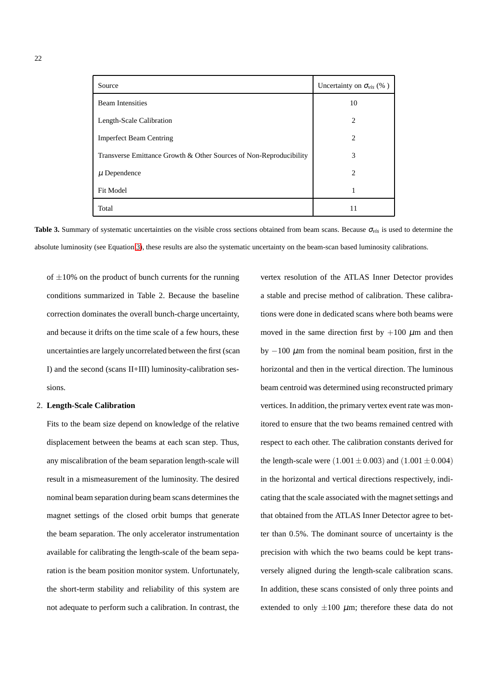| Source                                                             | Uncertainty on $\sigma_{vis}$ (%) |
|--------------------------------------------------------------------|-----------------------------------|
| <b>Beam Intensities</b>                                            | 10                                |
| Length-Scale Calibration                                           | $\mathcal{D}_{\mathcal{L}}$       |
| <b>Imperfect Beam Centring</b>                                     | 2                                 |
| Transverse Emittance Growth & Other Sources of Non-Reproducibility | 3                                 |
| $\mu$ Dependence                                                   | 2                                 |
| <b>Fit Model</b>                                                   | 1                                 |
| Total                                                              | 11                                |

<span id="page-22-0"></span>**Table 3.** Summary of systematic uncertainties on the visible cross sections obtained from beam scans. Because  $\sigma_{vis}$  is used to determine the absolute luminosity (see Equation [3\)](#page-2-1), these results are also the systematic uncertainty on the beam-scan based luminosity calibrations.

of  $\pm 10\%$  on the product of bunch currents for the running conditions summarized in Table 2. Because the baseline correction dominates the overall bunch-charge uncertainty, and because it drifts on the time scale of a few hours, these uncertainties are largely uncorrelated between the first (scan I) and the second (scans II+III) luminosity-calibration sessions.

#### 2. **Length-Scale Calibration**

Fits to the beam size depend on knowledge of the relative displacement between the beams at each scan step. Thus, any miscalibration of the beam separation length-scale will result in a mismeasurement of the luminosity. The desired nominal beam separation during beam scans determines the magnet settings of the closed orbit bumps that generate the beam separation. The only accelerator instrumentation available for calibrating the length-scale of the beam separation is the beam position monitor system. Unfortunately, the short-term stability and reliability of this system are not adequate to perform such a calibration. In contrast, the vertex resolution of the ATLAS Inner Detector provides a stable and precise method of calibration. These calibrations were done in dedicated scans where both beams were moved in the same direction first by  $+100 \mu$ m and then by  $-100 \mu$ m from the nominal beam position, first in the horizontal and then in the vertical direction. The luminous beam centroid was determined using reconstructed primary vertices. In addition, the primary vertex event rate was monitored to ensure that the two beams remained centred with respect to each other. The calibration constants derived for the length-scale were  $(1.001 \pm 0.003)$  and  $(1.001 \pm 0.004)$ in the horizontal and vertical directions respectively, indicating that the scale associated with the magnet settings and that obtained from the ATLAS Inner Detector agree to better than 0.5%. The dominant source of uncertainty is the precision with which the two beams could be kept transversely aligned during the length-scale calibration scans. In addition, these scans consisted of only three points and extended to only  $\pm 100 \mu$ m; therefore these data do not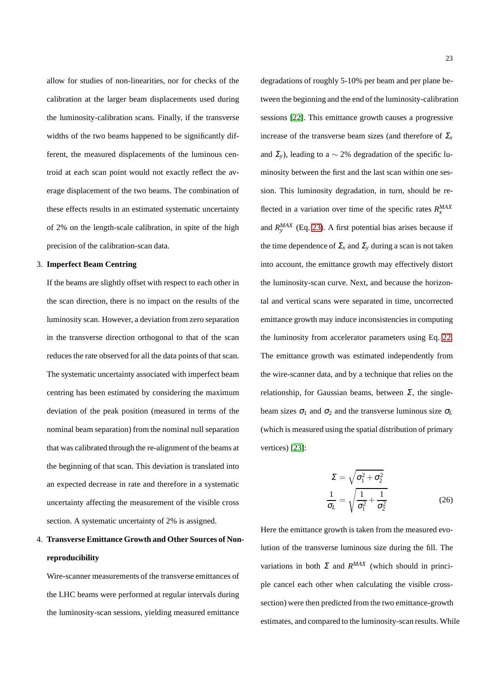allow for studies of non-linearities, nor for checks of the calibration at the larger beam displacements used during the luminosity-calibration scans. Finally, if the transverse widths of the two beams happened to be significantly different, the measured displacements of the luminous centroid at each scan point would not exactly reflect the average displacement of the two beams. The combination of these effects results in an estimated systematic uncertainty of 2% on the length-scale calibration, in spite of the high precision of the calibration-scan data.

## 3. **Imperfect Beam Centring**

If the beams are slightly offset with respect to each other in the scan direction, there is no impact on the results of the luminosity scan. However, a deviation from zero separation in the transverse direction orthogonal to that of the scan reduces the rate observed for all the data points of that scan. The systematic uncertainty associated with imperfect beam centring has been estimated by considering the maximum deviation of the peak position (measured in terms of the nominal beam separation) from the nominal null separation that was calibrated through the re-alignment of the beams at the beginning of that scan. This deviation is translated into an expected decrease in rate and therefore in a systematic uncertainty affecting the measurement of the visible cross section. A systematic uncertainty of 2% is assigned.

## 4. **Transverse Emittance Growth and Other Sources of Nonreproducibility**

Wire-scanner measurements of the transverse emittances of the LHC beams were performed at regular intervals during the luminosity-scan sessions, yielding measured emittance degradations of roughly 5-10% per beam and per plane between the beginning and the end of the luminosity-calibration sessions [\[22\]](#page-36-21). This emittance growth causes a progressive increase of the transverse beam sizes (and therefore of  $\Sigma$ <sub>*x*</sub> and  $\Sigma$ <sub>*y*</sub>), leading to a ~ 2% degradation of the specific luminosity between the first and the last scan within one session. This luminosity degradation, in turn, should be reflected in a variation over time of the specific rates  $R_x^{MAX}$ and  $R_{y}^{MAX}$  (Eq. [23\)](#page-21-1). A first potential bias arises because if the time dependence of  $\Sigma_x$  and  $\Sigma_y$  during a scan is not taken into account, the emittance growth may effectively distort the luminosity-scan curve. Next, and because the horizontal and vertical scans were separated in time, uncorrected emittance growth may induce inconsistencies in computing the luminosity from accelerator parameters using Eq. [22.](#page-21-2) The emittance growth was estimated independently from the wire-scanner data, and by a technique that relies on the relationship, for Gaussian beams, between  $\Sigma$ , the singlebeam sizes  $\sigma_1$  and  $\sigma_2$  and the transverse luminous size  $\sigma_L$ (which is measured using the spatial distribution of primary vertices) [\[23\]](#page-36-22):

$$
\Sigma = \sqrt{\sigma_1^2 + \sigma_2^2}
$$

$$
\frac{1}{\sigma_L} = \sqrt{\frac{1}{\sigma_1^2} + \frac{1}{\sigma_2^2}}
$$
(26)

Here the emittance growth is taken from the measured evolution of the transverse luminous size during the fill. The variations in both  $\Sigma$  and  $R^{MAX}$  (which should in principle cancel each other when calculating the visible crosssection) were then predicted from the two emittance-growth estimates, and compared to the luminosity-scan results. While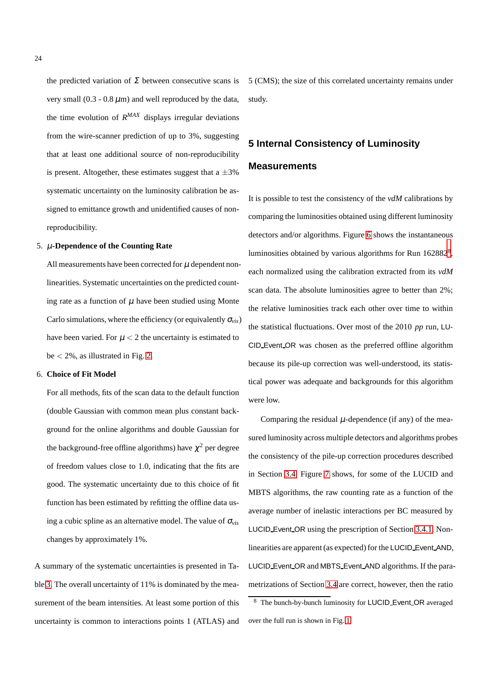the predicted variation of  $\Sigma$  between consecutive scans is very small  $(0.3 - 0.8 \,\mu\text{m})$  and well reproduced by the data, the time evolution of *R MAX* displays irregular deviations from the wire-scanner prediction of up to 3%, suggesting that at least one additional source of non-reproducibility is present. Altogether, these estimates suggest that a  $\pm 3\%$ systematic uncertainty on the luminosity calibration be assigned to emittance growth and unidentified causes of nonreproducibility.

## 5. µ**-Dependence of the Counting Rate**

All measurements have been corrected for  $\mu$  dependent nonlinearities. Systematic uncertainties on the predicted counting rate as a function of  $\mu$  have been studied using Monte Carlo simulations, where the efficiency (or equivalently  $\sigma_{\rm vis}$ ) have been varied. For  $\mu < 2$  the uncertainty is estimated to be  $\lt 2\%$ , as illustrated in Fig. [2.](#page-15-1)

## 6. **Choice of Fit Model**

For all methods, fits of the scan data to the default function (double Gaussian with common mean plus constant background for the online algorithms and double Gaussian for the background-free offline algorithms) have  $\chi^2$  per degree of freedom values close to 1.0, indicating that the fits are good. The systematic uncertainty due to this choice of fit function has been estimated by refitting the offline data using a cubic spline as an alternative model. The value of <sup>σ</sup>*vis* changes by approximately 1%.

A summary of the systematic uncertainties is presented in Table [3.](#page-22-0) The overall uncertainty of 11% is dominated by the measurement of the beam intensities. At least some portion of this uncertainty is common to interactions points 1 (ATLAS) and

5 (CMS); the size of this correlated uncertainty remains under study.

## <span id="page-24-0"></span>**5 Internal Consistency of Luminosity Measurements**

It is possible to test the consistency of the *vdM* calibrations by comparing the luminosities obtained using different luminosity detectors and/or algorithms. Figure [6](#page-25-1) shows the instantaneous luminosities obtained by various algorithms for Run  $162882<sup>8</sup>$  $162882<sup>8</sup>$  $162882<sup>8</sup>$ , each normalized using the calibration extracted from its *vdM* scan data. The absolute luminosities agree to better than 2%; the relative luminosities track each other over time to within the statistical fluctuations. Over most of the 2010 *pp* run, LU-CID Event OR was chosen as the preferred offline algorithm because its pile-up correction was well-understood, its statistical power was adequate and backgrounds for this algorithm were low.

Comparing the residual  $\mu$ -dependence (if any) of the measured luminosity across multiple detectors and algorithms probes the consistency of the pile-up correction procedures described in Section [3.4.](#page-13-0) Figure [7](#page-26-0) shows, for some of the LUCID and MBTS algorithms, the raw counting rate as a function of the average number of inelastic interactions per BC measured by LUCID Event OR using the prescription of Section [3.4.1.](#page-13-1) Nonlinearities are apparent (as expected) for the LUCID Event AND, LUCID Event OR and MBTS Event AND algorithms. If the parametrizations of Section [3.4](#page-13-0) are correct, however, then the ratio

<span id="page-24-1"></span><sup>8</sup> The bunch-by-bunch luminosity for LUCID Event OR averaged over the full run is shown in Fig. [1.](#page-9-0)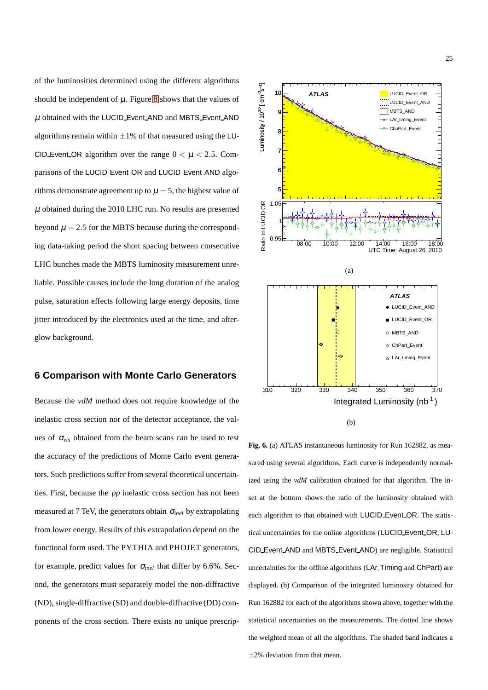of the luminosities determined using the different algorithms should be independent of  $\mu$ . Figure [8](#page-26-1) shows that the values of  $\mu$  obtained with the LUCID Event AND and MBTS Event AND algorithms remain within  $\pm 1\%$  of that measured using the LU-CID Event OR algorithm over the range  $0 < \mu < 2.5$ . Comparisons of the LUCID Event OR and LUCID Event AND algorithms demonstrate agreement up to  $\mu = 5$ , the highest value of  $\mu$  obtained during the 2010 LHC run. No results are presented beyond  $\mu = 2.5$  for the MBTS because during the corresponding data-taking period the short spacing between consecutive LHC bunches made the MBTS luminosity measurement unreliable. Possible causes include the long duration of the analog pulse, saturation effects following large energy deposits, time jitter introduced by the electronics used at the time, and afterglow background.

## <span id="page-25-0"></span>**6 Comparison with Monte Carlo Generators**

Because the *vdM* method does not require knowledge of the inelastic cross section nor of the detector acceptance, the values of <sup>σ</sup>*vis* obtained from the beam scans can be used to test the accuracy of the predictions of Monte Carlo event generators. Such predictions suffer from several theoretical uncertainties. First, because the *pp* inelastic cross section has not been measured at 7 TeV, the generators obtain <sup>σ</sup>*inel* by extrapolating from lower energy. Results of this extrapolation depend on the functional form used. The PYTHIA and PHOJET generators, for example, predict values for <sup>σ</sup>*inel* that differ by 6.6%. Second, the generators must separately model the non-diffractive (ND), single-diffractive (SD) and double-diffractive(DD) components of the cross section. There exists no unique prescrip-



(b)

<span id="page-25-1"></span>**Fig. 6.** (a) ATLAS instantaneous luminosity for Run 162882, as measured using several algorithms. Each curve is independently normalized using the *vdM* calibration obtained for that algorithm. The inset at the bottom shows the ratio of the luminosity obtained with each algorithm to that obtained with LUCID Event OR. The statistical uncertainties for the online algorithms (LUCID Event OR, LU-CID Event AND and MBTS Event AND) are negligible. Statistical uncertainties for the offline algorithms (LAr Timing and ChPart) are displayed. (b) Comparison of the integrated luminosity obtained for Run 162882 for each of the algorithms shown above, together with the statistical uncertainties on the measurements. The dotted line shows the weighted mean of all the algorithms. The shaded band indicates a  $\pm$ 2% deviation from that mean.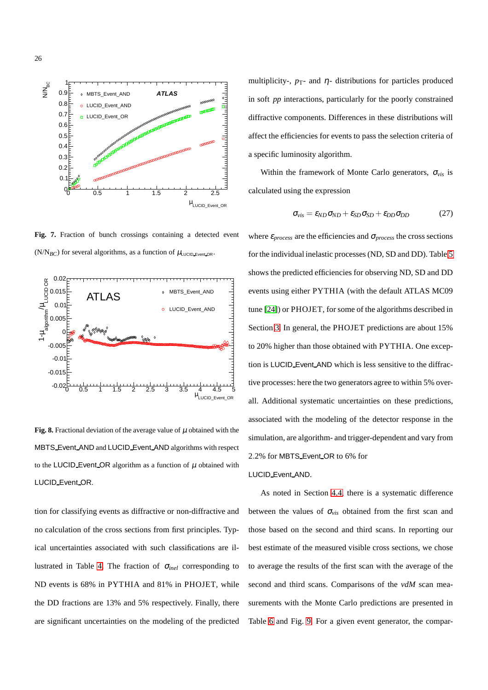

<span id="page-26-0"></span>**Fig. 7.** Fraction of bunch crossings containing a detected event (N/N<sub>BC</sub>) for several algorithms, as a function of  $\mu_{\text{LUCID\_Event OR}}$ .



<span id="page-26-1"></span>**Fig. 8.** Fractional deviation of the average value of  $\mu$  obtained with the MBTS Event AND and LUCID Event AND algorithms with respect to the LUCID Event OR algorithm as a function of  $\mu$  obtained with LUCID Event OR.

tion for classifying events as diffractive or non-diffractive and no calculation of the cross sections from first principles. Typical uncertainties associated with such classifications are illustrated in Table [4.](#page-27-1) The fraction of <sup>σ</sup>*inel* corresponding to ND events is 68% in PYTHIA and 81% in PHOJET, while the DD fractions are 13% and 5% respectively. Finally, there are significant uncertainties on the modeling of the predicted multiplicity-,  $p_T$ - and  $\eta$ - distributions for particles produced in soft *pp* interactions, particularly for the poorly constrained diffractive components. Differences in these distributions will affect the efficiencies for events to pass the selection criteria of a specific luminosity algorithm.

Within the framework of Monte Carlo generators, <sup>σ</sup>*vis* is calculated using the expression

<span id="page-26-2"></span>
$$
\sigma_{vis} = \varepsilon_{ND} \sigma_{ND} + \varepsilon_{SD} \sigma_{SD} + \varepsilon_{DD} \sigma_{DD} \tag{27}
$$

where  $\varepsilon_{process}$  are the efficiencies and  $\sigma_{process}$  the cross sections for the individual inelastic processes (ND, SD and DD). Table [5](#page-28-0) shows the predicted efficiencies for observing ND, SD and DD events using either PYTHIA (with the default ATLAS MC09 tune [\[24\]](#page-36-23)) or PHOJET, for some of the algorithms described in Section [3.](#page-6-0) In general, the PHOJET predictions are about 15% to 20% higher than those obtained with PYTHIA. One exception is LUCID Event AND which is less sensitive to the diffractive processes: here the two generators agree to within 5% overall. Additional systematic uncertainties on these predictions, associated with the modeling of the detector response in the simulation, are algorithm- and trigger-dependent and vary from 2.2% for MBTS Event OR to 6% for

## LUCID Event AND.

As noted in Section [4.4,](#page-19-0) there is a systematic difference between the values of  $\sigma_{vis}$  obtained from the first scan and those based on the second and third scans. In reporting our best estimate of the measured visible cross sections, we chose to average the results of the first scan with the average of the second and third scans. Comparisons of the *vdM* scan measurements with the Monte Carlo predictions are presented in Table [6](#page-29-0) and Fig. [9.](#page-31-1) For a given event generator, the compar-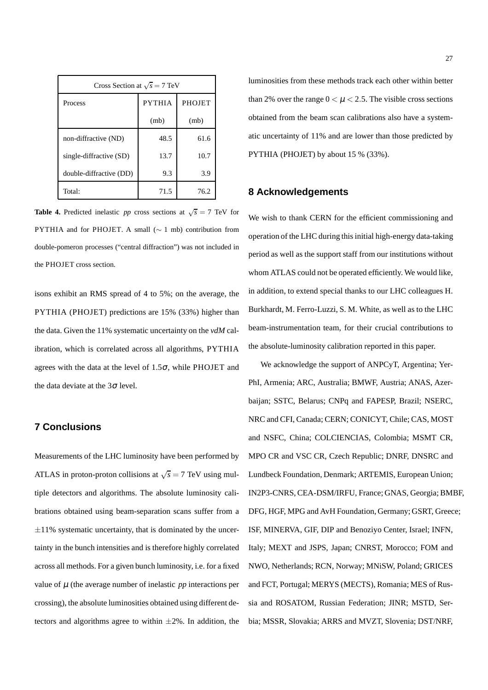| Cross Section at $\sqrt{s} = 7$ TeV       |      |      |  |  |  |
|-------------------------------------------|------|------|--|--|--|
| <b>PYTHIA</b><br><b>PHOJET</b><br>Process |      |      |  |  |  |
|                                           | (mb) | (mb) |  |  |  |
| non-diffractive (ND)                      | 48.5 | 61.6 |  |  |  |
| single-diffractive (SD)                   | 13.7 | 10.7 |  |  |  |
| double-diffractive (DD)                   | 9.3  | 3.9  |  |  |  |
| Total:                                    | 71.5 | 76.2 |  |  |  |

<span id="page-27-1"></span>**Table 4.** Predicted inelastic *pp* cross sections at  $\sqrt{s} = 7$  TeV for PYTHIA and for PHOJET. A small (∼ 1 mb) contribution from double-pomeron processes ("central diffraction") was not included in the PHOJET cross section.

isons exhibit an RMS spread of 4 to 5%; on the average, the PYTHIA (PHOJET) predictions are 15% (33%) higher than the data. Given the 11% systematic uncertainty on the *vdM* calibration, which is correlated across all algorithms, PYTHIA agrees with the data at the level of  $1.5\sigma$ , while PHOJET and the data deviate at the  $3\sigma$  level.

## <span id="page-27-0"></span>**7 Conclusions**

Measurements of the LHC luminosity have been performed by ATLAS in proton-proton collisions at  $\sqrt{s} = 7$  TeV using multiple detectors and algorithms. The absolute luminosity calibrations obtained using beam-separation scans suffer from a  $\pm 11\%$  systematic uncertainty, that is dominated by the uncertainty in the bunch intensities and is therefore highly correlated across all methods. For a given bunch luminosity, i.e. for a fixed value of  $\mu$  (the average number of inelastic  $pp$  interactions per crossing), the absolute luminosities obtained using different detectors and algorithms agree to within  $\pm 2\%$ . In addition, the luminosities from these methods track each other within better than 2% over the range  $0 < \mu < 2.5$ . The visible cross sections obtained from the beam scan calibrations also have a systematic uncertainty of 11% and are lower than those predicted by PYTHIA (PHOJET) by about 15 % (33%).

## **8 Acknowledgements**

We wish to thank CERN for the efficient commissioning and operation of the LHC during this initial high-energy data-taking period as well as the support staff from our institutions without whom ATLAS could not be operated efficiently. We would like, in addition, to extend special thanks to our LHC colleagues H. Burkhardt, M. Ferro-Luzzi, S. M. White, as well as to the LHC beam-instrumentation team, for their crucial contributions to the absolute-luminosity calibration reported in this paper.

We acknowledge the support of ANPCyT, Argentina; Yer-PhI, Armenia; ARC, Australia; BMWF, Austria; ANAS, Azerbaijan; SSTC, Belarus; CNPq and FAPESP, Brazil; NSERC, NRC and CFI, Canada; CERN; CONICYT, Chile; CAS, MOST and NSFC, China; COLCIENCIAS, Colombia; MSMT CR, MPO CR and VSC CR, Czech Republic; DNRF, DNSRC and Lundbeck Foundation, Denmark; ARTEMIS, European Union; IN2P3-CNRS, CEA-DSM/IRFU, France; GNAS, Georgia; BMBF, DFG, HGF, MPG and AvH Foundation, Germany; GSRT, Greece; ISF, MINERVA, GIF, DIP and Benoziyo Center, Israel; INFN, Italy; MEXT and JSPS, Japan; CNRST, Morocco; FOM and NWO, Netherlands; RCN, Norway; MNiSW, Poland; GRICES and FCT, Portugal; MERYS (MECTS), Romania; MES of Russia and ROSATOM, Russian Federation; JINR; MSTD, Serbia; MSSR, Slovakia; ARRS and MVZT, Slovenia; DST/NRF,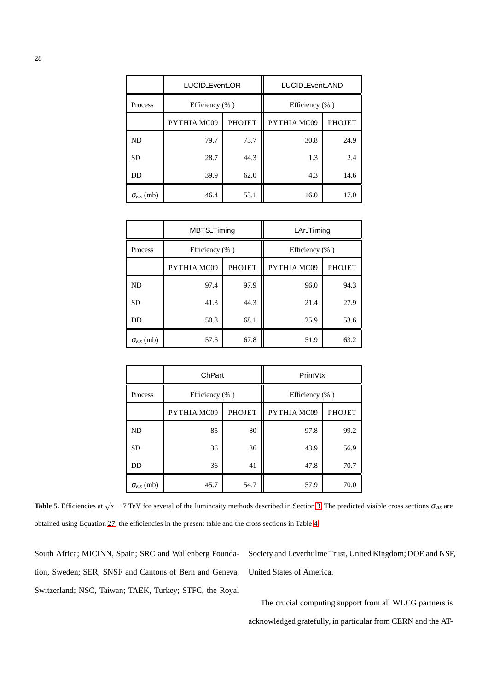|                     | LUCID_Event_OR     |               | LUCID_Event_AND    |               |
|---------------------|--------------------|---------------|--------------------|---------------|
| Process             | Efficiency $(\% )$ |               | Efficiency $(\% )$ |               |
|                     | PYTHIA MC09        | <b>PHOJET</b> | PYTHIA MC09        | <b>PHOJET</b> |
| <b>ND</b>           | 79.7               | 73.7          | 30.8               | 24.9          |
| <b>SD</b>           | 28.7               | 44.3          | 1.3                | 2.4           |
| DD                  | 39.9               | 62.0          | 4.3                | 14.6          |
| $\sigma_{vis}$ (mb) | 46.4               | 53.1          | 16.0               | 17.0          |

|                     | <b>MBTS</b> Timing |               | LAr_Timing         |               |
|---------------------|--------------------|---------------|--------------------|---------------|
| Process             | Efficiency $(\% )$ |               | Efficiency $(\% )$ |               |
|                     | PYTHIA MC09        | <b>PHOJET</b> | PYTHIA MC09        | <b>PHOJET</b> |
| <b>ND</b>           | 97.4               | 97.9          | 96.0               | 94.3          |
| <b>SD</b>           | 41.3               | 44.3          | 21.4               | 27.9          |
| <b>DD</b>           | 50.8               | 68.1          | 25.9               | 53.6          |
| $\sigma_{vis}$ (mb) | 57.6               | 67.8          | 51.9               | 63.2          |

|                     | ChPart         |               | PrimVtx        |               |
|---------------------|----------------|---------------|----------------|---------------|
| Process             | Efficiency (%) |               | Efficiency (%) |               |
|                     | PYTHIA MC09    | <b>PHOJET</b> | PYTHIA MC09    | <b>PHOJET</b> |
| ND                  | 85             | 80            | 97.8           | 99.2          |
| <b>SD</b>           | 36             | 36            | 43.9           | 56.9          |
| DD                  | 36             | 41            | 47.8           | 70.7          |
| $\sigma_{vis}$ (mb) | 45.7           | 54.7          | 57.9           | 70.0          |

<span id="page-28-0"></span>**Table 5.** Efficiencies at  $\sqrt{s} = 7$  TeV for several of the luminosity methods described in Section [3.](#page-6-0) The predicted visible cross sections  $\sigma_{vis}$  are obtained using Equation [27,](#page-26-2) the efficiencies in the present table and the cross sections in Table [4.](#page-27-1)

South Africa; MICINN, Spain; SRC and Wallenberg Foundation, Sweden; SER, SNSF and Cantons of Bern and Geneva, Switzerland; NSC, Taiwan; TAEK, Turkey; STFC, the Royal

Society and Leverhulme Trust, United Kingdom; DOE and NSF, United States of America.

The crucial computing support from all WLCG partners is acknowledged gratefully, in particular from CERN and the AT-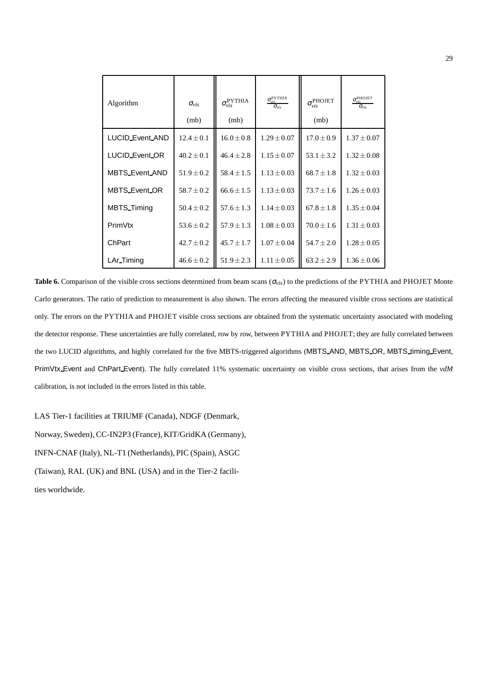| Algorithm              | $\sigma_{vis}$<br>(mb) | $\sigma_{vis}^{\rm PYTHIA}$<br>(mb) | $\sigma_{vis}^{\rm PYTHIA}$<br>$\sigma_{vis}$ | $\sigma_{vis}^{\text{PHOJET}}$<br>(mb) | $\sigma_{vis}^{\text{PHOJET}}$<br>$\sigma_{\rm vis}$ |
|------------------------|------------------------|-------------------------------------|-----------------------------------------------|----------------------------------------|------------------------------------------------------|
| <b>LUCID_Event_AND</b> | $12.4 \pm 0.1$         | $16.0 \pm 0.8$                      | $1.29 \pm 0.07$                               | $17.0 \pm 0.9$                         | $1.37 \pm 0.07$                                      |
| LUCID_Event_OR         | $40.2 + 0.1$           | $46.4 \pm 2.8$                      | $1.15 + 0.07$                                 | $53.1 \pm 3.2$                         | $1.32 \pm 0.08$                                      |
| MBTS_Event_AND         | $51.9 \pm 0.2$         | $58.4 \pm 1.5$                      | $1.13 \pm 0.03$                               | $68.7 \pm 1.8$                         | $1.32 \pm 0.03$                                      |
| MBTS_Event_OR          | $58.7 \pm 0.2$         | $66.6 \pm 1.5$                      | $1.13 \pm 0.03$                               | $73.7 \pm 1.6$                         | $1.26 \pm 0.03$                                      |
| <b>MBTS</b> Timing     | $50.4 \pm 0.2$         | $57.6 + 1.3$                        | $1.14 + 0.03$                                 | $67.8 + 1.8$                           | $1.35 \pm 0.04$                                      |
| PrimVtx                | $53.6 \pm 0.2$         | $57.9 \pm 1.3$                      | $1.08 \pm 0.03$                               | $70.0 \pm 1.6$                         | $1.31 \pm 0.03$                                      |
| ChPart                 | $42.7 \pm 0.2$         | $45.7 + 1.7$                        | $1.07 + 0.04$                                 | $54.7 \pm 2.0$                         | $1.28 \pm 0.05$                                      |
| LAr_Timing             | $46.6 \pm 0.2$         | $51.9 \pm 2.3$                      | $1.11 \pm 0.05$                               | $63.2 \pm 2.9$                         | $1.36 \pm 0.06$                                      |

<span id="page-29-0"></span>**Table 6.** Comparison of the visible cross sections determined from beam scans (<sup>σ</sup>*vis*) to the predictions of the PYTHIA and PHOJET Monte Carlo generators. The ratio of prediction to measurement is also shown. The errors affecting the measured visible cross sections are statistical only. The errors on the PYTHIA and PHOJET visible cross sections are obtained from the systematic uncertainty associated with modeling the detector response. These uncertainties are fully correlated, row by row, between PYTHIA and PHOJET; they are fully correlated between the two LUCID algorithms, and highly correlated for the five MBTS-triggered algorithms (MBTS\_AND, MBTS\_OR, MBTS\_timing\_Event, PrimVtx Event and ChPart Event). The fully correlated 11% systematic uncertainty on visible cross sections, that arises from the *vdM* calibration, is not included in the errors listed in this table.

LAS Tier-1 facilities at TRIUMF (Canada), NDGF (Denmark, Norway, Sweden), CC-IN2P3 (France), KIT/GridKA (Germany), INFN-CNAF (Italy), NL-T1 (Netherlands), PIC (Spain), ASGC (Taiwan), RAL (UK) and BNL (USA) and in the Tier-2 facilities worldwide.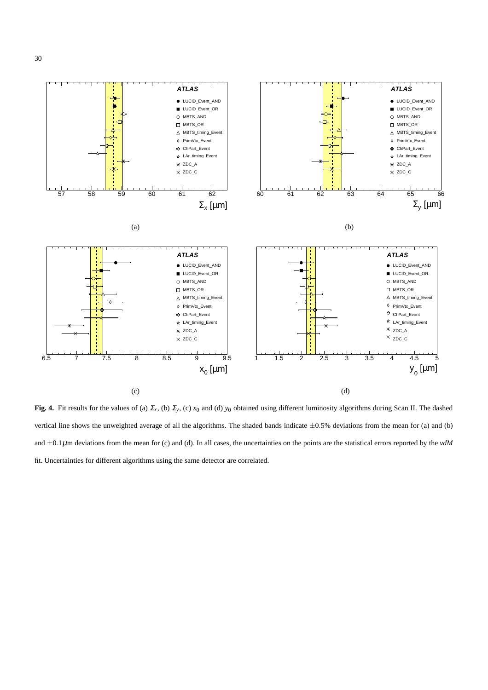

<span id="page-30-0"></span>**Fig. 4.** Fit results for the values of (a)  $\Sigma_x$ , (b)  $\Sigma_y$ , (c)  $x_0$  and (d)  $y_0$  obtained using different luminosity algorithms during Scan II. The dashed vertical line shows the unweighted average of all the algorithms. The shaded bands indicate  $\pm 0.5$ % deviations from the mean for (a) and (b) and  $\pm 0.1 \mu$ m deviations from the mean for (c) and (d). In all cases, the uncertainties on the points are the statistical errors reported by the *vdM* fit. Uncertainties for different algorithms using the same detector are correlated.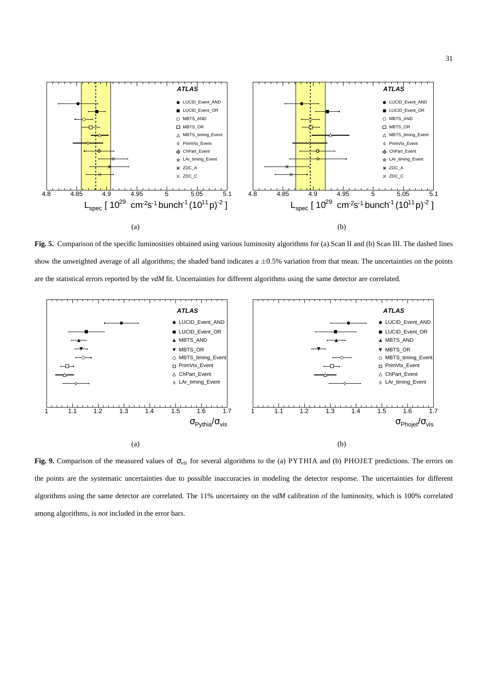

<span id="page-31-0"></span>**Fig. 5.** Comparison of the specific luminosities obtained using various luminosity algorithms for (a) Scan II and (b) Scan III. The dashed lines show the unweighted average of all algorithms; the shaded band indicates a  $\pm 0.5\%$  variation from that mean. The uncertainties on the points are the statistical errors reported by the *vdM* fit. Uncertainties for different algorithms using the same detector are correlated.



<span id="page-31-1"></span>**Fig. 9.** Comparison of the measured values of <sup>σ</sup>*vis* for several algorithms to the (a) PYTHIA and (b) PHOJET predictions. The errors on the points are the systematic uncertainties due to possible inaccuracies in modeling the detector response. The uncertainties for different algorithms using the same detector are correlated. The 11% uncertainty on the *vdM* calibration of the luminosity, which is 100% correlated among algorithms, is *not* included in the error bars.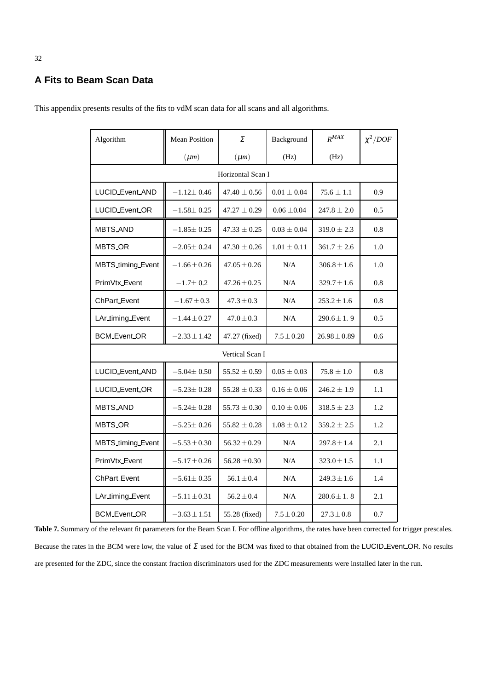## **A Fits to Beam Scan Data**

| Algorithm             | <b>Mean Position</b> | Σ                 | Background      | $R^{MAX}$        | $\chi^2/DOF$ |
|-----------------------|----------------------|-------------------|-----------------|------------------|--------------|
|                       | $(\mu m)$            | $(\mu m)$         | (Hz)            | (Hz)             |              |
|                       |                      | Horizontal Scan I |                 |                  |              |
| LUCID_Event_AND       | $-1.12 \pm 0.46$     | $47.40 \pm 0.56$  | $0.01 \pm 0.04$ | $75.6 \pm 1.1$   | 0.9          |
| LUCID_Event_OR        | $-1.58 \pm 0.25$     | $47.27 \pm 0.29$  | $0.06 \pm 0.04$ | $247.8 \pm 2.0$  | 0.5          |
| MBTS_AND              | $-1.85 \pm 0.25$     | $47.33 \pm 0.25$  | $0.03 \pm 0.04$ | $319.0 \pm 2.3$  | 0.8          |
| <b>MBTS OR</b>        | $-2.05+0.24$         | $47.30 + 0.26$    | $1.01 \pm 0.11$ | $361.7 \pm 2.6$  | 1.0          |
| MBTS_timing_Event     | $-1.66 \pm 0.26$     | $47.05 \pm 0.26$  | N/A             | $306.8 \pm 1.6$  | 1.0          |
| PrimVtx_Event         | $-1.7 \pm 0.2$       | $47.26 \pm 0.25$  | N/A             | $329.7 \pm 1.6$  | 0.8          |
| ChPart_Event          | $-1.67 \pm 0.3$      | $47.3 \pm 0.3$    | N/A             | $253.2 \pm 1.6$  | 0.8          |
| LAr_timing_Event      | $-1.44 \pm 0.27$     | $47.0 \pm 0.3$    | N/A             | $290.6 \pm 1.9$  | 0.5          |
| <b>BCM_Event_OR</b>   | $-2.33 \pm 1.42$     | 47.27 (fixed)     | $7.5 \pm 0.20$  | $26.98 \pm 0.89$ | 0.6          |
|                       |                      | Vertical Scan I   |                 |                  |              |
| LUCID_Event_AND       | $-5.04 \pm 0.50$     | $55.52 \pm 0.59$  | $0.05 \pm 0.03$ | $75.8 \pm 1.0$   | 0.8          |
| <b>LUCID Event OR</b> | $-5.23 \pm 0.28$     | $55.28 \pm 0.33$  | $0.16 \pm 0.06$ | $246.2 \pm 1.9$  | 1.1          |
| <b>MBTS_AND</b>       | $-5.24 \pm 0.28$     | $55.73 \pm 0.30$  | $0.10 \pm 0.06$ | $318.5 \pm 2.3$  | 1.2          |
| <b>MBTS_OR</b>        | $-5.25 \pm 0.26$     | $55.82 \pm 0.28$  | $1.08 \pm 0.12$ | $359.2 \pm 2.5$  | 1.2          |
| MBTS_timing_Event     | $-5.53 \pm 0.30$     | $56.32 \pm 0.29$  | N/A             | $297.8 \pm 1.4$  | 2.1          |
| PrimVtx_Event         | $-5.17 \pm 0.26$     | $56.28 \pm 0.30$  | N/A             | $323.0 \pm 1.5$  | 1.1          |
| ChPart_Event          | $-5.61 \pm 0.35$     | $56.1 \pm 0.4$    | N/A             | $249.3 \pm 1.6$  | 1.4          |
| LAr_timing_Event      | $-5.11 \pm 0.31$     | $56.2 \pm 0.4$    | N/A             | $280.6 \pm 1.8$  | 2.1          |
| <b>BCM</b> Event OR   | $-3.63 \pm 1.51$     | 55.28 (fixed)     | $7.5 \pm 0.20$  | $27.3 \pm 0.8$   | 0.7          |

This appendix presents results of the fits to vdM scan data for all scans and all algorithms.

<span id="page-32-0"></span>Table 7. Summary of the relevant fit parameters for the Beam Scan I. For offline algorithms, the rates have been corrected for trigger prescales. Because the rates in the BCM were low, the value of  $\Sigma$  used for the BCM was fixed to that obtained from the LUCID Event OR. No results are presented for the ZDC, since the constant fraction discriminators used for the ZDC measurements were installed later in the run.

## 32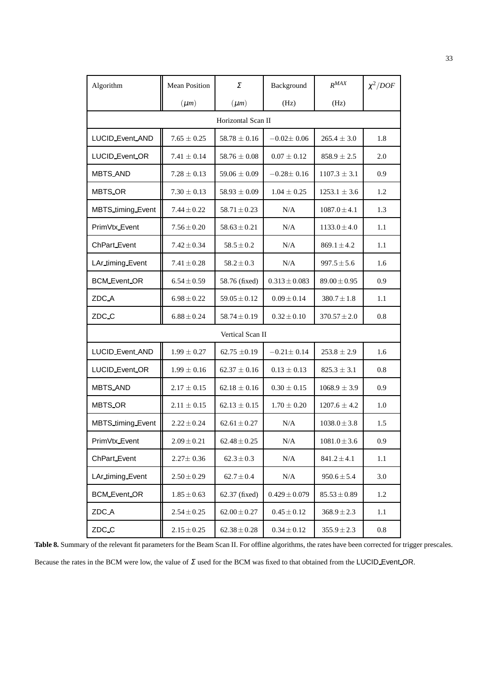| Algorithm             | <b>Mean Position</b> | Σ                  | Background        | $R^{MAX}$        | $\chi^2/DOF$ |
|-----------------------|----------------------|--------------------|-------------------|------------------|--------------|
|                       | $(\mu m)$            | $(\mu m)$          | (Hz)              | (Hz)             |              |
|                       |                      | Horizontal Scan II |                   |                  |              |
| LUCID_Event_AND       | $7.65 \pm 0.25$      | $58.78 \pm 0.16$   | $-0.02 \pm 0.06$  | $265.4 \pm 3.0$  | 1.8          |
| LUCID_Event_OR        | $7.41 \pm 0.14$      | $58.76 \pm 0.08$   | $0.07 \pm 0.12$   | $858.9 \pm 2.5$  | 2.0          |
| <b>MBTS_AND</b>       | $7.28 \pm 0.13$      | $59.06 \pm 0.09$   | $-0.28 \pm 0.16$  | $1107.3 \pm 3.1$ | 0.9          |
| MBTS_OR               | $7.30 \pm 0.13$      | $58.93 \pm 0.09$   | $1.04 \pm 0.25$   | $1253.1 \pm 3.6$ | 1.2          |
| MBTS_timing_Event     | $7.44 \pm 0.22$      | $58.71 \pm 0.23$   | N/A               | $1087.0 \pm 4.1$ | 1.3          |
| PrimVtx_Event         | $7.56 \pm 0.20$      | $58.63 \pm 0.21$   | N/A               | $1133.0 \pm 4.0$ | 1.1          |
| <b>ChPart</b> Event   | $7.42 \pm 0.34$      | $58.5 \pm 0.2$     | N/A               | $869.1 \pm 4.2$  | 1.1          |
| LAr_timing_Event      | $7.41 \pm 0.28$      | $58.2 \pm 0.3$     | N/A               | $997.5 \pm 5.6$  | 1.6          |
| <b>BCM Event OR</b>   | $6.54 \pm 0.59$      | 58.76 (fixed)      | $0.313 \pm 0.083$ | $89.00 \pm 0.95$ | 0.9          |
| ZDC_A                 | $6.98 \pm 0.22$      | $59.05 \pm 0.12$   | $0.09 \pm 0.14$   | $380.7 \pm 1.8$  | 1.1          |
| ZDC_C                 | $6.88 \pm 0.24$      | $58.74 \pm 0.19$   | $0.32 \pm 0.10$   | $370.57 \pm 2.0$ | 0.8          |
|                       |                      | Vertical Scan II   |                   |                  |              |
| LUCID_Event_AND       | $1.99 \pm 0.27$      | 62.75 $\pm$ 0.19   | $-0.21 \pm 0.14$  | $253.8 \pm 2.9$  | 1.6          |
| <b>LUCID Event OR</b> | $1.99 \pm 0.16$      | $62.37 \pm 0.16$   | $0.13 \pm 0.13$   | $825.3 \pm 3.1$  | 0.8          |
| <b>MBTS_AND</b>       | $2.17 \pm 0.15$      | $62.18 \pm 0.16$   | $0.30 \pm 0.15$   | $1068.9 \pm 3.9$ | 0.9          |
| MBTS_OR               | $2.11 \pm 0.15$      | $62.13 \pm 0.15$   | $1.70 \pm 0.20$   | $1207.6 \pm 4.2$ | 1.0          |
| MBTS_timing_Event     | $2.22 \pm 0.24$      | $62.61 \pm 0.27$   | N/A               | $1038.0 \pm 3.8$ | 1.5          |
| PrimVtx_Event         | $2.09 \pm 0.21$      | $62.48 \pm 0.25$   | $\rm N/A$         | $1081.0 \pm 3.6$ | 0.9          |
| ChPart_Event          | $2.27 \pm 0.36$      | $62.3 \pm 0.3$     | $\rm N/A$         | $841.2 \pm 4.1$  | 1.1          |
| LAr_timing_Event      | $2.50 \pm 0.29$      | $62.7 \pm 0.4$     | N/A               | $950.6 \pm 5.4$  | 3.0          |
| <b>BCM Event OR</b>   | $1.85 \pm 0.63$      | 62.37 (fixed)      | $0.429 \pm 0.079$ | $85.53 \pm 0.89$ | 1.2          |
| ZDC_A                 | $2.54 \pm 0.25$      | $62.00 \pm 0.27$   | $0.45 \pm 0.12$   | $368.9 \pm 2.3$  | 1.1          |
| ZDC_C                 | $2.15 \pm 0.25$      | $62.38 \pm 0.28$   | $0.34 \pm 0.12$   | $355.9 \pm 2.3$  | 0.8          |

Table 8. Summary of the relevant fit parameters for the Beam Scan II. For offline algorithms, the rates have been corrected for trigger prescales.

Because the rates in the BCM were low, the value of  $\Sigma$  used for the BCM was fixed to that obtained from the LUCID Event OR.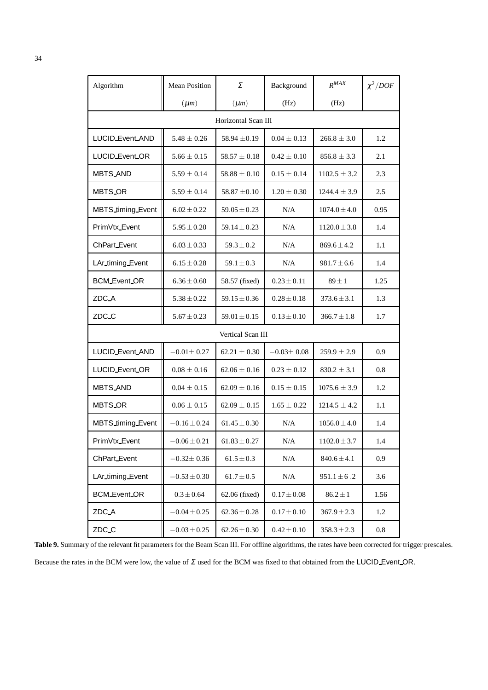| Algorithm             | <b>Mean Position</b> | Σ                   | Background       | $R^{MAX}$        | $\chi^2/DOF$ |
|-----------------------|----------------------|---------------------|------------------|------------------|--------------|
|                       | $(\mu m)$            | $(\mu m)$           | (Hz)             | (Hz)             |              |
|                       |                      | Horizontal Scan III |                  |                  |              |
| LUCID_Event_AND       | $5.48 \pm 0.26$      | 58.94 $\pm$ 0.19    | $0.04 \pm 0.13$  | $266.8 \pm 3.0$  | 1.2          |
| <b>LUCID_Event_OR</b> | $5.66 \pm 0.15$      | $58.57 \pm 0.18$    | $0.42 \pm 0.10$  | $856.8 \pm 3.3$  | 2.1          |
| <b>MBTS_AND</b>       | $5.59 \pm 0.14$      | $58.88 \pm 0.10$    | $0.15 \pm 0.14$  | $1102.5 \pm 3.2$ | 2.3          |
| MBTS_OR               | $5.59 \pm 0.14$      | 58.87 $\pm 0.10$    | $1.20 \pm 0.30$  | $1244.4 \pm 3.9$ | 2.5          |
| MBTS_timing_Event     | $6.02 \pm 0.22$      | $59.05 \pm 0.23$    | N/A              | $1074.0 \pm 4.0$ | 0.95         |
| PrimVtx_Event         | $5.95 \pm 0.20$      | $59.14 \pm 0.23$    | N/A              | $1120.0 \pm 3.8$ | 1.4          |
| ChPart_Event          | $6.03 \pm 0.33$      | $59.3 \pm 0.2$      | N/A              | $869.6 \pm 4.2$  | 1.1          |
| LAr_timing_Event      | $6.15 \pm 0.28$      | $59.1 \pm 0.3$      | N/A              | $981.7 \pm 6.6$  | 1.4          |
| <b>BCM_Event_OR</b>   | $6.36 \pm 0.60$      | 58.57 (fixed)       | $0.23 \pm 0.11$  | $89 \pm 1$       | 1.25         |
| ZDC_A                 | $5.38 \pm 0.22$      | $59.15 \pm 0.36$    | $0.28 \pm 0.18$  | $373.6 \pm 3.1$  | 1.3          |
| ZDC_C                 | $5.67 \pm 0.23$      | $59.01 \pm 0.15$    | $0.13 \pm 0.10$  | $366.7 \pm 1.8$  | 1.7          |
|                       |                      | Vertical Scan III   |                  |                  |              |
| LUCID_Event_AND       | $-0.01 \pm 0.27$     | $62.21 \pm 0.30$    | $-0.03 \pm 0.08$ | $259.9 \pm 2.9$  | 0.9          |
| <b>LUCID_Event_OR</b> | $0.08 \pm 0.16$      | $62.06 \pm 0.16$    | $0.23 \pm 0.12$  | $830.2 \pm 3.1$  | 0.8          |
| <b>MBTS_AND</b>       | $0.04 \pm 0.15$      | $62.09 \pm 0.16$    | $0.15 \pm 0.15$  | $1075.6 \pm 3.9$ | 1.2          |
| MBTS_OR               | $0.06 \pm 0.15$      | $62.09 \pm 0.15$    | $1.65 \pm 0.22$  | $1214.5 \pm 4.2$ | 1.1          |
| MBTS_timing_Event     | $-0.16 \pm 0.24$     | $61.45 \pm 0.30$    | N/A              | $1056.0 \pm 4.0$ | 1.4          |
| PrimVtx_Event         | $-0.06 \pm 0.21$     | $61.83 \pm 0.27$    | N/A              | $1102.0 \pm 3.7$ | 1.4          |
| ChPart_Event          | $-0.32 \pm 0.36$     | $61.5 \pm 0.3$      | N/A              | $840.6 \pm 4.1$  | 0.9          |
| LAr timing Event      | $-0.53 \pm 0.30$     | $61.7 \pm 0.5$      | N/A              | $951.1 \pm 6.2$  | 3.6          |
| <b>BCM Event OR</b>   | $0.3 \pm 0.64$       | 62.06 (fixed)       | $0.17 \pm 0.08$  | $86.2 \pm 1$     | 1.56         |
| ZDC_A                 | $-0.04 \pm 0.25$     | $62.36 \pm 0.28$    | $0.17 \pm 0.10$  | $367.9 \pm 2.3$  | 1.2          |
| ZDC_C                 | $-0.03 \pm 0.25$     | $62.26 \pm 0.30$    | $0.42 \pm 0.10$  | $358.3 \pm 2.3$  | 0.8          |

Table 9. Summary of the relevant fit parameters for the Beam Scan III. For offline algorithms, the rates have been corrected for trigger prescales.

<span id="page-34-0"></span>Because the rates in the BCM were low, the value of  $\Sigma$  used for the BCM was fixed to that obtained from the LUCID Event OR.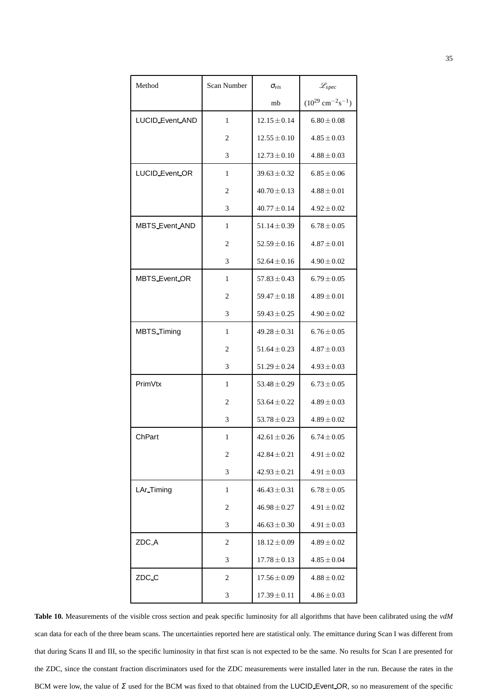| Method                 | Scan Number | $\sigma_{vis}$   | $\mathscr{L}_{spec}$                          |
|------------------------|-------------|------------------|-----------------------------------------------|
|                        |             | mb               | $(10^{29}$ cm <sup>-2</sup> s <sup>-1</sup> ) |
| <b>LUCID_Event_AND</b> | 1           | $12.15 \pm 0.14$ | $6.80 \pm 0.08$                               |
|                        | 2           | $12.55 \pm 0.10$ | $4.85 \pm 0.03$                               |
|                        | 3           | $12.73 \pm 0.10$ | $4.88 \pm 0.03$                               |
| LUCID_Event_OR         | 1           | $39.63 \pm 0.32$ | $6.85 \pm 0.06$                               |
|                        | 2           | $40.70 \pm 0.13$ | $4.88 \pm 0.01$                               |
|                        | 3           | $40.77 \pm 0.14$ | $4.92 \pm 0.02$                               |
| <b>MBTS_Event_AND</b>  | 1           | $51.14 \pm 0.39$ | $6.78 \pm 0.05$                               |
|                        | 2           | $52.59 \pm 0.16$ | $4.87 \pm 0.01$                               |
|                        | 3           | $52.64 \pm 0.16$ | $4.90 \pm 0.02$                               |
| <b>MBTS</b> Event OR   | 1           | $57.83 \pm 0.43$ | $6.79 \pm 0.05$                               |
|                        | 2           | $59.47 \pm 0.18$ | $4.89 \pm 0.01$                               |
|                        | 3           | $59.43 \pm 0.25$ | $4.90 \pm 0.02$                               |
| <b>MBTS</b> Timing     | 1           | $49.28 \pm 0.31$ | $6.76 \pm 0.05$                               |
|                        | 2           | $51.64 \pm 0.23$ | $4.87 \pm 0.03$                               |
|                        | 3           | $51.29 \pm 0.24$ | $4.93 \pm 0.03$                               |
| PrimVtx                | 1           | $53.48 \pm 0.29$ | $6.73 \pm 0.05$                               |
|                        | 2           | $53.64 \pm 0.22$ | $4.89 \pm 0.03$                               |
|                        | 3           | $53.78 \pm 0.23$ | $4.89 \pm 0.02$                               |
| ChPart                 | 1           | $42.61 \pm 0.26$ | $6.74 \pm 0.05$                               |
|                        | 2           | $42.84 \pm 0.21$ | $4.91 \pm 0.02$                               |
|                        | 3           | $42.93 \pm 0.21$ | $4.91 \pm 0.03$                               |
| LAr_Timing             | 1           | $46.43 \pm 0.31$ | $6.78 \pm 0.05$                               |
|                        | 2           | $46.98 \pm 0.27$ | $4.91 \pm 0.02$                               |
|                        | 3           | $46.63 \pm 0.30$ | $4.91 \pm 0.03$                               |
| ZDC_A                  | 2           | $18.12 \pm 0.09$ | $4.89 \pm 0.02$                               |
|                        | 3           | $17.78 \pm 0.13$ | $4.85 \pm 0.04$                               |
| ZDC_C                  | 2           | $17.56 \pm 0.09$ | $4.88 \pm 0.02$                               |
|                        | 3           | $17.39 \pm 0.11$ | $4.86 \pm 0.03$                               |

<span id="page-35-0"></span>**Table 10.** Measurements of the visible cross section and peak specific luminosity for all algorithms that have been calibrated using the *vdM* scan data for each of the three beam scans. The uncertainties reported here are statistical only. The emittance during Scan I was different from that during Scans II and III, so the specific luminosity in that first scan is not expected to be the same. No results for Scan I are presented for the ZDC, since the constant fraction discriminators used for the ZDC measurements were installed later in the run. Because the rates in the BCM were low, the value of  $\Sigma$  used for the BCM was fixed to that obtained from the LUCID Event OR, so no measurement of the specific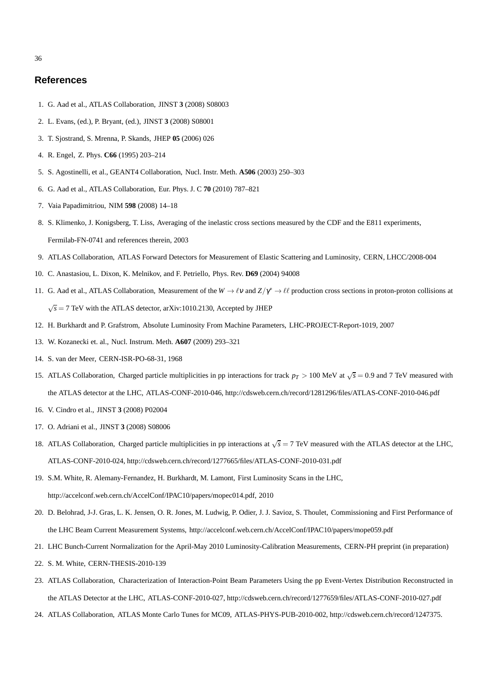## <span id="page-36-0"></span>**References**

- <span id="page-36-1"></span>1. G. Aad et al., ATLAS Collaboration, JINST **3** (2008) S08003
- <span id="page-36-2"></span>2. L. Evans, (ed.), P. Bryant, (ed.), JINST **3** (2008) S08001
- <span id="page-36-3"></span>3. T. Sjostrand, S. Mrenna, P. Skands, JHEP **05** (2006) 026
- <span id="page-36-4"></span>4. R. Engel, Z. Phys. **C66** (1995) 203–214
- <span id="page-36-5"></span>5. S. Agostinelli, et al., GEANT4 Collaboration, Nucl. Instr. Meth. **A506** (2003) 250–303
- <span id="page-36-6"></span>6. G. Aad et al., ATLAS Collaboration, Eur. Phys. J. C **70** (2010) 787–821
- <span id="page-36-7"></span>7. Vaia Papadimitriou, NIM **598** (2008) 14–18
- <span id="page-36-8"></span>8. S. Klimenko, J. Konigsberg, T. Liss, Averaging of the inelastic cross sections measured by the CDF and the E811 experiments, Fermilab-FN-0741 and references therein, 2003
- <span id="page-36-9"></span>9. ATLAS Collaboration, ATLAS Forward Detectors for Measurement of Elastic Scattering and Luminosity, CERN, LHCC/2008-004
- <span id="page-36-10"></span>10. C. Anastasiou, L. Dixon, K. Melnikov, and F. Petriello, Phys. Rev. **D69** (2004) 94008
- <span id="page-36-11"></span>11. G. Aad et al., ATLAS Collaboration, Measurement of the  $W \to \ell v$  and  $Z/\gamma^* \to \ell \ell$  production cross sections in proton-proton collisions at  $\sqrt{s}$  = 7 TeV with the ATLAS detector, arXiv:1010.2130, Accepted by JHEP
- <span id="page-36-12"></span>12. H. Burkhardt and P. Grafstrom, Absolute Luminosity From Machine Parameters, LHC-PROJECT-Report-1019, 2007
- <span id="page-36-13"></span>13. W. Kozanecki et. al., Nucl. Instrum. Meth. **A607** (2009) 293–321
- <span id="page-36-14"></span>14. S. van der Meer, CERN-ISR-PO-68-31, 1968
- <span id="page-36-15"></span>15. ATLAS Collaboration, Charged particle multiplicities in pp interactions for track  $p_T > 100$  MeV at  $\sqrt{s} = 0.9$  and 7 TeV measured with the ATLAS detector at the LHC, ATLAS-CONF-2010-046, http://cdsweb.cern.ch/record/1281296/files/ATLAS-CONF-2010-046.pdf
- <span id="page-36-16"></span>16. V. Cindro et al., JINST **3** (2008) P02004
- <span id="page-36-17"></span>17. O. Adriani et al., JINST **3** (2008) S08006
- <span id="page-36-18"></span>18. ATLAS Collaboration, Charged particle multiplicities in pp interactions at  $\sqrt{s} = 7$  TeV measured with the ATLAS detector at the LHC, ATLAS-CONF-2010-024, http://cdsweb.cern.ch/record/1277665/files/ATLAS-CONF-2010-031.pdf
- <span id="page-36-19"></span>19. S.M. White, R. Alemany-Fernandez, H. Burkhardt, M. Lamont, First Luminosity Scans in the LHC, http://accelconf.web.cern.ch/AccelConf/IPAC10/papers/mopec014.pdf, 2010
- <span id="page-36-20"></span>20. D. Belohrad, J-J. Gras, L. K. Jensen, O. R. Jones, M. Ludwig, P. Odier, J. J. Savioz, S. Thoulet, Commissioning and First Performance of the LHC Beam Current Measurement Systems, http://accelconf.web.cern.ch/AccelConf/IPAC10/papers/mope059.pdf
- <span id="page-36-21"></span>21. LHC Bunch-Current Normalization for the April-May 2010 Luminosity-Calibration Measurements, CERN-PH preprint (in preparation)
- <span id="page-36-22"></span>22. S. M. White, CERN-THESIS-2010-139
- <span id="page-36-23"></span>23. ATLAS Collaboration, Characterization of Interaction-Point Beam Parameters Using the pp Event-Vertex Distribution Reconstructed in the ATLAS Detector at the LHC, ATLAS-CONF-2010-027, http://cdsweb.cern.ch/record/1277659/files/ATLAS-CONF-2010-027.pdf
- 24. ATLAS Collaboration, ATLAS Monte Carlo Tunes for MC09, ATLAS-PHYS-PUB-2010-002, http://cdsweb.cern.ch/record/1247375.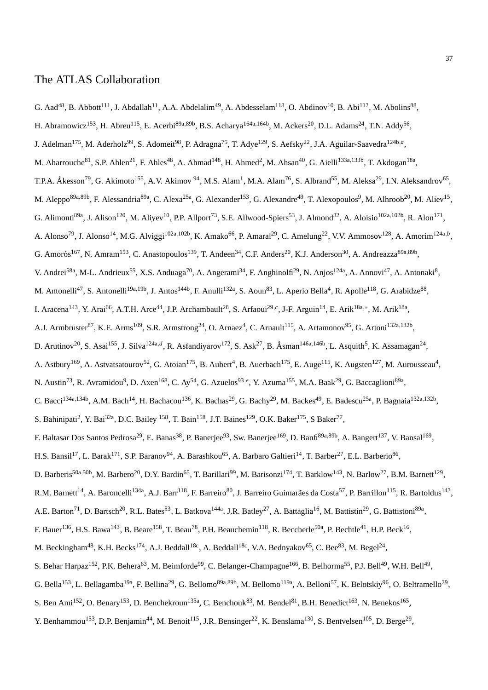## The ATLAS Collaboration

- G. Aad<sup>48</sup>, B. Abbott<sup>111</sup>, J. Abdallah<sup>11</sup>, A.A. Abdelalim<sup>49</sup>, A. Abdesselam<sup>118</sup>, O. Abdinov<sup>10</sup>, B. Abi<sup>112</sup>, M. Abolins<sup>88</sup>,
- H. Abramowicz<sup>153</sup>, H. Abreu<sup>115</sup>, E. Acerbi<sup>89a,89b</sup>, B.S. Acharya<sup>164a,164b</sup>, M. Ackers<sup>20</sup>, D.L. Adams<sup>24</sup>, T.N. Addy<sup>56</sup>,
- J. Adelman<sup>175</sup>, M. Aderholz<sup>99</sup>, S. Adomeit<sup>98</sup>, P. Adragna<sup>75</sup>, T. Adye<sup>129</sup>, S. Aefsky<sup>22</sup>, J.A. Aguilar-Saavedra<sup>124b,a</sup>,
- M. Aharrouche<sup>81</sup>, S.P. Ahlen<sup>21</sup>, F. Ahles<sup>48</sup>, A. Ahmad<sup>148</sup>, H. Ahmed<sup>2</sup>, M. Ahsan<sup>40</sup>, G. Aielli<sup>133a,133b</sup>, T. Akdogan<sup>18a</sup>,
- T.P.A. Åkesson<sup>79</sup>, G. Akimoto<sup>155</sup>, A.V. Akimov <sup>94</sup>, M.S. Alam<sup>1</sup>, M.A. Alam<sup>76</sup>, S. Albrand<sup>55</sup>, M. Aleksa<sup>29</sup>, I.N. Aleksandrov<sup>65</sup>,
- M. Aleppo<sup>89a,89b</sup>, F. Alessandria<sup>89a</sup>, C. Alexa<sup>25a</sup>, G. Alexander<sup>153</sup>, G. Alexandre<sup>49</sup>, T. Alexopoulos<sup>9</sup>, M. Alhroob<sup>20</sup>, M. Aliev<sup>15</sup>,
- G. Alimonti<sup>89a</sup>, J. Alison<sup>120</sup>, M. Aliyev<sup>10</sup>, P.P. Allport<sup>73</sup>, S.E. Allwood-Spiers<sup>53</sup>, J. Almond<sup>82</sup>, A. Aloisio<sup>102a,102b</sup>, R. Alon<sup>171</sup>,
- A. Alonso<sup>79</sup>, J. Alonso<sup>14</sup>, M.G. Alviggi<sup>102a,102b</sup>, K. Amako<sup>66</sup>, P. Amaral<sup>29</sup>, C. Amelung<sup>22</sup>, V.V. Ammosov<sup>128</sup>, A. Amorim<sup>124a,b</sup>,
- G. Amorós<sup>167</sup>, N. Amram<sup>153</sup>, C. Anastopoulos<sup>139</sup>, T. Andeen<sup>34</sup>, C.F. Anders<sup>20</sup>, K.J. Anderson<sup>30</sup>, A. Andreazza<sup>89a,89b</sup>,
- V. Andrei<sup>58a</sup>, M-L. Andrieux<sup>55</sup>, X.S. Anduaga<sup>70</sup>, A. Angerami<sup>34</sup>, F. Anghinolfi<sup>29</sup>, N. Anjos<sup>124a</sup>, A. Annovi<sup>47</sup>, A. Antonaki<sup>8</sup>,
- M. Antonelli<sup>47</sup>, S. Antonelli<sup>19a,19b</sup>, J. Antos<sup>144b</sup>, F. Anulli<sup>132a</sup>, S. Aoun<sup>83</sup>, L. Aperio Bella<sup>4</sup>, R. Apolle<sup>118</sup>, G. Arabidze<sup>88</sup>,
- I. Aracena<sup>143</sup>, Y. Arai<sup>66</sup>, A.T.H. Arce<sup>44</sup>, J.P. Archambault<sup>28</sup>, S. Arfaoui<sup>29,c</sup>, J-F. Arguin<sup>14</sup>, E. Arik<sup>18a,\*</sup>, M. Arik<sup>18a</sup>,
- A.J. Armbruster<sup>87</sup>, K.E. Arms<sup>109</sup>, S.R. Armstrong<sup>24</sup>, O. Arnaez<sup>4</sup>, C. Arnault<sup>115</sup>, A. Artamonov<sup>95</sup>, G. Artoni<sup>132a,132b</sup>,
- D. Arutinov<sup>20</sup>, S. Asai<sup>155</sup>, J. Silva<sup>124a,d</sup>, R. Asfandiyarov<sup>172</sup>, S. Ask<sup>27</sup>, B. Åsman<sup>146a,146b</sup>, L. Asquith<sup>5</sup>, K. Assamagan<sup>24</sup>,
- A. Astbury<sup>169</sup>, A. Astvatsatourov<sup>52</sup>, G. Atoian<sup>175</sup>, B. Aubert<sup>4</sup>, B. Auerbach<sup>175</sup>, E. Auge<sup>115</sup>, K. Augsten<sup>127</sup>, M. Aurousseau<sup>4</sup>,
- N. Austin<sup>73</sup>, R. Avramidou<sup>9</sup>, D. Axen<sup>168</sup>, C. Ay<sup>54</sup>, G. Azuelos<sup>93,e</sup>, Y. Azuma<sup>155</sup>, M.A. Baak<sup>29</sup>, G. Baccaglioni<sup>89a</sup>,
- C. Bacci<sup>134a,134b</sup>, A.M. Bach<sup>14</sup>, H. Bachacou<sup>136</sup>, K. Bachas<sup>29</sup>, G. Bachy<sup>29</sup>, M. Backes<sup>49</sup>, E. Badescu<sup>25a</sup>, P. Bagnaia<sup>132a,132b</sup>,
- S. Bahinipati<sup>2</sup>, Y. Bai<sup>32a</sup>, D.C. Bailey <sup>158</sup>, T. Bain<sup>158</sup>, J.T. Baines<sup>129</sup>, O.K. Baker<sup>175</sup>, S Baker<sup>77</sup>,
- F. Baltasar Dos Santos Pedrosa<sup>29</sup>, E. Banas<sup>38</sup>, P. Banerjee<sup>93</sup>, Sw. Banerjee<sup>169</sup>, D. Banfi<sup>89a,89b</sup>, A. Bangert<sup>137</sup>, V. Bansal<sup>169</sup>,
- H.S. Bansil<sup>17</sup>, L. Barak<sup>171</sup>, S.P. Baranov<sup>94</sup>, A. Barashkou<sup>65</sup>, A. Barbaro Galtieri<sup>14</sup>, T. Barber<sup>27</sup>, E.L. Barberio<sup>86</sup>,
- D. Barberis<sup>50a,50b</sup>, M. Barbero<sup>20</sup>, D.Y. Bardin<sup>65</sup>, T. Barillari<sup>99</sup>, M. Barisonzi<sup>174</sup>, T. Barklow<sup>143</sup>, N. Barlow<sup>27</sup>, B.M. Barnett<sup>129</sup>,
- R.M. Barnett<sup>14</sup>, A. Baroncelli<sup>134a</sup>, A.J. Barr<sup>118</sup>, F. Barreiro<sup>80</sup>, J. Barreiro Guimarães da Costa<sup>57</sup>, P. Barrillon<sup>115</sup>, R. Bartoldus<sup>143</sup>,
- A.E. Barton<sup>71</sup>, D. Bartsch<sup>20</sup>, R.L. Bates<sup>53</sup>, L. Batkova<sup>144a</sup>, J.R. Batley<sup>27</sup>, A. Battaglia<sup>16</sup>, M. Battistin<sup>29</sup>, G. Battistoni<sup>89a</sup>,
- F. Bauer<sup>136</sup>, H.S. Bawa<sup>143</sup>, B. Beare<sup>158</sup>, T. Beau<sup>78</sup>, P.H. Beauchemin<sup>118</sup>, R. Beccherle<sup>50a</sup>, P. Bechtle<sup>41</sup>, H.P. Beck<sup>16</sup>,
- M. Beckingham<sup>48</sup>, K.H. Becks<sup>174</sup>, A.J. Beddall<sup>18c</sup>, A. Beddall<sup>18c</sup>, V.A. Bednyakov<sup>65</sup>, C. Bee<sup>83</sup>, M. Begel<sup>24</sup>,
- S. Behar Harpaz<sup>152</sup>, P.K. Behera<sup>63</sup>, M. Beimforde<sup>99</sup>, C. Belanger-Champagne<sup>166</sup>, B. Belhorma<sup>55</sup>, P.J. Bell<sup>49</sup>, W.H. Bell<sup>49</sup>,
- G. Bella<sup>153</sup>, L. Bellagamba<sup>19a</sup>, F. Bellina<sup>29</sup>, G. Bellomo<sup>89a,89b</sup>, M. Bellomo<sup>119a</sup>, A. Belloni<sup>57</sup>, K. Belotskiy<sup>96</sup>, O. Beltramello<sup>29</sup>,
- S. Ben Ami<sup>152</sup>, O. Benary<sup>153</sup>, D. Benchekroun<sup>135a</sup>, C. Benchouk<sup>83</sup>, M. Bendel<sup>81</sup>, B.H. Benedict<sup>163</sup>, N. Benekos<sup>165</sup>,
- Y. Benhammou<sup>153</sup>, D.P. Benjamin<sup>44</sup>, M. Benoit<sup>115</sup>, J.R. Bensinger<sup>22</sup>, K. Benslama<sup>130</sup>, S. Bentvelsen<sup>105</sup>, D. Berge<sup>29</sup>,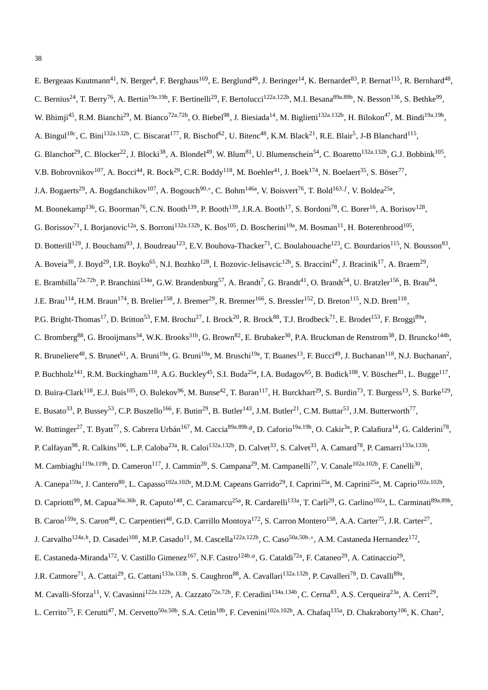E. Bergeaas Kuutmann<sup>41</sup>, N. Berger<sup>4</sup>, F. Berghaus<sup>169</sup>, E. Berglund<sup>49</sup>, J. Beringer<sup>14</sup>, K. Bernardet<sup>83</sup>, P. Bernat<sup>115</sup>, R. Bernhard<sup>48</sup>, C. Bernius<sup>24</sup>, T. Berry<sup>76</sup>, A. Bertin<sup>19a,19b</sup>, F. Bertinelli<sup>29</sup>, F. Bertolucci<sup>122a,122b</sup>, M.I. Besana<sup>89a,89b</sup>, N. Besson<sup>136</sup>, S. Bethke<sup>99</sup>, W. Bhimji<sup>45</sup>, R.M. Bianchi<sup>29</sup>, M. Bianco<sup>72a,72b</sup>, O. Biebel<sup>98</sup>, J. Biesiada<sup>14</sup>, M. Biglietti<sup>132a,132b</sup>, H. Bilokon<sup>47</sup>, M. Bindi<sup>19a,19b</sup>, A. Bingul<sup>18c</sup>, C. Bini<sup>132a,132b</sup>, C. Biscarat<sup>177</sup>, R. Bischof<sup>62</sup>, U. Bitenc<sup>48</sup>, K.M. Black<sup>21</sup>, R.E. Blair<sup>5</sup>, J-B Blanchard<sup>115</sup>, G. Blanchot<sup>29</sup>, C. Blocker<sup>22</sup>, J. Blocki<sup>38</sup>, A. Blondel<sup>49</sup>, W. Blum<sup>81</sup>, U. Blumenschein<sup>54</sup>, C. Boaretto<sup>132a,132b</sup>, G.J. Bobbink<sup>105</sup>, V.B. Bobrovnikov<sup>107</sup>, A. Bocci<sup>44</sup>, R. Bock<sup>29</sup>, C.R. Boddy<sup>118</sup>, M. Boehler<sup>41</sup>, J. Boek<sup>174</sup>, N. Boelaert<sup>35</sup>, S. Böser<sup>77</sup>, J.A. Bogaerts<sup>29</sup>, A. Bogdanchikov<sup>107</sup>, A. Bogouch<sup>90,∗</sup>, C. Bohm<sup>146a</sup>, V. Boisvert<sup>76</sup>, T. Bold<sup>163, f</sup>, V. Boldea<sup>25a</sup>, M. Boonekamp<sup>136</sup>, G. Boorman<sup>76</sup>, C.N. Booth<sup>139</sup>, P. Booth<sup>139</sup>, J.R.A. Booth<sup>17</sup>, S. Bordoni<sup>78</sup>, C. Borer<sup>16</sup>, A. Borisov<sup>128</sup>, G. Borissov<sup>71</sup>, I. Borjanovic<sup>12a</sup>, S. Borroni<sup>132a,132b</sup>, K. Bos<sup>105</sup>, D. Boscherini<sup>19a</sup>, M. Bosman<sup>11</sup>, H. Boterenbrood<sup>105</sup>, D. Botterill<sup>129</sup>, J. Bouchami<sup>93</sup>, J. Boudreau<sup>123</sup>, E.V. Bouhova-Thacker<sup>71</sup>, C. Boulahouache<sup>123</sup>, C. Bourdarios<sup>115</sup>, N. Bousson<sup>83</sup>, A. Boveia<sup>30</sup>, J. Boyd<sup>29</sup>, I.R. Boyko<sup>65</sup>, N.I. Bozhko<sup>128</sup>, I. Bozovic-Jelisavcic<sup>12b</sup>, S. Braccini<sup>47</sup>, J. Bracinik<sup>17</sup>, A. Braem<sup>29</sup>, E. Brambilla<sup>72a,72b</sup>, P. Branchini<sup>134a</sup>, G.W. Brandenburg<sup>57</sup>, A. Brandt<sup>7</sup>, G. Brandt<sup>41</sup>, O. Brandt<sup>54</sup>, U. Bratzler<sup>156</sup>, B. Brau<sup>84</sup>, J.E. Brau<sup>114</sup>, H.M. Braun<sup>174</sup>, B. Brelier<sup>158</sup>, J. Bremer<sup>29</sup>, R. Brenner<sup>166</sup>, S. Bressler<sup>152</sup>, D. Breton<sup>115</sup>, N.D. Brett<sup>118</sup>, P.G. Bright-Thomas<sup>17</sup>, D. Britton<sup>53</sup>, F.M. Brochu<sup>27</sup>, I. Brock<sup>20</sup>, R. Brock<sup>88</sup>, T.J. Brodbeck<sup>71</sup>, E. Brodet<sup>153</sup>, F. Broggi<sup>89a</sup>, C. Bromberg<sup>88</sup>, G. Brooijmans<sup>34</sup>, W.K. Brooks<sup>31b</sup>, G. Brown<sup>82</sup>, E. Brubaker<sup>30</sup>, P.A. Bruckman de Renstrom<sup>38</sup>, D. Bruncko<sup>144b</sup>, R. Bruneliere<sup>48</sup>, S. Brunet<sup>61</sup>, A. Bruni<sup>19a</sup>, G. Bruni<sup>19a</sup>, M. Bruschi<sup>19a</sup>, T. Buanes<sup>13</sup>, F. Bucci<sup>49</sup>, J. Buchanan<sup>118</sup>, N.J. Buchanan<sup>2</sup>, P. Buchholz<sup>141</sup>, R.M. Buckingham<sup>118</sup>, A.G. Buckley<sup>45</sup>, S.I. Buda<sup>25a</sup>, I.A. Budagov<sup>65</sup>, B. Budick<sup>108</sup>, V. Büscher<sup>81</sup>, L. Bugge<sup>117</sup>, D. Buira-Clark<sup>118</sup>, E.J. Buis<sup>105</sup>, O. Bulekov<sup>96</sup>, M. Bunse<sup>42</sup>, T. Buran<sup>117</sup>, H. Burckhart<sup>29</sup>, S. Burdin<sup>73</sup>, T. Burgess<sup>13</sup>, S. Burke<sup>129</sup>, E. Busato<sup>33</sup>, P. Bussey<sup>53</sup>, C.P. Buszello<sup>166</sup>, F. Butin<sup>29</sup>, B. Butler<sup>143</sup>, J.M. Butler<sup>21</sup>, C.M. Buttar<sup>53</sup>, J.M. Butterworth<sup>77</sup>, W. Buttinger<sup>27</sup>, T. Byatt<sup>77</sup>, S. Cabrera Urbán<sup>167</sup>, M. Caccia<sup>89a,89b,g</sup>, D. Caforio<sup>19a,19b</sup>, O. Cakir<sup>3a</sup>, P. Calafiura<sup>14</sup>, G. Calderini<sup>78</sup>, P. Calfayan<sup>98</sup>, R. Calkins<sup>106</sup>, L.P. Caloba<sup>23a</sup>, R. Caloi<sup>132a,132b</sup>, D. Calvet<sup>33</sup>, S. Calvet<sup>33</sup>, A. Camard<sup>78</sup>, P. Camarri<sup>133a,133b</sup>, M. Cambiaghi<sup>119a,119b</sup>, D. Cameron<sup>117</sup>, J. Cammin<sup>20</sup>, S. Campana<sup>29</sup>, M. Campanelli<sup>77</sup>, V. Canale<sup>102a,102b</sup>, F. Canelli<sup>30</sup>, A. Canepa<sup>159a</sup>, J. Cantero<sup>80</sup>, L. Capasso<sup>102a,102b</sup>, M.D.M. Capeans Garrido<sup>29</sup>, I. Caprini<sup>25a</sup>, M. Caprini<sup>25a</sup>, M. Caprio<sup>102a,102b</sup>, D. Capriotti<sup>99</sup>, M. Capua<sup>36a,36b</sup>, R. Caputo<sup>148</sup>, C. Caramarcu<sup>25a</sup>, R. Cardarelli<sup>133a</sup>, T. Carli<sup>29</sup>, G. Carlino<sup>102a</sup>, L. Carminati<sup>89a,89b</sup>, B. Caron<sup>159a</sup>, S. Caron<sup>48</sup>, C. Carpentieri<sup>48</sup>, G.D. Carrillo Montoya<sup>172</sup>, S. Carron Montero<sup>158</sup>, A.A. Carter<sup>75</sup>, J.R. Carter<sup>27</sup>, J. Carvalho<sup>124a,h</sup>, D. Casadei<sup>108</sup>, M.P. Casado<sup>11</sup>, M. Cascella<sup>122a,122b</sup>, C. Caso<sup>50a,50b,∗</sup>, A.M. Castaneda Hernandez<sup>172</sup>, E. Castaneda-Miranda<sup>172</sup>, V. Castillo Gimenez<sup>167</sup>, N.F. Castro<sup>124b,a</sup>, G. Cataldi<sup>72a</sup>, F. Cataneo<sup>29</sup>, A. Catinaccio<sup>29</sup>, J.R. Catmore<sup>71</sup>, A. Cattai<sup>29</sup>, G. Cattani<sup>133a,133b</sup>, S. Caughron<sup>88</sup>, A. Cavallari<sup>132a,132b</sup>, P. Cavalleri<sup>78</sup>, D. Cavalli<sup>89a</sup>, M. Cavalli-Sforza<sup>11</sup>, V. Cavasinni<sup>122a,122b</sup>, A. Cazzato<sup>72a,72b</sup>, F. Ceradini<sup>134a,134b</sup>, C. Cerna<sup>83</sup>, A.S. Cerqueira<sup>23a</sup>, A. Cerri<sup>29</sup>, L. Cerrito<sup>75</sup>, F. Cerutti<sup>47</sup>, M. Cervetto<sup>50a,50b</sup>, S.A. Cetin<sup>18b</sup>, F. Cevenini<sup>102a,102b</sup>, A. Chafaq<sup>135a</sup>, D. Chakraborty<sup>106</sup>, K. Chan<sup>2</sup>,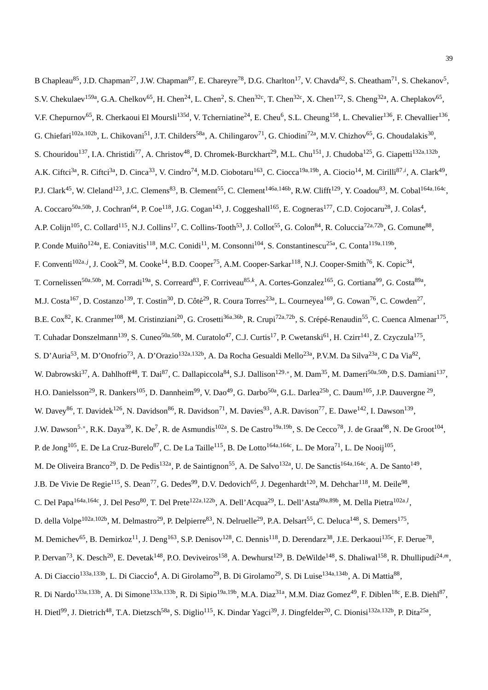B Chapleau<sup>85</sup>, J.D. Chapman<sup>27</sup>, J.W. Chapman<sup>87</sup>, E. Chareyre<sup>78</sup>, D.G. Charlton<sup>17</sup>, V. Chavda<sup>82</sup>, S. Cheatham<sup>71</sup>, S. Chekanov<sup>5</sup>, S.V. Chekulaev<sup>159a</sup>, G.A. Chelkov<sup>65</sup>, H. Chen<sup>24</sup>, L. Chen<sup>2</sup>, S. Chen<sup>32c</sup>, T. Chen<sup>32c</sup>, X. Chen<sup>172</sup>, S. Cheng<sup>32a</sup>, A. Cheplakov<sup>65</sup>, V.F. Chepurnov<sup>65</sup>, R. Cherkaoui El Moursli<sup>135d</sup>, V. Tcherniatine<sup>24</sup>, E. Cheu<sup>6</sup>, S.L. Cheung<sup>158</sup>, L. Chevalier<sup>136</sup>, F. Chevallier<sup>136</sup>, G. Chiefari<sup>102a,102b</sup>, L. Chikovani<sup>51</sup>, J.T. Childers<sup>58a</sup>, A. Chilingarov<sup>71</sup>, G. Chiodini<sup>72a</sup>, M.V. Chizhov<sup>65</sup>, G. Choudalakis<sup>30</sup>, S. Chouridou<sup>137</sup>, I.A. Christidi<sup>77</sup>, A. Christov<sup>48</sup>, D. Chromek-Burckhart<sup>29</sup>, M.L. Chu<sup>151</sup>, J. Chudoba<sup>125</sup>, G. Ciapetti<sup>132a,132b</sup>, A.K. Ciftci<sup>3a</sup>, R. Ciftci<sup>3a</sup>, D. Cinca<sup>33</sup>, V. Cindro<sup>74</sup>, M.D. Ciobotaru<sup>163</sup>, C. Ciocca<sup>19a,19b</sup>, A. Ciocio<sup>14</sup>, M. Cirilli<sup>87,*i*</sup>, A. Clark<sup>49</sup>, P.J. Clark<sup>45</sup>, W. Cleland<sup>123</sup>, J.C. Clemens<sup>83</sup>, B. Clement<sup>55</sup>, C. Clement<sup>146a,146b</sup>, R.W. Clifft<sup>129</sup>, Y. Coadou<sup>83</sup>, M. Cobal<sup>164a,164c</sup>, A. Coccaro<sup>50a,50b</sup>, J. Cochran<sup>64</sup>, P. Coe<sup>118</sup>, J.G. Cogan<sup>143</sup>, J. Coggeshall<sup>165</sup>, E. Cogneras<sup>177</sup>, C.D. Cojocaru<sup>28</sup>, J. Colas<sup>4</sup>, A.P. Colijn<sup>105</sup>, C. Collard<sup>115</sup>, N.J. Collins<sup>17</sup>, C. Collins-Tooth<sup>53</sup>, J. Collot<sup>55</sup>, G. Colon<sup>84</sup>, R. Coluccia<sup>72a,72b</sup>, G. Comune<sup>88</sup>, P. Conde Muiño<sup>124a</sup>, E. Coniavitis<sup>118</sup>, M.C. Conidi<sup>11</sup>, M. Consonni<sup>104</sup>, S. Constantinescu<sup>25a</sup>, C. Conta<sup>119a,119b</sup>, F. Conventi<sup>102a, *j*</sup>, J. Cook<sup>29</sup>, M. Cooke<sup>14</sup>, B.D. Cooper<sup>75</sup>, A.M. Cooper-Sarkar<sup>118</sup>, N.J. Cooper-Smith<sup>76</sup>, K. Copic<sup>34</sup>, T. Cornelissen<sup>50a,50b</sup>, M. Corradi<sup>19a</sup>, S. Correard<sup>83</sup>, F. Corriveau<sup>85,k</sup>, A. Cortes-Gonzalez<sup>165</sup>, G. Cortiana<sup>99</sup>, G. Costa<sup>89a</sup>, M.J. Costa<sup>167</sup>, D. Costanzo<sup>139</sup>, T. Costin<sup>30</sup>, D. Côté<sup>29</sup>, R. Coura Torres<sup>23a</sup>, L. Courneyea<sup>169</sup>, G. Cowan<sup>76</sup>, C. Cowden<sup>27</sup>, B.E. Cox<sup>82</sup>, K. Cranmer<sup>108</sup>, M. Cristinziani<sup>20</sup>, G. Crosetti<sup>36a,36b</sup>, R. Crupi<sup>72a,72b</sup>, S. Crépé-Renaudin<sup>55</sup>, C. Cuenca Almenar<sup>175</sup>, T. Cuhadar Donszelmann<sup>139</sup>, S. Cuneo<sup>50a,50b</sup>, M. Curatolo<sup>47</sup>, C.J. Curtis<sup>17</sup>, P. Cwetanski<sup>61</sup>, H. Czirr<sup>141</sup>, Z. Czyczula<sup>175</sup>, S. D'Auria<sup>53</sup>, M. D'Onofrio<sup>73</sup>, A. D'Orazio<sup>132a,132b</sup>, A. Da Rocha Gesualdi Mello<sup>23a</sup>, P.V.M. Da Silva<sup>23a</sup>, C Da Via<sup>82</sup>, W. Dabrowski<sup>37</sup>, A. Dahlhoff<sup>48</sup>, T. Dai<sup>87</sup>, C. Dallapiccola<sup>84</sup>, S.J. Dallison<sup>129,</sup>\*, M. Dam<sup>35</sup>, M. Dameri<sup>50a,50b</sup>, D.S. Damiani<sup>137</sup>, H.O. Danielsson<sup>29</sup>, R. Dankers<sup>105</sup>, D. Dannheim<sup>99</sup>, V. Dao<sup>49</sup>, G. Darbo<sup>50a</sup>, G.L. Darlea<sup>25b</sup>, C. Daum<sup>105</sup>, J.P. Dauvergne<sup>29</sup>, W. Davey<sup>86</sup>, T. Davidek<sup>126</sup>, N. Davidson<sup>86</sup>, R. Davidson<sup>71</sup>, M. Davies<sup>93</sup>, A.R. Davison<sup>77</sup>, E. Dawe<sup>142</sup>, I. Dawson<sup>139</sup>, J.W. Dawson<sup>5,∗</sup>, R.K. Daya<sup>39</sup>, K. De<sup>7</sup>, R. de Asmundis<sup>102a</sup>, S. De Castro<sup>19a,19b</sup>, S. De Cecco<sup>78</sup>, J. de Graat<sup>98</sup>, N. De Groot<sup>104</sup>, P. de Jong $^{105}$ , E. De La Cruz-Burelo $^{87}$ , C. De La Taille $^{115}$ , B. De Lotto $^{164a,164c}$ , L. De Mora $^{71}$ , L. De Nooij $^{105}$ , M. De Oliveira Branco<sup>29</sup>, D. De Pedis<sup>132a</sup>, P. de Saintignon<sup>55</sup>, A. De Salvo<sup>132a</sup>, U. De Sanctis<sup>164a,164c</sup>, A. De Santo<sup>149</sup>, J.B. De Vivie De Regie<sup>115</sup>, S. Dean<sup>77</sup>, G. Dedes<sup>99</sup>, D.V. Dedovich<sup>65</sup>, J. Degenhardt<sup>120</sup>, M. Dehchar<sup>118</sup>, M. Deile<sup>98</sup>, C. Del Papa<sup>164a,164c</sup>, J. Del Peso<sup>80</sup>, T. Del Prete<sup>122a,122b</sup>, A. Dell'Acqua<sup>29</sup>, L. Dell'Asta<sup>89a,89b</sup>, M. Della Pietra<sup>102a,*l*</sup>, D. della Volpe<sup>102a,102b</sup>, M. Delmastro<sup>29</sup>, P. Delpierre<sup>83</sup>, N. Delruelle<sup>29</sup>, P.A. Delsart<sup>55</sup>, C. Deluca<sup>148</sup>, S. Demers<sup>175</sup>, M. Demichev<sup>65</sup>, B. Demirkoz<sup>11</sup>, J. Deng<sup>163</sup>, S.P. Denisov<sup>128</sup>, C. Dennis<sup>118</sup>, D. Derendarz<sup>38</sup>, J.E. Derkaoui<sup>135c</sup>, F. Derue<sup>78</sup>, P. Dervan<sup>73</sup>, K. Desch<sup>20</sup>, E. Devetak<sup>148</sup>, P.O. Deviveiros<sup>158</sup>, A. Dewhurst<sup>129</sup>, B. DeWilde<sup>148</sup>, S. Dhaliwal<sup>158</sup>, R. Dhullipudi<sup>24,*m*</sup>, A. Di Ciaccio<sup>133a,133b</sup>, L. Di Ciaccio<sup>4</sup>, A. Di Girolamo<sup>29</sup>, B. Di Girolamo<sup>29</sup>, S. Di Luise<sup>134a,134b</sup>, A. Di Mattia<sup>88</sup>, R. Di Nardo<sup>133a,133b</sup>, A. Di Simone<sup>133a,133b</sup>, R. Di Sipio<sup>19a,19b</sup>, M.A. Diaz<sup>31a</sup>, M.M. Diaz Gomez<sup>49</sup>, F. Diblen<sup>18c</sup>, E.B. Diehl<sup>87</sup>, H. Dietl<sup>99</sup>, J. Dietrich<sup>48</sup>, T.A. Dietzsch<sup>58a</sup>, S. Diglio<sup>115</sup>, K. Dindar Yagci<sup>39</sup>, J. Dingfelder<sup>20</sup>, C. Dionisi<sup>132a,132b</sup>, P. Dita<sup>25a</sup>,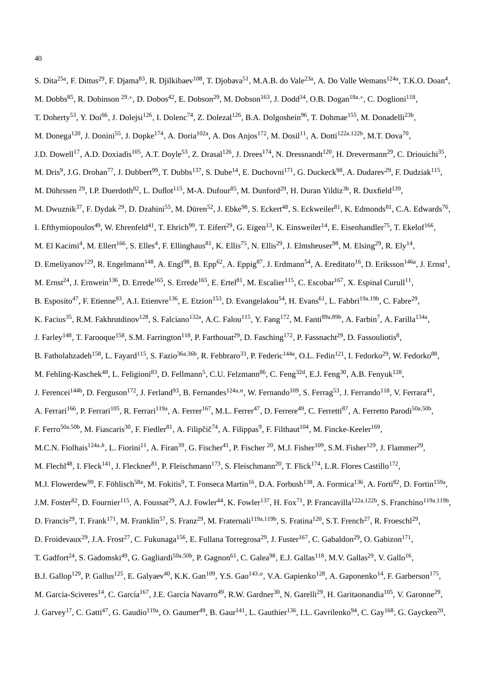| S. Dita <sup>25a</sup> , F. Dittus <sup>29</sup> , F. Djama <sup>83</sup> , R. Djilkibaev <sup>108</sup> , T. Djobava <sup>51</sup> , M.A.B. do Vale <sup>23a</sup> , A. Do Valle Wemans <sup>124a</sup> , T.K.O. Doan <sup>4</sup> ,              |
|----------------------------------------------------------------------------------------------------------------------------------------------------------------------------------------------------------------------------------------------------|
| M. Dobbs <sup>85</sup> , R. Dobinson <sup>29,*</sup> , D. Dobos <sup>42</sup> , E. Dobson <sup>29</sup> , M. Dobson <sup>163</sup> , J. Dodd <sup>34</sup> , O.B. Dogan <sup>18a,*</sup> , C. Doglioni <sup>118</sup> ,                            |
| T. Doherty <sup>53</sup> , Y. Doi <sup>66</sup> , J. Dolejsi <sup>126</sup> , I. Dolenc <sup>74</sup> , Z. Dolezal <sup>126</sup> , B.A. Dolgoshein <sup>96</sup> , T. Dohmae <sup>155</sup> , M. Donadelli <sup>23b</sup> ,                       |
| M. Donega <sup>120</sup> , J. Donini <sup>55</sup> , J. Dopke <sup>174</sup> , A. Doria <sup>102a</sup> , A. Dos Anjos <sup>172</sup> , M. Dosil <sup>11</sup> , A. Dotti <sup>122a,122b</sup> , M.T. Dova <sup>70</sup> ,                         |
| J.D. Dowell <sup>17</sup> , A.D. Doxiadis <sup>105</sup> , A.T. Doyle <sup>53</sup> , Z. Drasal <sup>126</sup> , J. Drees <sup>174</sup> , N. Dressnandt <sup>120</sup> , H. Drevermann <sup>29</sup> , C. Driouichi <sup>35</sup> ,               |
| M. Dris <sup>9</sup> , J.G. Drohan <sup>77</sup> , J. Dubbert <sup>99</sup> , T. Dubbs <sup>137</sup> , S. Dube <sup>14</sup> , E. Duchovni <sup>171</sup> , G. Duckeck <sup>98</sup> , A. Dudarev <sup>29</sup> , F. Dudziak <sup>115</sup> ,     |
| M. Dührssen <sup>29</sup> , I.P. Duerdoth <sup>82</sup> , L. Duflot <sup>115</sup> , M-A. Dufour <sup>85</sup> , M. Dunford <sup>29</sup> , H. Duran Yildiz <sup>3b</sup> , R. Duxfield <sup>139</sup> ,                                           |
| M. Dwuznik <sup>37</sup> , F. Dydak <sup>29</sup> , D. Dzahini <sup>55</sup> , M. Düren <sup>52</sup> , J. Ebke <sup>98</sup> , S. Eckert <sup>48</sup> , S. Eckweiler <sup>81</sup> , K. Edmonds <sup>81</sup> , C.A. Edwards <sup>76</sup> ,     |
| I. Efthymiopoulos <sup>49</sup> , W. Ehrenfeld <sup>41</sup> , T. Ehrich <sup>99</sup> , T. Eifert <sup>29</sup> , G. Eigen <sup>13</sup> , K. Einsweiler <sup>14</sup> , E. Eisenhandler <sup>75</sup> , T. Ekelof <sup>166</sup> ,               |
| M. El Kacimi <sup>4</sup> , M. Ellert <sup>166</sup> , S. Elles <sup>4</sup> , F. Ellinghaus <sup>81</sup> , K. Ellis <sup>75</sup> , N. Ellis <sup>29</sup> , J. Elmsheuser <sup>98</sup> , M. Elsing <sup>29</sup> , R. Ely <sup>14</sup> ,      |
| D. Emeliyanov <sup>129</sup> , R. Engelmann <sup>148</sup> , A. Engl <sup>98</sup> , B. Epp <sup>62</sup> , A. Eppig <sup>87</sup> , J. Erdmann <sup>54</sup> , A. Ereditato <sup>16</sup> , D. Eriksson <sup>146a</sup> , J. Ernst <sup>1</sup> , |
| M. Ernst <sup>24</sup> , J. Ernwein <sup>136</sup> , D. Errede <sup>165</sup> , S. Errede <sup>165</sup> , E. Ertel <sup>81</sup> , M. Escalier <sup>115</sup> , C. Escobar <sup>167</sup> , X. Espinal Curull <sup>11</sup> ,                     |
| B. Esposito <sup>47</sup> , F. Etienne <sup>83</sup> , A.I. Etienvre <sup>136</sup> , E. Etzion <sup>153</sup> , D. Evangelakou <sup>54</sup> , H. Evans <sup>61</sup> , L. Fabbri <sup>19a,19b</sup> , C. Fabre <sup>29</sup> ,                   |
| K. Facius <sup>35</sup> , R.M. Fakhrutdinov <sup>128</sup> , S. Falciano <sup>132a</sup> , A.C. Falou <sup>115</sup> , Y. Fang <sup>172</sup> , M. Fanti <sup>89a,89b</sup> , A. Farbin <sup>7</sup> , A. Farilla <sup>134a</sup> ,                |
| J. Farley <sup>148</sup> , T. Farooque <sup>158</sup> , S.M. Farrington <sup>118</sup> , P. Farthouat <sup>29</sup> , D. Fasching <sup>172</sup> , P. Fassnacht <sup>29</sup> , D. Fassouliotis <sup>8</sup> ,                                     |
| B. Fatholahzadeh <sup>158</sup> , L. Fayard <sup>115</sup> , S. Fazio <sup>36a,36b</sup> , R. Febbraro <sup>33</sup> , P. Federic <sup>144a</sup> , O.L. Fedin <sup>121</sup> , I. Fedorko <sup>29</sup> , W. Fedorko <sup>88</sup> ,              |
| M. Fehling-Kaschek <sup>48</sup> , L. Feligioni <sup>83</sup> , D. Fellmann <sup>5</sup> , C.U. Felzmann <sup>86</sup> , C. Feng <sup>32d</sup> , E.J. Feng <sup>30</sup> , A.B. Fenyuk <sup>128</sup> ,                                           |
| J. Ferencei <sup>144b</sup> , D. Ferguson <sup>172</sup> , J. Ferland <sup>93</sup> , B. Fernandes <sup>124a,n</sup> , W. Fernando <sup>109</sup> , S. Ferrag <sup>53</sup> , J. Ferrando <sup>118</sup> , V. Ferrara <sup>41</sup> ,              |
| A. Ferrari <sup>166</sup> , P. Ferrari <sup>105</sup> , R. Ferrari <sup>119a</sup> , A. Ferrer <sup>167</sup> , M.L. Ferrer <sup>47</sup> , D. Ferrere <sup>49</sup> , C. Ferretti <sup>87</sup> , A. Ferretto Parodi <sup>50a,50b</sup> ,         |
| F. Ferro <sup>50a,50b</sup> , M. Fiascaris <sup>30</sup> , F. Fiedler <sup>81</sup> , A. Filipčič <sup>74</sup> , A. Filippas <sup>9</sup> , F. Filthaut <sup>104</sup> , M. Fincke-Keeler <sup>169</sup> ,                                        |
| M.C.N. Fiolhais <sup>124a,h</sup> , L. Fiorini <sup>11</sup> , A. Firan <sup>39</sup> , G. Fischer <sup>41</sup> , P. Fischer <sup>20</sup> , M.J. Fisher <sup>109</sup> , S.M. Fisher <sup>129</sup> , J. Flammer <sup>29</sup> ,                 |
| M. Flechl <sup>48</sup> , I. Fleck <sup>141</sup> , J. Fleckner <sup>81</sup> , P. Fleischmann <sup>173</sup> , S. Fleischmann <sup>20</sup> , T. Flick <sup>174</sup> , L.R. Flores Castillo <sup>172</sup> ,                                     |
| M.J. Flowerdew <sup>99</sup> , F. Föhlisch <sup>58a</sup> , M. Fokitis <sup>9</sup> , T. Fonseca Martin <sup>16</sup> , D.A. Forbush <sup>138</sup> , A. Formica <sup>136</sup> , A. Forti <sup>82</sup> , D. Fortin <sup>159a</sup> ,             |
| J.M. Foster <sup>82</sup> , D. Fournier <sup>115</sup> , A. Foussat <sup>29</sup> , A.J. Fowler <sup>44</sup> , K. Fowler <sup>137</sup> , H. Fox <sup>71</sup> , P. Francavilla <sup>122a,122b</sup> , S. Franchino <sup>119a,119b</sup> ,        |
| D. Francis <sup>29</sup> , T. Frank <sup>171</sup> , M. Franklin <sup>57</sup> , S. Franz <sup>29</sup> , M. Fraternali <sup>119a,119b</sup> , S. Fratina <sup>120</sup> , S.T. French <sup>27</sup> , R. Froeschl <sup>29</sup> ,                 |
| D. Froidevaux <sup>29</sup> , J.A. Frost <sup>27</sup> , C. Fukunaga <sup>156</sup> , E. Fullana Torregrosa <sup>29</sup> , J. Fuster <sup>167</sup> , C. Gabaldon <sup>29</sup> , O. Gabizon <sup>171</sup> ,                                     |
| T. Gadfort <sup>24</sup> , S. Gadomski <sup>49</sup> , G. Gagliardi <sup>50a,50b</sup> , P. Gagnon <sup>61</sup> , C. Galea <sup>98</sup> , E.J. Gallas <sup>118</sup> , M.V. Gallas <sup>29</sup> , V. Gallo <sup>16</sup> ,                      |
| B.J. Gallop <sup>129</sup> , P. Gallus <sup>125</sup> , E. Galyaev <sup>40</sup> , K.K. Gan <sup>109</sup> , Y.S. Gao <sup>143,0</sup> , V.A. Gapienko <sup>128</sup> , A. Gaponenko <sup>14</sup> , F. Garberson <sup>175</sup> ,                 |
| M. Garcia-Sciveres <sup>14</sup> , C. García <sup>167</sup> , J.E. García Navarro <sup>49</sup> , R.W. Gardner <sup>30</sup> , N. Garelli <sup>29</sup> , H. Garitaonandia <sup>105</sup> , V. Garonne <sup>29</sup> ,                             |
| J. Garvey <sup>17</sup> , C. Gatti <sup>47</sup> , G. Gaudio <sup>119a</sup> , O. Gaumer <sup>49</sup> , B. Gaur <sup>141</sup> , L. Gauthier <sup>136</sup> , I.L. Gavrilenko <sup>94</sup> , C. Gay <sup>168</sup> , G. Gaycken <sup>20</sup> ,  |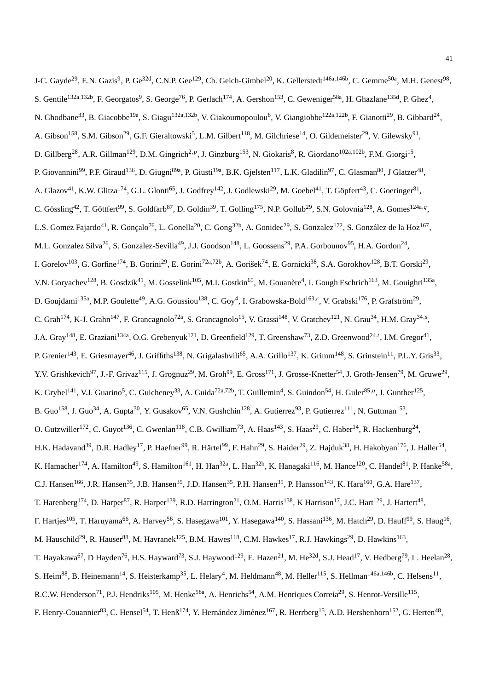J-C. Gayde<sup>29</sup>, E.N. Gazis<sup>9</sup>, P. Ge<sup>32d</sup>, C.N.P. Gee<sup>129</sup>, Ch. Geich-Gimbel<sup>20</sup>, K. Gellerstedt<sup>146a,146b</sup>, C. Gemme<sup>50a</sup>, M.H. Genest<sup>98</sup>, S. Gentile<sup>132a,132b</sup>, F. Georgatos<sup>9</sup>, S. George<sup>76</sup>, P. Gerlach<sup>174</sup>, A. Gershon<sup>153</sup>, C. Geweniger<sup>58a</sup>, H. Ghazlane<sup>135d</sup>, P. Ghez<sup>4</sup>, N. Ghodbane<sup>33</sup>, B. Giacobbe<sup>19a</sup>, S. Giagu<sup>132a,132b</sup>, V. Giakoumopoulou<sup>8</sup>, V. Giangiobbe<sup>122a,122b</sup>, F. Gianotti<sup>29</sup>, B. Gibbard<sup>24</sup>, A. Gibson<sup>158</sup>, S.M. Gibson<sup>29</sup>, G.F. Gieraltowski<sup>5</sup>, L.M. Gilbert<sup>118</sup>, M. Gilchriese<sup>14</sup>, O. Gildemeister<sup>29</sup>, V. Gilewsky<sup>91</sup>, D. Gillberg<sup>28</sup>, A.R. Gillman<sup>129</sup>, D.M. Gingrich<sup>2,p</sup>, J. Ginzburg<sup>153</sup>, N. Giokaris<sup>8</sup>, R. Giordano<sup>102a,102b</sup>, F.M. Giorgi<sup>15</sup>, P. Giovannini<sup>99</sup>, P.F. Giraud<sup>136</sup>, D. Giugni<sup>89a</sup>, P. Giusti<sup>19a</sup>, B.K. Gjelsten<sup>117</sup>, L.K. Gladilin<sup>97</sup>, C. Glasman<sup>80</sup>, J Glatzer<sup>48</sup>, A. Glazov<sup>41</sup>, K.W. Glitza<sup>174</sup>, G.L. Glonti<sup>65</sup>, J. Godfrey<sup>142</sup>, J. Godlewski<sup>29</sup>, M. Goebel<sup>41</sup>, T. Göpfert<sup>43</sup>, C. Goeringer<sup>81</sup>, C. Gössling<sup>42</sup>, T. Göttfert<sup>99</sup>, S. Goldfarb<sup>87</sup>, D. Goldin<sup>39</sup>, T. Golling<sup>175</sup>, N.P. Gollub<sup>29</sup>, S.N. Golovnia<sup>128</sup>, A. Gomes<sup>124a,q</sup>, L.S. Gomez Fajardo<sup>41</sup>, R. Gonçalo<sup>76</sup>, L. Gonella<sup>20</sup>, C. Gong<sup>32b</sup>, A. Gonidec<sup>29</sup>, S. Gonzalez<sup>172</sup>, S. González de la Hoz<sup>167</sup>, M.L. Gonzalez Silva<sup>26</sup>, S. Gonzalez-Sevilla<sup>49</sup>, J.J. Goodson<sup>148</sup>, L. Goossens<sup>29</sup>, P.A. Gorbounov<sup>95</sup>, H.A. Gordon<sup>24</sup>, I. Gorelov<sup>103</sup>, G. Gorfine<sup>174</sup>, B. Gorini<sup>29</sup>, E. Gorini<sup>72a,72b</sup>, A. Gorišek<sup>74</sup>, E. Gornicki<sup>38</sup>, S.A. Gorokhov<sup>128</sup>, B.T. Gorski<sup>29</sup>, V.N. Goryachev<sup>128</sup>, B. Gosdzik<sup>41</sup>, M. Gosselink<sup>105</sup>, M.I. Gostkin<sup>65</sup>, M. Gouanère<sup>4</sup>, I. Gough Eschrich<sup>163</sup>, M. Gouighri<sup>135a</sup>, D. Goujdami<sup>135a</sup>, M.P. Goulette<sup>49</sup>, A.G. Goussiou<sup>138</sup>, C. Goy<sup>4</sup>, I. Grabowska-Bold<sup>163,r</sup>, V. Grabski<sup>176</sup>, P. Grafström<sup>29</sup>, C. Grah<sup>174</sup>, K-J. Grahn<sup>147</sup>, F. Grancagnolo<sup>72a</sup>, S. Grancagnolo<sup>15</sup>, V. Grassi<sup>148</sup>, V. Gratchev<sup>121</sup>, N. Grau<sup>34</sup>, H.M. Gray<sup>34, s</sup>, J.A. Gray<sup>148</sup>, E. Graziani<sup>134a</sup>, O.G. Grebenyuk<sup>121</sup>, D. Greenfield<sup>129</sup>, T. Greenshaw<sup>73</sup>, Z.D. Greenwood<sup>24,t</sup>, I.M. Gregor<sup>41</sup>, P. Grenier<sup>143</sup>, E. Griesmayer<sup>46</sup>, J. Griffiths<sup>138</sup>, N. Grigalashvili<sup>65</sup>, A.A. Grillo<sup>137</sup>, K. Grimm<sup>148</sup>, S. Grinstein<sup>11</sup>, P.L.Y. Gris<sup>33</sup>, Y.V. Grishkevich<sup>97</sup>, J.-F. Grivaz<sup>115</sup>, J. Grognuz<sup>29</sup>, M. Groh<sup>99</sup>, E. Gross<sup>171</sup>, J. Grosse-Knetter<sup>54</sup>, J. Groth-Jensen<sup>79</sup>, M. Gruwe<sup>29</sup>, K. Grybel<sup>141</sup>, V.J. Guarino<sup>5</sup>, C. Guicheney<sup>33</sup>, A. Guida<sup>72a,72b</sup>, T. Guillemin<sup>4</sup>, S. Guindon<sup>54</sup>, H. Guler<sup>85,*u*</sup>, J. Gunther<sup>125</sup>, B. Guo<sup>158</sup>, J. Guo<sup>34</sup>, A. Gupta<sup>30</sup>, Y. Gusakov<sup>65</sup>, V.N. Gushchin<sup>128</sup>, A. Gutierrez<sup>93</sup>, P. Gutierrez<sup>111</sup>, N. Guttman<sup>153</sup>, O. Gutzwiller<sup>172</sup>, C. Guyot<sup>136</sup>, C. Gwenlan<sup>118</sup>, C.B. Gwilliam<sup>73</sup>, A. Haas<sup>143</sup>, S. Haas<sup>29</sup>, C. Haber<sup>14</sup>, R. Hackenburg<sup>24</sup>, H.K. Hadavand<sup>39</sup>, D.R. Hadley<sup>17</sup>, P. Haefner<sup>99</sup>, R. Härtel<sup>99</sup>, F. Hahn<sup>29</sup>, S. Haider<sup>29</sup>, Z. Hajduk<sup>38</sup>, H. Hakobyan<sup>176</sup>, J. Haller<sup>54</sup>, K. Hamacher<sup>174</sup>, A. Hamilton<sup>49</sup>, S. Hamilton<sup>161</sup>, H. Han<sup>32a</sup>, L. Han<sup>32b</sup>, K. Hanagaki<sup>116</sup>, M. Hance<sup>120</sup>, C. Handel<sup>81</sup>, P. Hanke<sup>58a</sup>, C.J. Hansen<sup>166</sup>, J.R. Hansen<sup>35</sup>, J.B. Hansen<sup>35</sup>, J.D. Hansen<sup>35</sup>, P.H. Hansen<sup>35</sup>, P. Hansson<sup>143</sup>, K. Hara<sup>160</sup>, G.A. Hare<sup>137</sup>, T. Harenberg<sup>174</sup>, D. Harper<sup>87</sup>, R. Harper<sup>139</sup>, R.D. Harrington<sup>21</sup>, O.M. Harris<sup>138</sup>, K Harrison<sup>17</sup>, J.C. Hart<sup>129</sup>, J. Hartert<sup>48</sup>, F. Hartjes<sup>105</sup>, T. Haruyama<sup>66</sup>, A. Harvey<sup>56</sup>, S. Hasegawa<sup>101</sup>, Y. Hasegawa<sup>140</sup>, S. Hassani<sup>136</sup>, M. Hatch<sup>29</sup>, D. Hauff<sup>99</sup>, S. Haug<sup>16</sup>, M. Hauschild<sup>29</sup>, R. Hauser $^{88}$ , M. Havranek $^{125}$ , B.M. Hawes $^{118}$ , C.M. Hawkes $^{17}$ , R.J. Hawkings $^{29}$ , D. Hawkins $^{163}$ , T. Hayakawa<sup>67</sup>, D Hayden<sup>76</sup>, H.S. Hayward<sup>73</sup>, S.J. Haywood<sup>129</sup>, E. Hazen<sup>21</sup>, M. He<sup>32d</sup>, S.J. Head<sup>17</sup>, V. Hedberg<sup>79</sup>, L. Heelan<sup>28</sup>, S. Heim<sup>88</sup>, B. Heinemann<sup>14</sup>, S. Heisterkamp<sup>35</sup>, L. Helary<sup>4</sup>, M. Heldmann<sup>48</sup>, M. Heller<sup>115</sup>, S. Hellman<sup>146a,146b</sup>, C. Helsens<sup>11</sup>, R.C.W. Henderson<sup>71</sup>, P.J. Hendriks<sup>105</sup>, M. Henke<sup>58a</sup>, A. Henrichs<sup>54</sup>, A.M. Henriques Correia<sup>29</sup>, S. Henrot-Versille<sup>115</sup>,

F. Henry-Couannier<sup>83</sup>, C. Hensel<sup>54</sup>, T. Henß<sup>174</sup>, Y. Hernández Jiménez<sup>167</sup>, R. Herrberg<sup>15</sup>, A.D. Hershenhorn<sup>152</sup>, G. Herten<sup>48</sup>,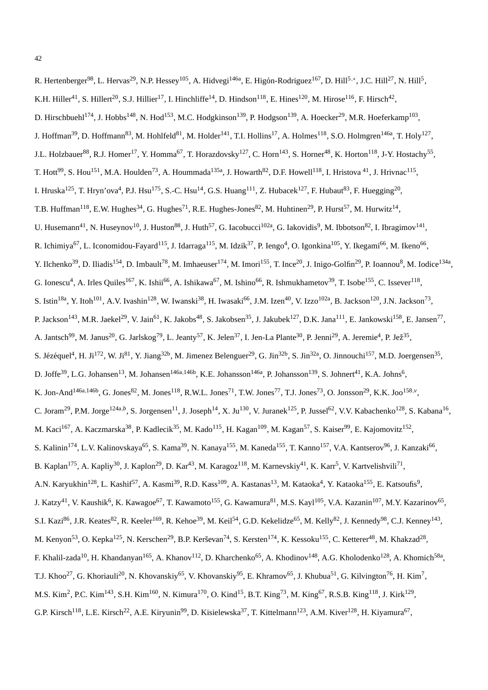R. Hertenberger<sup>98</sup>, L. Hervas<sup>29</sup>, N.P. Hessey<sup>105</sup>, A. Hidvegi<sup>146a</sup>, E. Higón-Rodriguez<sup>167</sup>, D. Hill<sup>5,∗</sup>, J.C. Hill<sup>27</sup>, N. Hill<sup>5</sup>, K.H. Hiller<sup>41</sup>, S. Hillert<sup>20</sup>, S.J. Hillier<sup>17</sup>, I. Hinchliffe<sup>14</sup>, D. Hindson<sup>118</sup>, E. Hines<sup>120</sup>, M. Hirose<sup>116</sup>, F. Hirsch<sup>42</sup>, D. Hirschbuehl<sup>174</sup>, J. Hobbs<sup>148</sup>, N. Hod<sup>153</sup>, M.C. Hodgkinson<sup>139</sup>, P. Hodgson<sup>139</sup>, A. Hoecker<sup>29</sup>, M.R. Hoeferkamp<sup>103</sup>, J. Hoffman<sup>39</sup>, D. Hoffmann<sup>83</sup>, M. Hohlfeld<sup>81</sup>, M. Holder<sup>141</sup>, T.I. Hollins<sup>17</sup>, A. Holmes<sup>118</sup>, S.O. Holmgren<sup>146a</sup>, T. Holy<sup>127</sup>, J.L. Holzbauer<sup>88</sup>, R.J. Homer<sup>17</sup>, Y. Homma<sup>67</sup>, T. Horazdovsky<sup>127</sup>, C. Horn<sup>143</sup>, S. Horner<sup>48</sup>, K. Horton<sup>118</sup>, J-Y. Hostachy<sup>55</sup>, T. Hott<sup>99</sup>, S. Hou<sup>151</sup>, M.A. Houlden<sup>73</sup>, A. Hoummada<sup>135a</sup>, J. Howarth<sup>82</sup>, D.F. Howell<sup>118</sup>, I. Hristova <sup>41</sup>, J. Hrivnac<sup>115</sup>, I. Hruska<sup>125</sup>, T. Hryn'ova<sup>4</sup>, P.J. Hsu<sup>175</sup>, S.-C. Hsu<sup>14</sup>, G.S. Huang<sup>111</sup>, Z. Hubacek<sup>127</sup>, F. Hubaut<sup>83</sup>, F. Huegging<sup>20</sup>, T.B. Huffman<sup>118</sup>, E.W. Hughes<sup>34</sup>, G. Hughes<sup>71</sup>, R.E. Hughes-Jones<sup>82</sup>, M. Huhtinen<sup>29</sup>, P. Hurst<sup>57</sup>, M. Hurwitz<sup>14</sup>, U. Husemann<sup>41</sup>, N. Huseynov<sup>10</sup>, J. Huston<sup>88</sup>, J. Huth<sup>57</sup>, G. Iacobucci<sup>102a</sup>, G. Iakovidis<sup>9</sup>, M. Ibbotson<sup>82</sup>, I. Ibragimov<sup>141</sup>, R. Ichimiya<sup>67</sup>, L. Iconomidou-Fayard<sup>115</sup>, J. Idarraga<sup>115</sup>, M. Idzik<sup>37</sup>, P. Iengo<sup>4</sup>, O. Igonkina<sup>105</sup>, Y. Ikegami<sup>66</sup>, M. Ikeno<sup>66</sup>, Y. Ilchenko<sup>39</sup>, D. Iliadis<sup>154</sup>, D. Imbault<sup>78</sup>, M. Imhaeuser<sup>174</sup>, M. Imori<sup>155</sup>, T. Ince<sup>20</sup>, J. Inigo-Golfin<sup>29</sup>, P. Ioannou<sup>8</sup>, M. Iodice<sup>134a</sup>, G. Ionescu<sup>4</sup>, A. Irles Quiles<sup>167</sup>, K. Ishii<sup>66</sup>, A. Ishikawa<sup>67</sup>, M. Ishino<sup>66</sup>, R. Ishmukhametov<sup>39</sup>, T. Isobe<sup>155</sup>, C. Issever<sup>118</sup>, S. Istin<sup>18a</sup>, Y. Itoh<sup>101</sup>, A.V. Ivashin<sup>128</sup>, W. Iwanski<sup>38</sup>, H. Iwasaki<sup>66</sup>, J.M. Izen<sup>40</sup>, V. Izzo<sup>102a</sup>, B. Jackson<sup>120</sup>, J.N. Jackson<sup>73</sup>, P. Jackson<sup>143</sup>, M.R. Jaekel<sup>29</sup>, V. Jain<sup>61</sup>, K. Jakobs<sup>48</sup>, S. Jakobsen<sup>35</sup>, J. Jakubek<sup>127</sup>, D.K. Jana<sup>111</sup>, E. Jankowski<sup>158</sup>, E. Jansen<sup>77</sup>, A. Jantsch<sup>99</sup>, M. Janus<sup>20</sup>, G. Jarlskog<sup>79</sup>, L. Jeanty<sup>57</sup>, K. Jelen<sup>37</sup>, I. Jen-La Plante<sup>30</sup>, P. Jenni<sup>29</sup>, A. Jeremie<sup>4</sup>, P. Jež<sup>35</sup>, S. Jézéquel<sup>4</sup>, H. Ji<sup>172</sup>, W. Ji<sup>81</sup>, Y. Jiang<sup>32b</sup>, M. Jimenez Belenguer<sup>29</sup>, G. Jin<sup>32b</sup>, S. Jin<sup>32a</sup>, O. Jinnouchi<sup>157</sup>, M.D. Joergensen<sup>35</sup>, D. Joffe<sup>39</sup>, L.G. Johansen<sup>13</sup>, M. Johansen<sup>146a,146b</sup>, K.E. Johansson<sup>146a</sup>, P. Johansson<sup>139</sup>, S. Johnert<sup>41</sup>, K.A. Johns<sup>6</sup>, K. Jon-And<sup>146a,146b</sup>, G. Jones<sup>82</sup>, M. Jones<sup>118</sup>, R.W.L. Jones<sup>71</sup>, T.W. Jones<sup>77</sup>, T.J. Jones<sup>73</sup>, O. Jonsson<sup>29</sup>, K.K. Joo<sup>158,*v*</sup>, C. Joram<sup>29</sup>, P.M. Jorge<sup>124a,b</sup>, S. Jorgensen<sup>11</sup>, J. Joseph<sup>14</sup>, X. Ju<sup>130</sup>, V. Juranek<sup>125</sup>, P. Jussel<sup>62</sup>, V.V. Kabachenko<sup>128</sup>, S. Kabana<sup>16</sup>, M. Kaci<sup>167</sup>, A. Kaczmarska<sup>38</sup>, P. Kadlecik<sup>35</sup>, M. Kado<sup>115</sup>, H. Kagan<sup>109</sup>, M. Kagan<sup>57</sup>, S. Kaiser<sup>99</sup>, E. Kajomovitz<sup>152</sup>, S. Kalinin<sup>174</sup>, L.V. Kalinovskaya<sup>65</sup>, S. Kama<sup>39</sup>, N. Kanaya<sup>155</sup>, M. Kaneda<sup>155</sup>, T. Kanno<sup>157</sup>, V.A. Kantserov<sup>96</sup>, J. Kanzaki<sup>66</sup>, B. Kaplan<sup>175</sup>, A. Kapliy<sup>30</sup>, J. Kaplon<sup>29</sup>, D. Kar<sup>43</sup>, M. Karagoz<sup>118</sup>, M. Karnevskiy<sup>41</sup>, K. Karr<sup>5</sup>, V. Kartvelishvili<sup>71</sup>, A.N. Karyukhin<sup>128</sup>, L. Kashif<sup>57</sup>, A. Kasmi<sup>39</sup>, R.D. Kass<sup>109</sup>, A. Kastanas<sup>13</sup>, M. Kataoka<sup>4</sup>, Y. Kataoka<sup>155</sup>, E. Katsoufis<sup>9</sup>, J. Katzy<sup>41</sup>, V. Kaushik<sup>6</sup>, K. Kawagoe<sup>67</sup>, T. Kawamoto<sup>155</sup>, G. Kawamura<sup>81</sup>, M.S. Kayl<sup>105</sup>, V.A. Kazanin<sup>107</sup>, M.Y. Kazarinov<sup>65</sup>, S.I. Kazi<sup>86</sup>, J.R. Keates<sup>82</sup>, R. Keeler<sup>169</sup>, R. Kehoe<sup>39</sup>, M. Keil<sup>54</sup>, G.D. Kekelidze<sup>65</sup>, M. Kelly<sup>82</sup>, J. Kennedy<sup>98</sup>, C.J. Kenney<sup>143</sup>, M. Kenyon<sup>53</sup>, O. Kepka<sup>125</sup>, N. Kerschen<sup>29</sup>, B.P. Kerševan<sup>74</sup>, S. Kersten<sup>174</sup>, K. Kessoku<sup>155</sup>, C. Ketterer<sup>48</sup>, M. Khakzad<sup>28</sup>, F. Khalil-zada<sup>10</sup>, H. Khandanyan<sup>165</sup>, A. Khanov<sup>112</sup>, D. Kharchenko<sup>65</sup>, A. Khodinov<sup>148</sup>, A.G. Kholodenko<sup>128</sup>, A. Khomich<sup>58a</sup>, T.J. Khoo<sup>27</sup>, G. Khoriauli<sup>20</sup>, N. Khovanskiy<sup>65</sup>, V. Khovanskiy<sup>95</sup>, E. Khramov<sup>65</sup>, J. Khubua<sup>51</sup>, G. Kilvington<sup>76</sup>, H. Kim<sup>7</sup>, M.S. Kim<sup>2</sup>, P.C. Kim<sup>143</sup>, S.H. Kim<sup>160</sup>, N. Kimura<sup>170</sup>, O. Kind<sup>15</sup>, B.T. King<sup>73</sup>, M. King<sup>67</sup>, R.S.B. King<sup>118</sup>, J. Kirk<sup>129</sup>, G.P. Kirsch<sup>118</sup>, L.E. Kirsch<sup>22</sup>, A.E. Kiryunin<sup>99</sup>, D. Kisielewska<sup>37</sup>, T. Kittelmann<sup>123</sup>, A.M. Kiver<sup>128</sup>, H. Kiyamura<sup>67</sup>,

42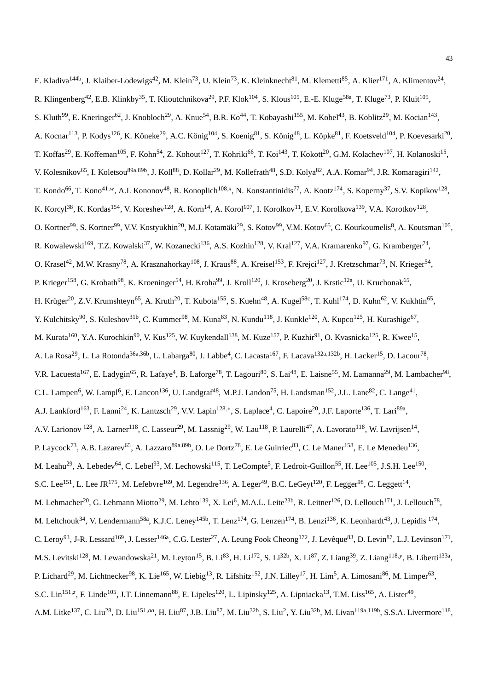E. Kladiva<sup>144b</sup>, J. Klaiber-Lodewigs<sup>42</sup>, M. Klein<sup>73</sup>, U. Klein<sup>73</sup>, K. Kleinknecht<sup>81</sup>, M. Klemetti<sup>85</sup>, A. Klier<sup>171</sup>, A. Klimentov<sup>24</sup>, R. Klingenberg<sup>42</sup>, E.B. Klinkby<sup>35</sup>, T. Klioutchnikova<sup>29</sup>, P.F. Klok<sup>104</sup>, S. Klous<sup>105</sup>, E.-E. Kluge<sup>58a</sup>, T. Kluge<sup>73</sup>, P. Kluit<sup>105</sup>, S. Kluth<sup>99</sup>, E. Kneringer<sup>62</sup>, J. Knobloch<sup>29</sup>, A. Knue<sup>54</sup>, B.R. Ko<sup>44</sup>, T. Kobayashi<sup>155</sup>, M. Kobel<sup>43</sup>, B. Koblitz<sup>29</sup>, M. Kocian<sup>143</sup>, A. Kocnar<sup>113</sup>, P. Kodys<sup>126</sup>, K. Köneke<sup>29</sup>, A.C. König<sup>104</sup>, S. Koenig<sup>81</sup>, S. König<sup>48</sup>, L. Köpke<sup>81</sup>, F. Koetsveld<sup>104</sup>, P. Koevesarki<sup>20</sup>, T. Koffas<sup>29</sup>, E. Koffeman<sup>105</sup>, F. Kohn<sup>54</sup>, Z. Kohout<sup>127</sup>, T. Kohriki<sup>66</sup>, T. Koi<sup>143</sup>, T. Kokott<sup>20</sup>, G.M. Kolachev<sup>107</sup>, H. Kolanoski<sup>15</sup>, V. Kolesnikov<sup>65</sup>, I. Koletsou<sup>89a,89b</sup>, J. Koll<sup>88</sup>, D. Kollar<sup>29</sup>, M. Kollefrath<sup>48</sup>, S.D. Kolya<sup>82</sup>, A.A. Komar<sup>94</sup>, J.R. Komaragiri<sup>142</sup>, T. Kondo<sup>66</sup>, T. Kono<sup>41,w</sup>, A.I. Kononov<sup>48</sup>, R. Konoplich<sup>108,x</sup>, N. Konstantinidis<sup>77</sup>, A. Kootz<sup>174</sup>, S. Koperny<sup>37</sup>, S.V. Kopikov<sup>128</sup>, K. Korcyl<sup>38</sup>, K. Kordas<sup>154</sup>, V. Koreshev<sup>128</sup>, A. Korn<sup>14</sup>, A. Korol<sup>107</sup>, I. Korolkov<sup>11</sup>, E.V. Korolkova<sup>139</sup>, V.A. Korotkov<sup>128</sup>, O. Kortner<sup>99</sup>, S. Kortner<sup>99</sup>, V.V. Kostyukhin<sup>20</sup>, M.J. Kotamäki<sup>29</sup>, S. Kotov<sup>99</sup>, V.M. Kotov<sup>65</sup>, C. Kourkoumelis<sup>8</sup>, A. Koutsman<sup>105</sup>, R. Kowalewski<sup>169</sup>, T.Z. Kowalski<sup>37</sup>, W. Kozanecki<sup>136</sup>, A.S. Kozhin<sup>128</sup>, V. Kral<sup>127</sup>, V.A. Kramarenko<sup>97</sup>, G. Kramberger<sup>74</sup>, O. Krasel<sup>42</sup>, M.W. Krasny<sup>78</sup>, A. Krasznahorkay<sup>108</sup>, J. Kraus<sup>88</sup>, A. Kreisel<sup>153</sup>, F. Krejci<sup>127</sup>, J. Kretzschmar<sup>73</sup>, N. Krieger<sup>54</sup>, P. Krieger<sup>158</sup>, G. Krobath<sup>98</sup>, K. Kroeninger<sup>54</sup>, H. Kroha<sup>99</sup>, J. Kroll<sup>120</sup>, J. Kroseberg<sup>20</sup>, J. Krstic<sup>12a</sup>, U. Kruchonak<sup>65</sup>, H. Krüger<sup>20</sup>, Z.V. Krumshteyn<sup>65</sup>, A. Kruth<sup>20</sup>, T. Kubota<sup>155</sup>, S. Kuehn<sup>48</sup>, A. Kugel<sup>58c</sup>, T. Kuhl<sup>174</sup>, D. Kuhn<sup>62</sup>, V. Kukhtin<sup>65</sup>, Y. Kulchitsky<sup>90</sup>, S. Kuleshov<sup>31b</sup>, C. Kummer<sup>98</sup>, M. Kuna<sup>83</sup>, N. Kundu<sup>118</sup>, J. Kunkle<sup>120</sup>, A. Kupco<sup>125</sup>, H. Kurashige<sup>67</sup>, M. Kurata<sup>160</sup>, Y.A. Kurochkin<sup>90</sup>, V. Kus<sup>125</sup>, W. Kuykendall<sup>138</sup>, M. Kuze<sup>157</sup>, P. Kuzhir<sup>91</sup>, O. Kvasnicka<sup>125</sup>, R. Kwee<sup>15</sup>, A. La Rosa<sup>29</sup>, L. La Rotonda<sup>36a,36b</sup>, L. Labarga<sup>80</sup>, J. Labbe<sup>4</sup>, C. Lacasta<sup>167</sup>, F. Lacava<sup>132a,132b</sup>, H. Lacker<sup>15</sup>, D. Lacour<sup>78</sup>, V.R. Lacuesta<sup>167</sup>, E. Ladygin<sup>65</sup>, R. Lafaye<sup>4</sup>, B. Laforge<sup>78</sup>, T. Lagouri<sup>80</sup>, S. Lai<sup>48</sup>, E. Laisne<sup>55</sup>, M. Lamanna<sup>29</sup>, M. Lambacher<sup>98</sup>, C.L. Lampen<sup>6</sup>, W. Lampl<sup>6</sup>, E. Lancon<sup>136</sup>, U. Landgraf<sup>48</sup>, M.P.J. Landon<sup>75</sup>, H. Landsman<sup>152</sup>, J.L. Lane<sup>82</sup>, C. Lange<sup>41</sup>, A.J. Lankford<sup>163</sup>, F. Lanni<sup>24</sup>, K. Lantzsch<sup>29</sup>, V.V. Lapin<sup>128,∗</sup>, S. Laplace<sup>4</sup>, C. Lapoire<sup>20</sup>, J.F. Laporte<sup>136</sup>, T. Lari<sup>89a</sup>, A.V. Larionov <sup>128</sup>, A. Larner<sup>118</sup>, C. Lasseur<sup>29</sup>, M. Lassnig<sup>29</sup>, W. Lau<sup>118</sup>, P. Laurelli<sup>47</sup>, A. Lavorato<sup>118</sup>, W. Lavrijsen<sup>14</sup>, P. Laycock<sup>73</sup>, A.B. Lazarev<sup>65</sup>, A. Lazzaro<sup>89a,89b</sup>, O. Le Dortz<sup>78</sup>, E. Le Guirriec<sup>83</sup>, C. Le Maner<sup>158</sup>, E. Le Menedeu<sup>136</sup>, M. Leahu<sup>29</sup>, A. Lebedev<sup>64</sup>, C. Lebel<sup>93</sup>, M. Lechowski<sup>115</sup>, T. LeCompte<sup>5</sup>, F. Ledroit-Guillon<sup>55</sup>, H. Lee<sup>105</sup>, J.S.H. Lee<sup>150</sup>, S.C. Lee<sup>151</sup>, L. Lee JR<sup>175</sup>, M. Lefebvre<sup>169</sup>, M. Legendre<sup>136</sup>, A. Leger<sup>49</sup>, B.C. LeGeyt<sup>120</sup>, F. Legger<sup>98</sup>, C. Leggett<sup>14</sup>, M. Lehmacher<sup>20</sup>, G. Lehmann Miotto<sup>29</sup>, M. Lehto<sup>139</sup>, X. Lei<sup>6</sup>, M.A.L. Leite<sup>23b</sup>, R. Leitner<sup>126</sup>, D. Lellouch<sup>171</sup>, J. Lellouch<sup>78</sup>, M. Leltchouk<sup>34</sup>, V. Lendermann<sup>58a</sup>, K.J.C. Leney<sup>145b</sup>, T. Lenz<sup>174</sup>, G. Lenzen<sup>174</sup>, B. Lenzi<sup>136</sup>, K. Leonhardt<sup>43</sup>, J. Lepidis <sup>174</sup>, C. Leroy<sup>93</sup>, J-R. Lessard<sup>169</sup>, J. Lesser<sup>146a</sup>, C.G. Lester<sup>27</sup>, A. Leung Fook Cheong<sup>172</sup>, J. Levêque<sup>83</sup>, D. Levin<sup>87</sup>, L.J. Levinson<sup>171</sup>, M.S. Levitski<sup>128</sup>, M. Lewandowska<sup>21</sup>, M. Leyton<sup>15</sup>, B. Li<sup>83</sup>, H. Li<sup>172</sup>, S. Li<sup>32b</sup>, X. Li<sup>87</sup>, Z. Liang<sup>39</sup>, Z. Liang<sup>118,y</sup>, B. Liberti<sup>133a</sup>, P. Lichard<sup>29</sup>, M. Lichtnecker<sup>98</sup>, K. Lie<sup>165</sup>, W. Liebig<sup>13</sup>, R. Lifshitz<sup>152</sup>, J.N. Lilley<sup>17</sup>, H. Lim<sup>5</sup>, A. Limosani<sup>86</sup>, M. Limper<sup>63</sup>, S.C. Lin<sup>151,*z*</sup>, F. Linde<sup>105</sup>, J.T. Linnemann<sup>88</sup>, E. Lipeles<sup>120</sup>, L. Lipinsky<sup>125</sup>, A. Lipniacka<sup>13</sup>, T.M. Liss<sup>165</sup>, A. Lister<sup>49</sup>, A.M. Litke<sup>137</sup>, C. Liu<sup>28</sup>, D. Liu<sup>151,aa</sup>, H. Liu<sup>87</sup>, J.B. Liu<sup>87</sup>, M. Liu<sup>32b</sup>, S. Liu<sup>2</sup>, Y. Liu<sup>32b</sup>, M. Livan<sup>119a,119b</sup>, S.S.A. Livermore<sup>118</sup>,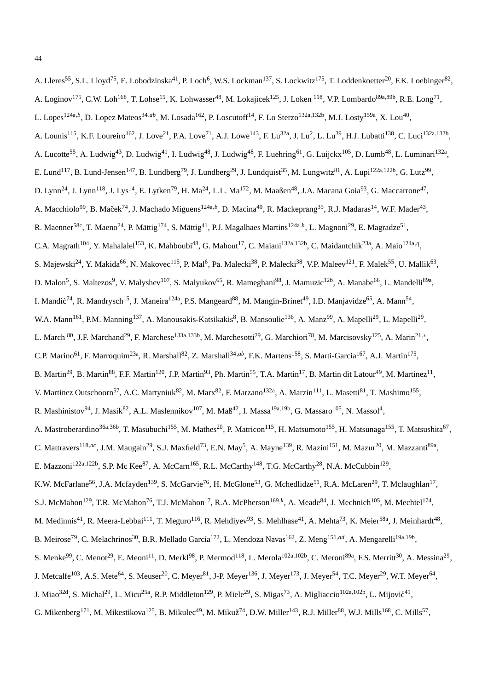A. Lleres<sup>55</sup>, S.L. Lloyd<sup>75</sup>, E. Lobodzinska<sup>41</sup>, P. Loch<sup>6</sup>, W.S. Lockman<sup>137</sup>, S. Lockwitz<sup>175</sup>, T. Loddenkoetter<sup>20</sup>, F.K. Loebinger<sup>82</sup>, A. Loginov<sup>175</sup>, C.W. Loh<sup>168</sup>, T. Lohse<sup>15</sup>, K. Lohwasser<sup>48</sup>, M. Lokajicek<sup>125</sup>, J. Loken <sup>118</sup>, V.P. Lombardo<sup>89a,89b</sup>, R.E. Long<sup>71</sup>, L. Lopes<sup>124a,b</sup>, D. Lopez Mateos<sup>34,ab</sup>, M. Losada<sup>162</sup>, P. Loscutoff<sup>14</sup>, F. Lo Sterzo<sup>132a,132b</sup>, M.J. Losty<sup>159a</sup>, X. Lou<sup>40</sup>, A. Lounis<sup>115</sup>, K.F. Loureiro<sup>162</sup>, J. Love<sup>21</sup>, P.A. Love<sup>71</sup>, A.J. Lowe<sup>143</sup>, F. Lu<sup>32a</sup>, J. Lu<sup>2</sup>, L. Lu<sup>39</sup>, H.J. Lubatti<sup>138</sup>, C. Luci<sup>132a,132b</sup>, A. Lucotte<sup>55</sup>, A. Ludwig<sup>43</sup>, D. Ludwig<sup>41</sup>, I. Ludwig<sup>48</sup>, J. Ludwig<sup>48</sup>, F. Luehring<sup>61</sup>, G. Luijckx<sup>105</sup>, D. Lumb<sup>48</sup>, L. Luminari<sup>132a</sup>, E. Lund<sup>117</sup>, B. Lund-Jensen<sup>147</sup>, B. Lundberg<sup>79</sup>, J. Lundberg<sup>29</sup>, J. Lundquist<sup>35</sup>, M. Lungwitz<sup>81</sup>, A. Lupi<sup>122a,122b</sup>, G. Lutz<sup>99</sup>, D. Lynn<sup>24</sup>, J. Lynn<sup>118</sup>, J. Lys<sup>14</sup>, E. Lytken<sup>79</sup>, H. Ma<sup>24</sup>, L.L. Ma<sup>172</sup>, M. Maaßen<sup>48</sup>, J.A. Macana Goia<sup>93</sup>, G. Maccarrone<sup>47</sup>, A. Macchiolo<sup>99</sup>, B. Maček<sup>74</sup>, J. Machado Miguens<sup>124a,b</sup>, D. Macina<sup>49</sup>, R. Mackeprang<sup>35</sup>, R.J. Madaras<sup>14</sup>, W.F. Mader<sup>43</sup>, R. Maenner<sup>58c</sup>, T. Maeno<sup>24</sup>, P. Mättig<sup>174</sup>, S. Mättig<sup>41</sup>, P.J. Magalhaes Martins<sup>124a,h</sup>, L. Magnoni<sup>29</sup>, E. Magradze<sup>51</sup>, C.A. Magrath<sup>104</sup>, Y. Mahalalel<sup>153</sup>, K. Mahboubi<sup>48</sup>, G. Mahout<sup>17</sup>, C. Maiani<sup>132a,132b</sup>, C. Maidantchik<sup>23a</sup>, A. Maio<sup>124a,q</sup>, S. Majewski<sup>24</sup>, Y. Makida<sup>66</sup>, N. Makovec<sup>115</sup>, P. Mal<sup>6</sup>, Pa. Malecki<sup>38</sup>, P. Malecki<sup>38</sup>, V.P. Maleev<sup>121</sup>, F. Malek<sup>55</sup>, U. Mallik<sup>63</sup>, D. Malon<sup>5</sup>, S. Maltezos<sup>9</sup>, V. Malyshev<sup>107</sup>, S. Malyukov<sup>65</sup>, R. Mameghani<sup>98</sup>, J. Mamuzic<sup>12b</sup>, A. Manabe<sup>66</sup>, L. Mandelli<sup>89a</sup>, I. Mandić<sup>74</sup>, R. Mandrysch<sup>15</sup>, J. Maneira<sup>124a</sup>, P.S. Mangeard<sup>88</sup>, M. Mangin-Brinet<sup>49</sup>, I.D. Manjavidze<sup>65</sup>, A. Mann<sup>54</sup>, W.A. Mann<sup>161</sup>, P.M. Manning<sup>137</sup>, A. Manousakis-Katsikakis<sup>8</sup>, B. Mansoulie<sup>136</sup>, A. Manz<sup>99</sup>, A. Mapelli<sup>29</sup>, L. Mapelli<sup>29</sup>, L. March  $^{80}$ , J.F. Marchand<sup>29</sup>, F. Marchese<sup>133a,133b</sup>, M. Marchesotti<sup>29</sup>, G. Marchiori<sup>78</sup>, M. Marcisovsky<sup>125</sup>, A. Marin<sup>21,∗</sup>, C.P. Marino<sup>61</sup>, F. Marroquim<sup>23a</sup>, R. Marshall<sup>82</sup>, Z. Marshall<sup>34,ab</sup>, F.K. Martens<sup>158</sup>, S. Marti-Garcia<sup>167</sup>, A.J. Martin<sup>175</sup>, B. Martin<sup>29</sup>, B. Martin<sup>88</sup>, F.F. Martin<sup>120</sup>, J.P. Martin<sup>93</sup>, Ph. Martin<sup>55</sup>, T.A. Martin<sup>17</sup>, B. Martin dit Latour<sup>49</sup>, M. Martinez<sup>11</sup>, V. Martinez Outschoorn<sup>57</sup>, A.C. Martyniuk<sup>82</sup>, M. Marx<sup>82</sup>, F. Marzano<sup>132a</sup>, A. Marzin<sup>111</sup>, L. Masetti<sup>81</sup>, T. Mashimo<sup>155</sup>, R. Mashinistov<sup>94</sup>, J. Masik<sup>82</sup>, A.L. Maslennikov<sup>107</sup>, M. Maß<sup>42</sup>, I. Massa<sup>19a,19b</sup>, G. Massaro<sup>105</sup>, N. Massol<sup>4</sup>, A. Mastroberardino<sup>36a,36b</sup>, T. Masubuchi<sup>155</sup>, M. Mathes<sup>20</sup>, P. Matricon<sup>115</sup>, H. Matsumoto<sup>155</sup>, H. Matsunaga<sup>155</sup>, T. Matsushita<sup>67</sup>, C. Mattravers<sup>118,ac</sup>, J.M. Maugain<sup>29</sup>, S.J. Maxfield<sup>73</sup>, E.N. May<sup>5</sup>, A. Mayne<sup>139</sup>, R. Mazini<sup>151</sup>, M. Mazur<sup>20</sup>, M. Mazzanti<sup>89a</sup>, E. Mazzoni<sup>122a,122b</sup>, S.P. Mc Kee<sup>87</sup>, A. McCarn<sup>165</sup>, R.L. McCarthy<sup>148</sup>, T.G. McCarthy<sup>28</sup>, N.A. McCubbin<sup>129</sup>, K.W. McFarlane<sup>56</sup>, J.A. Mcfayden<sup>139</sup>, S. McGarvie<sup>76</sup>, H. McGlone<sup>53</sup>, G. Mchedlidze<sup>51</sup>, R.A. McLaren<sup>29</sup>, T. Mclaughlan<sup>17</sup>, S.J. McMahon<sup>129</sup>, T.R. McMahon<sup>76</sup>, T.J. McMahon<sup>17</sup>, R.A. McPherson<sup>169,k</sup>, A. Meade<sup>84</sup>, J. Mechnich<sup>105</sup>, M. Mechtel<sup>174</sup>, M. Medinnis<sup>41</sup>, R. Meera-Lebbai<sup>111</sup>, T. Meguro<sup>116</sup>, R. Mehdiyev<sup>93</sup>, S. Mehlhase<sup>41</sup>, A. Mehta<sup>73</sup>, K. Meier<sup>58a</sup>, J. Meinhardt<sup>48</sup>,

- B. Meirose<sup>79</sup>, C. Melachrinos<sup>30</sup>, B.R. Mellado Garcia<sup>172</sup>, L. Mendoza Navas<sup>162</sup>, Z. Meng<sup>151,ad</sup>, A. Mengarelli<sup>19a,19b</sup>,
- S. Menke<sup>99</sup>, C. Menot<sup>29</sup>, E. Meoni<sup>11</sup>, D. Merkl<sup>98</sup>, P. Mermod<sup>118</sup>, L. Merola<sup>102a,102b</sup>, C. Meroni<sup>89a</sup>, F.S. Merritt<sup>30</sup>, A. Messina<sup>29</sup>,
- J. Metcalfe<sup>103</sup>, A.S. Mete<sup>64</sup>, S. Meuser<sup>20</sup>, C. Meyer<sup>81</sup>, J-P. Meyer<sup>136</sup>, J. Meyer<sup>173</sup>, J. Meyer<sup>54</sup>, T.C. Meyer<sup>29</sup>, W.T. Meyer<sup>64</sup>,
- J. Miao<sup>32d</sup>, S. Michal<sup>29</sup>, L. Micu<sup>25a</sup>, R.P. Middleton<sup>129</sup>, P. Miele<sup>29</sup>, S. Migas<sup>73</sup>, A. Migliaccio<sup>102a,102b</sup>, L. Mijović<sup>41</sup>,
- G. Mikenberg<sup>171</sup>, M. Mikestikova<sup>125</sup>, B. Mikulec<sup>49</sup>, M. Mikuž<sup>74</sup>, D.W. Miller<sup>143</sup>, R.J. Miller<sup>88</sup>, W.J. Mills<sup>168</sup>, C. Mills<sup>57</sup>,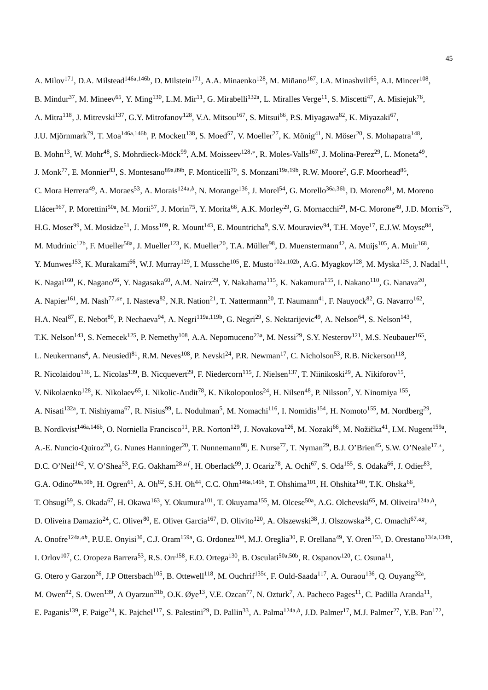A. Milov<sup>171</sup>, D.A. Milstead<sup>146a,146b</sup>, D. Milstein<sup>171</sup>, A.A. Minaenko<sup>128</sup>, M. Miñano<sup>167</sup>, I.A. Minashvili<sup>65</sup>, A.I. Mincer<sup>108</sup>, B. Mindur<sup>37</sup>, M. Mineev<sup>65</sup>, Y. Ming<sup>130</sup>, L.M. Mir<sup>11</sup>, G. Mirabelli<sup>132a</sup>, L. Miralles Verge<sup>11</sup>, S. Miscetti<sup>47</sup>, A. Misiejuk<sup>76</sup>, A. Mitra<sup>118</sup>, J. Mitrevski<sup>137</sup>, G.Y. Mitrofanov<sup>128</sup>, V.A. Mitsou<sup>167</sup>, S. Mitsui<sup>66</sup>, P.S. Miyagawa<sup>82</sup>, K. Miyazaki<sup>67</sup>, J.U. Mjörnmark<sup>79</sup>, T. Moa<sup>146a,146b</sup>, P. Mockett<sup>138</sup>, S. Moed<sup>57</sup>, V. Moeller<sup>27</sup>, K. Mönig<sup>41</sup>, N. Möser<sup>20</sup>, S. Mohapatra<sup>148</sup>, B. Mohn<sup>13</sup>, W. Mohr<sup>48</sup>, S. Mohrdieck-Möck<sup>99</sup>, A.M. Moisseev<sup>128,\*</sup>, R. Moles-Valls<sup>167</sup>, J. Molina-Perez<sup>29</sup>, L. Moneta<sup>49</sup>, J. Monk<sup>77</sup>, E. Monnier<sup>83</sup>, S. Montesano<sup>89a,89b</sup>, F. Monticelli<sup>70</sup>, S. Monzani<sup>19a,19b</sup>, R.W. Moore<sup>2</sup>, G.F. Moorhead<sup>86</sup>, C. Mora Herrera<sup>49</sup>, A. Moraes<sup>53</sup>, A. Morais<sup>124a,b</sup>, N. Morange<sup>136</sup>, J. Morel<sup>54</sup>, G. Morello<sup>36a,36b</sup>, D. Moreno<sup>81</sup>, M. Moreno Llácer<sup>167</sup>, P. Morettini<sup>50a</sup>, M. Morii<sup>57</sup>, J. Morin<sup>75</sup>, Y. Morita<sup>66</sup>, A.K. Morley<sup>29</sup>, G. Mornacchi<sup>29</sup>, M-C. Morone<sup>49</sup>, J.D. Morris<sup>75</sup>, H.G. Moser<sup>99</sup>, M. Mosidze<sup>51</sup>, J. Moss<sup>109</sup>, R. Mount<sup>143</sup>, E. Mountricha<sup>9</sup>, S.V. Mouraviev<sup>94</sup>, T.H. Moye<sup>17</sup>, E.J.W. Moyse<sup>84</sup>, M. Mudrinic<sup>12b</sup>, F. Mueller<sup>58a</sup>, J. Mueller<sup>123</sup>, K. Mueller<sup>20</sup>, T.A. Müller<sup>98</sup>, D. Muenstermann<sup>42</sup>, A. Muijs<sup>105</sup>, A. Muir<sup>168</sup>, Y. Munwes<sup>153</sup>, K. Murakami<sup>66</sup>, W.J. Murray<sup>129</sup>, I. Mussche<sup>105</sup>, E. Musto<sup>102a,102b</sup>, A.G. Myagkov<sup>128</sup>, M. Myska<sup>125</sup>, J. Nadal<sup>11</sup>, K. Nagai $^{160}$ , K. Nagano $^{66}$ , Y. Nagasaka $^{60}$ , A.M. Nairz $^{29}$ , Y. Nakahama $^{115}$ , K. Nakamura $^{155}$ , I. Nakano $^{110}$ , G. Nanava $^{20}$ , A. Napier<sup>161</sup>, M. Nash<sup>77,ae</sup>, I. Nasteva<sup>82</sup>, N.R. Nation<sup>21</sup>, T. Nattermann<sup>20</sup>, T. Naumann<sup>41</sup>, F. Nauyock<sup>82</sup>, G. Navarro<sup>162</sup>, H.A. Neal<sup>87</sup>, E. Nebot<sup>80</sup>, P. Nechaeva<sup>94</sup>, A. Negri<sup>119a,119b</sup>, G. Negri<sup>29</sup>, S. Nektarijevic<sup>49</sup>, A. Nelson<sup>64</sup>, S. Nelson<sup>143</sup>, T.K. Nelson<sup>143</sup>, S. Nemecek<sup>125</sup>, P. Nemethy<sup>108</sup>, A.A. Nepomuceno<sup>23a</sup>, M. Nessi<sup>29</sup>, S.Y. Nesterov<sup>121</sup>, M.S. Neubauer<sup>165</sup>, L. Neukermans<sup>4</sup>, A. Neusiedl<sup>81</sup>, R.M. Neves<sup>108</sup>, P. Nevski<sup>24</sup>, P.R. Newman<sup>17</sup>, C. Nicholson<sup>53</sup>, R.B. Nickerson<sup>118</sup>, R. Nicolaidou<sup>136</sup>, L. Nicolas<sup>139</sup>, B. Nicquevert<sup>29</sup>, F. Niedercorn<sup>115</sup>, J. Nielsen<sup>137</sup>, T. Niinikoski<sup>29</sup>, A. Nikiforov<sup>15</sup>, V. Nikolaenko<sup>128</sup>, K. Nikolaev<sup>65</sup>, I. Nikolic-Audit<sup>78</sup>, K. Nikolopoulos<sup>24</sup>, H. Nilsen<sup>48</sup>, P. Nilsson<sup>7</sup>, Y. Ninomiya <sup>155</sup>, A. Nisati<sup>132a</sup>, T. Nishiyama<sup>67</sup>, R. Nisius<sup>99</sup>, L. Nodulman<sup>5</sup>, M. Nomachi<sup>116</sup>, I. Nomidis<sup>154</sup>, H. Nomoto<sup>155</sup>, M. Nordberg<sup>29</sup>, B. Nordkvist<sup>146a,146b</sup>, O. Norniella Francisco<sup>11</sup>, P.R. Norton<sup>129</sup>, J. Novakova<sup>126</sup>, M. Nozaki<sup>66</sup>, M. Nožička<sup>41</sup>, I.M. Nugent<sup>159a</sup>, A.-E. Nuncio-Quiroz<sup>20</sup>, G. Nunes Hanninger<sup>20</sup>, T. Nunnemann<sup>98</sup>, E. Nurse<sup>77</sup>, T. Nyman<sup>29</sup>, B.J. O'Brien<sup>45</sup>, S.W. O'Neale<sup>17,\*</sup>, D.C. O'Neil<sup>142</sup>, V. O'Shea<sup>53</sup>, F.G. Oakham<sup>28,af</sup>, H. Oberlack<sup>99</sup>, J. Ocariz<sup>78</sup>, A. Ochi<sup>67</sup>, S. Oda<sup>155</sup>, S. Odaka<sup>66</sup>, J. Odier<sup>83</sup>, G.A. Odino<sup>50a,50b</sup>, H. Ogren<sup>61</sup>, A. Oh<sup>82</sup>, S.H. Oh<sup>44</sup>, C.C. Ohm<sup>146a,146b</sup>, T. Ohshima<sup>101</sup>, H. Ohshita<sup>140</sup>, T.K. Ohska<sup>66</sup>, T. Ohsugi<sup>59</sup>, S. Okada<sup>67</sup>, H. Okawa<sup>163</sup>, Y. Okumura<sup>101</sup>, T. Okuyama<sup>155</sup>, M. Olcese<sup>50a</sup>, A.G. Olchevski<sup>65</sup>, M. Oliveira<sup>124a,h</sup>, D. Oliveira Damazio<sup>24</sup>, C. Oliver<sup>80</sup>, E. Oliver Garcia<sup>167</sup>, D. Olivito<sup>120</sup>, A. Olszewski<sup>38</sup>, J. Olszowska<sup>38</sup>, C. Omachi<sup>67,ag</sup>, A. Onofre<sup>124a,ah</sup>, P.U.E. Onyisi<sup>30</sup>, C.J. Oram<sup>159a</sup>, G. Ordonez<sup>104</sup>, M.J. Oreglia<sup>30</sup>, F. Orellana<sup>49</sup>, Y. Oren<sup>153</sup>, D. Orestano<sup>134a,134b</sup>, I. Orlov<sup>107</sup>, C. Oropeza Barrera<sup>53</sup>, R.S. Orr<sup>158</sup>, E.O. Ortega<sup>130</sup>, B. Osculati<sup>50a,50b</sup>, R. Ospanov<sup>120</sup>, C. Osuna<sup>11</sup>, G. Otero y Garzon<sup>26</sup>, J.P Ottersbach<sup>105</sup>, B. Ottewell<sup>118</sup>, M. Ouchrif<sup>135c</sup>, F. Ould-Saada<sup>117</sup>, A. Ouraou<sup>136</sup>, Q. Ouyang<sup>32a</sup>, M. Owen<sup>82</sup>, S. Owen<sup>139</sup>, A Oyarzun<sup>31b</sup>, O.K. Øye<sup>13</sup>, V.E. Ozcan<sup>77</sup>, N. Ozturk<sup>7</sup>, A. Pacheco Pages<sup>11</sup>, C. Padilla Aranda<sup>11</sup>, E. Paganis<sup>139</sup>, F. Paige<sup>24</sup>, K. Pajchel<sup>117</sup>, S. Palestini<sup>29</sup>, D. Pallin<sup>33</sup>, A. Palma<sup>124a,b</sup>, J.D. Palmer<sup>17</sup>, M.J. Palmer<sup>27</sup>, Y.B. Pan<sup>172</sup>,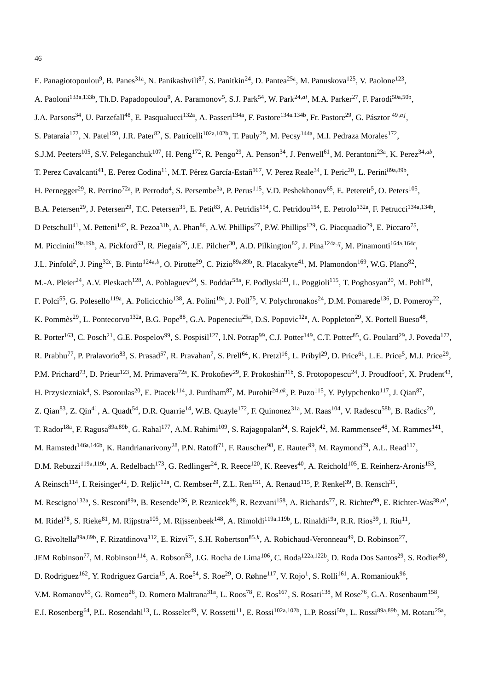A. Paoloni<sup>133a,133b</sup>, Th.D. Papadopoulou<sup>9</sup>, A. Paramonov<sup>5</sup>, S.J. Park<sup>54</sup>, W. Park<sup>24,ai</sup>, M.A. Parker<sup>27</sup>, F. Parodi<sup>50a,50b</sup>, J.A. Parsons<sup>34</sup>, U. Parzefall<sup>48</sup>, E. Pasqualucci<sup>132a</sup>, A. Passeri<sup>134a</sup>, F. Pastore<sup>134a,134b</sup>, Fr. Pastore<sup>29</sup>, G. Pásztor <sup>49,*aj*</sup>, S. Pataraia<sup>172</sup>, N. Patel<sup>150</sup>, J.R. Pater<sup>82</sup>, S. Patricelli<sup>102a,102b</sup>, T. Pauly<sup>29</sup>, M. Pecsy<sup>144a</sup>, M.I. Pedraza Morales<sup>172</sup>, S.J.M. Peeters<sup>105</sup>, S.V. Peleganchuk<sup>107</sup>, H. Peng<sup>172</sup>, R. Pengo<sup>29</sup>, A. Penson<sup>34</sup>, J. Penwell<sup>61</sup>, M. Perantoni<sup>23a</sup>, K. Perez<sup>34,ab</sup>, T. Perez Cavalcanti<sup>41</sup>, E. Perez Codina<sup>11</sup>, M.T. Pérez García-Estañ<sup>167</sup>, V. Perez Reale<sup>34</sup>, I. Peric<sup>20</sup>, L. Perini<sup>89a,89b</sup>, H. Pernegger<sup>29</sup>, R. Perrino<sup>72a</sup>, P. Perrodo<sup>4</sup>, S. Persembe<sup>3a</sup>, P. Perus<sup>115</sup>, V.D. Peshekhonov<sup>65</sup>, E. Petereit<sup>5</sup>, O. Peters<sup>105</sup>, B.A. Petersen<sup>29</sup>, J. Petersen<sup>29</sup>, T.C. Petersen<sup>35</sup>, E. Petit<sup>83</sup>, A. Petridis<sup>154</sup>, C. Petridou<sup>154</sup>, E. Petrolo<sup>132a</sup>, F. Petrucci<sup>134a,134b</sup>, D Petschull<sup>41</sup>, M. Petteni<sup>142</sup>, R. Pezoa<sup>31b</sup>, A. Phan<sup>86</sup>, A.W. Phillips<sup>27</sup>, P.W. Phillips<sup>129</sup>, G. Piacquadio<sup>29</sup>, E. Piccaro<sup>75</sup>, M. Piccinini<sup>19a,19b</sup>, A. Pickford<sup>53</sup>, R. Piegaia<sup>26</sup>, J.E. Pilcher<sup>30</sup>, A.D. Pilkington<sup>82</sup>, J. Pina<sup>124a,q</sup>, M. Pinamonti<sup>164a,164c</sup>, J.L. Pinfold<sup>2</sup>, J. Ping<sup>32c</sup>, B. Pinto<sup>124a,b</sup>, O. Pirotte<sup>29</sup>, C. Pizio<sup>89a,89b</sup>, R. Placakyte<sup>41</sup>, M. Plamondon<sup>169</sup>, W.G. Plano<sup>82</sup>, M.-A. Pleier<sup>24</sup>, A.V. Pleskach<sup>128</sup>, A. Poblaguev<sup>24</sup>, S. Poddar<sup>58a</sup>, F. Podlyski<sup>33</sup>, L. Poggioli<sup>115</sup>, T. Poghosyan<sup>20</sup>, M. Pohl<sup>49</sup>, F. Polci<sup>55</sup>, G. Polesello<sup>119a</sup>, A. Policicchio<sup>138</sup>, A. Polini<sup>19a</sup>, J. Poll<sup>75</sup>, V. Polychronakos<sup>24</sup>, D.M. Pomarede<sup>136</sup>, D. Pomeroy<sup>22</sup>, K. Pommès<sup>29</sup>, L. Pontecorvo<sup>132a</sup>, B.G. Pope<sup>88</sup>, G.A. Popeneciu<sup>25a</sup>, D.S. Popovic<sup>12a</sup>, A. Poppleton<sup>29</sup>, X. Portell Bueso<sup>48</sup>, R. Porter<sup>163</sup>, C. Posch<sup>21</sup>, G.E. Pospelov<sup>99</sup>, S. Pospisil<sup>127</sup>, I.N. Potrap<sup>99</sup>, C.J. Potter<sup>149</sup>, C.T. Potter<sup>85</sup>, G. Poulard<sup>29</sup>, J. Poveda<sup>172</sup>, R. Prabhu<sup>77</sup>, P. Pralavorio<sup>83</sup>, S. Prasad<sup>57</sup>, R. Pravahan<sup>7</sup>, S. Prell<sup>64</sup>, K. Pretzl<sup>16</sup>, L. Pribyl<sup>29</sup>, D. Price<sup>61</sup>, L.E. Price<sup>5</sup>, M.J. Price<sup>29</sup>, P.M. Prichard<sup>73</sup>, D. Prieur<sup>123</sup>, M. Primavera<sup>72a</sup>, K. Prokofiev<sup>29</sup>, F. Prokoshin<sup>31b</sup>, S. Protopopescu<sup>24</sup>, J. Proudfoot<sup>5</sup>, X. Prudent<sup>43</sup>, H. Przysiezniak<sup>4</sup>, S. Psoroulas<sup>20</sup>, E. Ptacek<sup>114</sup>, J. Purdham<sup>87</sup>, M. Purohit<sup>24,ak</sup>, P. Puzo<sup>115</sup>, Y. Pylypchenko<sup>117</sup>, J. Qian<sup>87</sup>, Z. Qian<sup>83</sup>, Z. Qin<sup>41</sup>, A. Quadt<sup>54</sup>, D.R. Quarrie<sup>14</sup>, W.B. Quayle<sup>172</sup>, F. Quinonez<sup>31a</sup>, M. Raas<sup>104</sup>, V. Radescu<sup>58b</sup>, B. Radics<sup>20</sup>, T. Rador<sup>18a</sup>, F. Ragusa<sup>89a,89b</sup>, G. Rahal<sup>177</sup>, A.M. Rahimi<sup>109</sup>, S. Rajagopalan<sup>24</sup>, S. Rajek<sup>42</sup>, M. Rammensee<sup>48</sup>, M. Rammes<sup>141</sup>, M. Ramstedt<sup>146a,146b</sup>, K. Randrianarivony<sup>28</sup>, P.N. Ratoff<sup>71</sup>, F. Rauscher<sup>98</sup>, E. Rauter<sup>99</sup>, M. Raymond<sup>29</sup>, A.L. Read<sup>117</sup>, D.M. Rebuzzi<sup>119a,119b</sup>, A. Redelbach<sup>173</sup>, G. Redlinger<sup>24</sup>, R. Reece<sup>120</sup>, K. Reeves<sup>40</sup>, A. Reichold<sup>105</sup>, E. Reinherz-Aronis<sup>153</sup>, A Reinsch<sup>114</sup>, I. Reisinger<sup>42</sup>, D. Reljic<sup>12a</sup>, C. Rembser<sup>29</sup>, Z.L. Ren<sup>151</sup>, A. Renaud<sup>115</sup>, P. Renkel<sup>39</sup>, B. Rensch<sup>35</sup>, M. Rescigno<sup>132a</sup>, S. Resconi<sup>89a</sup>, B. Resende<sup>136</sup>, P. Reznicek<sup>98</sup>, R. Rezvani<sup>158</sup>, A. Richards<sup>77</sup>, R. Richter<sup>99</sup>, E. Richter-Was<sup>38,al</sup>, M. Ridel<sup>78</sup>, S. Rieke<sup>81</sup>, M. Rijpstra<sup>105</sup>, M. Rijssenbeek<sup>148</sup>, A. Rimoldi<sup>119a,119b</sup>, L. Rinaldi<sup>19a</sup>, R.R. Rios<sup>39</sup>, I. Riu<sup>11</sup>, G. Rivoltella<sup>89a,89b</sup>, F. Rizatdinova<sup>112</sup>, E. Rizvi<sup>75</sup>, S.H. Robertson<sup>85,k</sup>, A. Robichaud-Veronneau<sup>49</sup>, D. Robinson<sup>27</sup>, JEM Robinson<sup>77</sup>, M. Robinson<sup>114</sup>, A. Robson<sup>53</sup>, J.G. Rocha de Lima<sup>106</sup>, C. Roda<sup>122a,122b</sup>, D. Roda Dos Santos<sup>29</sup>, S. Rodier<sup>80</sup>, D. Rodriguez<sup>162</sup>, Y. Rodriguez Garcia<sup>15</sup>, A. Roe<sup>54</sup>, S. Roe<sup>29</sup>, O. Røhne<sup>117</sup>, V. Rojo<sup>1</sup>, S. Rolli<sup>161</sup>, A. Romaniouk<sup>96</sup>, V.M. Romanov<sup>65</sup>, G. Romeo<sup>26</sup>, D. Romero Maltrana<sup>31a</sup>, L. Roos<sup>78</sup>, E. Ros<sup>167</sup>, S. Rosati<sup>138</sup>, M Rose<sup>76</sup>, G.A. Rosenbaum<sup>158</sup>,

E. Panagiotopoulou<sup>9</sup>, B. Panes<sup>31a</sup>, N. Panikashvili<sup>87</sup>, S. Panitkin<sup>24</sup>, D. Pantea<sup>25a</sup>, M. Panuskova<sup>125</sup>, V. Paolone<sup>123</sup>,

E.I. Rosenberg<sup>64</sup>, P.L. Rosendahl<sup>13</sup>, L. Rosselet<sup>49</sup>, V. Rossetti<sup>11</sup>, E. Rossi<sup>102a,102b</sup>, L.P. Rossi<sup>50a</sup>, L. Rossi<sup>89a,89b</sup>, M. Rotaru<sup>25a</sup>,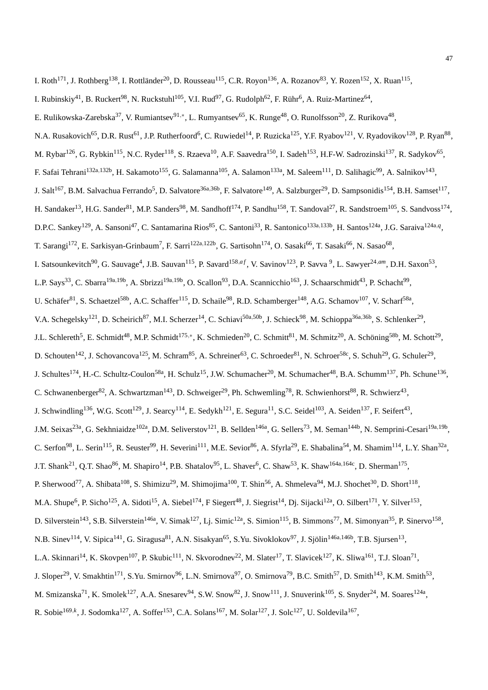- I. Rubinskiy<sup>41</sup>, B. Ruckert<sup>98</sup>, N. Ruckstuhl<sup>105</sup>, V.I. Rud<sup>97</sup>, G. Rudolph<sup>62</sup>, F. Rühr<sup>6</sup>, A. Ruiz-Martinez<sup>64</sup>,
- E. Rulikowska-Zarebska<sup>37</sup>, V. Rumiantsev<sup>91,∗</sup>, L. Rumyantsev<sup>65</sup>, K. Runge<sup>48</sup>, O. Runolfsson<sup>20</sup>, Z. Rurikova<sup>48</sup>,
- N.A. Rusakovich<sup>65</sup>, D.R. Rust<sup>61</sup>, J.P. Rutherfoord<sup>6</sup>, C. Ruwiedel<sup>14</sup>, P. Ruzicka<sup>125</sup>, Y.F. Ryabov<sup>121</sup>, V. Ryadovikov<sup>128</sup>, P. Ryan<sup>88</sup>,
- M. Rybar<sup>126</sup>, G. Rybkin<sup>115</sup>, N.C. Ryder<sup>118</sup>, S. Rzaeva<sup>10</sup>, A.F. Saavedra<sup>150</sup>, I. Sadeh<sup>153</sup>, H.F-W. Sadrozinski<sup>137</sup>, R. Sadykov<sup>65</sup>,
- F. Safai Tehrani<sup>132a,132b</sup>, H. Sakamoto<sup>155</sup>, G. Salamanna<sup>105</sup>, A. Salamon<sup>133a</sup>, M. Saleem<sup>111</sup>, D. Salihagic<sup>99</sup>, A. Salnikov<sup>143</sup>,
- J. Salt<sup>167</sup>, B.M. Salvachua Ferrando<sup>5</sup>, D. Salvatore<sup>36a,36b</sup>, F. Salvatore<sup>149</sup>, A. Salzburger<sup>29</sup>, D. Sampsonidis<sup>154</sup>, B.H. Samset<sup>117</sup>,
- H. Sandaker<sup>13</sup>, H.G. Sander<sup>81</sup>, M.P. Sanders<sup>98</sup>, M. Sandhoff<sup>174</sup>, P. Sandhu<sup>158</sup>, T. Sandoval<sup>27</sup>, R. Sandstroem<sup>105</sup>, S. Sandvoss<sup>174</sup>,
- D.P.C. Sankey<sup>129</sup>, A. Sansoni<sup>47</sup>, C. Santamarina Rios<sup>85</sup>, C. Santoni<sup>33</sup>, R. Santonico<sup>133a,133b</sup>, H. Santos<sup>124a</sup>, J.G. Saraiva<sup>124a, q</sup>,
- T. Sarangi<sup>172</sup>, E. Sarkisyan-Grinbaum<sup>7</sup>, F. Sarri<sup>122a,122b</sup>, G. Sartisohn<sup>174</sup>, O. Sasaki<sup>66</sup>, T. Sasaki<sup>66</sup>, N. Sasao<sup>68</sup>,
- I. Satsounkevitch<sup>90</sup>, G. Sauvage<sup>4</sup>, J.B. Sauvan<sup>115</sup>, P. Savard<sup>158,af</sup>, V. Savinov<sup>123</sup>, P. Savva <sup>9</sup>, L. Sawyer<sup>24,am</sup>, D.H. Saxon<sup>53</sup>,
- L.P. Says<sup>33</sup>, C. Sbarra<sup>19a,19b</sup>, A. Sbrizzi<sup>19a,19b</sup>, O. Scallon<sup>93</sup>, D.A. Scannicchio<sup>163</sup>, J. Schaarschmidt<sup>43</sup>, P. Schacht<sup>99</sup>,
- U. Schäfer<sup>81</sup>, S. Schaetzel<sup>58b</sup>, A.C. Schaffer<sup>115</sup>, D. Schaile<sup>98</sup>, R.D. Schamberger<sup>148</sup>, A.G. Schamov<sup>107</sup>, V. Scharf<sup>58a</sup>,
- V.A. Schegelsky<sup>121</sup>, D. Scheirich<sup>87</sup>, M.I. Scherzer<sup>14</sup>, C. Schiavi<sup>50a,50b</sup>, J. Schieck<sup>98</sup>, M. Schioppa<sup>36a,36b</sup>, S. Schlenker<sup>29</sup>,
- J.L. Schlereth<sup>5</sup>, E. Schmidt<sup>48</sup>, M.P. Schmidt<sup>175,\*</sup>, K. Schmieden<sup>20</sup>, C. Schmitt<sup>81</sup>, M. Schmitz<sup>20</sup>, A. Schöning<sup>58b</sup>, M. Schott<sup>29</sup>,
- D. Schouten<sup>142</sup>, J. Schovancova<sup>125</sup>, M. Schram<sup>85</sup>, A. Schreiner<sup>63</sup>, C. Schroeder<sup>81</sup>, N. Schroer<sup>58c</sup>, S. Schuh<sup>29</sup>, G. Schuler<sup>29</sup>,
- J. Schultes<sup>174</sup>, H.-C. Schultz-Coulon<sup>58a</sup>, H. Schulz<sup>15</sup>, J.W. Schumacher<sup>20</sup>, M. Schumacher<sup>48</sup>, B.A. Schumm<sup>137</sup>, Ph. Schune<sup>136</sup>,
- C. Schwanenberger<sup>82</sup>, A. Schwartzman<sup>143</sup>, D. Schweiger<sup>29</sup>, Ph. Schwemling<sup>78</sup>, R. Schwienhorst<sup>88</sup>, R. Schwierz<sup>43</sup>,
- J. Schwindling<sup>136</sup>, W.G. Scott<sup>129</sup>, J. Searcy<sup>114</sup>, E. Sedykh<sup>121</sup>, E. Segura<sup>11</sup>, S.C. Seidel<sup>103</sup>, A. Seiden<sup>137</sup>, F. Seifert<sup>43</sup>,
- J.M. Seixas<sup>23a</sup>, G. Sekhniaidze<sup>102a</sup>, D.M. Seliverstov<sup>121</sup>, B. Sellden<sup>146a</sup>, G. Sellers<sup>73</sup>, M. Seman<sup>144b</sup>, N. Semprini-Cesari<sup>19a,19b</sup>,
- C. Serfon<sup>98</sup>, L. Serin<sup>115</sup>, R. Seuster<sup>99</sup>, H. Severini<sup>111</sup>, M.E. Sevior<sup>86</sup>, A. Sfyrla<sup>29</sup>, E. Shabalina<sup>54</sup>, M. Shamim<sup>114</sup>, L.Y. Shan<sup>32a</sup>,
- J.T. Shank<sup>21</sup>, Q.T. Shao<sup>86</sup>, M. Shapiro<sup>14</sup>, P.B. Shatalov<sup>95</sup>, L. Shaver<sup>6</sup>, C. Shaw<sup>53</sup>, K. Shaw<sup>164a,164c</sup>, D. Sherman<sup>175</sup>,
- P. Sherwood<sup>77</sup>, A. Shibata<sup>108</sup>, S. Shimizu<sup>29</sup>, M. Shimojima<sup>100</sup>, T. Shin<sup>56</sup>, A. Shmeleva<sup>94</sup>, M.J. Shochet<sup>30</sup>, D. Short<sup>118</sup>,
- M.A. Shupe<sup>6</sup>, P. Sicho<sup>125</sup>, A. Sidoti<sup>15</sup>, A. Siebel<sup>174</sup>, F Siegert<sup>48</sup>, J. Siegrist<sup>14</sup>, Dj. Sijacki<sup>12a</sup>, O. Silbert<sup>171</sup>, Y. Silver<sup>153</sup>,
- D. Silverstein<sup>143</sup>, S.B. Silverstein<sup>146a</sup>, V. Simak<sup>127</sup>, Lj. Simic<sup>12a</sup>, S. Simion<sup>115</sup>, B. Simmons<sup>77</sup>, M. Simonyan<sup>35</sup>, P. Sinervo<sup>158</sup>,
- N.B. Sinev<sup>114</sup>, V. Sipica<sup>141</sup>, G. Siragusa<sup>81</sup>, A.N. Sisakyan<sup>65</sup>, S.Yu. Sivoklokov<sup>97</sup>, J. Sjölin<sup>146a,146b</sup>, T.B. Sjursen<sup>13</sup>,
- L.A. Skinnari<sup>14</sup>, K. Skovpen<sup>107</sup>, P. Skubic<sup>111</sup>, N. Skvorodnev<sup>22</sup>, M. Slater<sup>17</sup>, T. Slavicek<sup>127</sup>, K. Sliwa<sup>161</sup>, T.J. Sloan<sup>71</sup>,
- J. Sloper<sup>29</sup>, V. Smakhtin<sup>171</sup>, S.Yu. Smirnov<sup>96</sup>, L.N. Smirnova<sup>97</sup>, O. Smirnova<sup>79</sup>, B.C. Smith<sup>57</sup>, D. Smith<sup>143</sup>, K.M. Smith<sup>53</sup>,
- M. Smizanska<sup>71</sup>, K. Smolek<sup>127</sup>, A.A. Snesarev<sup>94</sup>, S.W. Snow<sup>82</sup>, J. Snow<sup>111</sup>, J. Snuverink<sup>105</sup>, S. Snyder<sup>24</sup>, M. Soares<sup>124a</sup>,
- R. Sobie<sup>169,k</sup>, J. Sodomka<sup>127</sup>, A. Soffer<sup>153</sup>, C.A. Solans<sup>167</sup>, M. Solar<sup>127</sup>, J. Solc<sup>127</sup>, U. Soldevila<sup>167</sup>,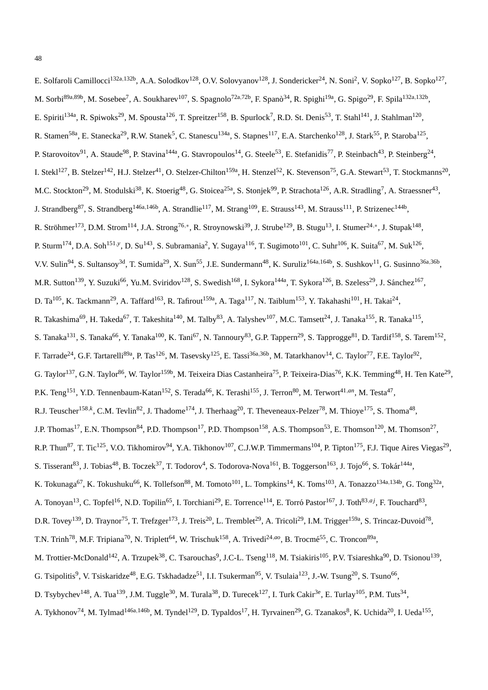| E. Solfaroli Camillocci <sup>132a,132b</sup> , A.A. Solodkov <sup>128</sup> , O.V. Solovyanov <sup>128</sup> , J. Sondericker <sup>24</sup> , N. Soni <sup>2</sup> , V. Sopko <sup>127</sup> , B. Sopko <sup>127</sup> ,                           |
|----------------------------------------------------------------------------------------------------------------------------------------------------------------------------------------------------------------------------------------------------|
| M. Sorbi <sup>89a,89b</sup> , M. Sosebee <sup>7</sup> , A. Soukharev <sup>107</sup> , S. Spagnolo <sup>72a,72b</sup> , F. Spanò <sup>34</sup> , R. Spighi <sup>19a</sup> , G. Spigo <sup>29</sup> , F. Spila <sup>132a,132b</sup> ,                |
| E. Spiriti <sup>134a</sup> , R. Spiwoks <sup>29</sup> , M. Spousta <sup>126</sup> , T. Spreitzer <sup>158</sup> , B. Spurlock <sup>7</sup> , R.D. St. Denis <sup>53</sup> , T. Stahl <sup>141</sup> , J. Stahlman <sup>120</sup> ,                 |
| R. Stamen <sup>58a</sup> , E. Stanecka <sup>29</sup> , R.W. Stanek <sup>5</sup> , C. Stanescu <sup>134a</sup> , S. Stapnes <sup>117</sup> , E.A. Starchenko <sup>128</sup> , J. Stark <sup>55</sup> , P. Staroba <sup>125</sup> ,                  |
| P. Starovoitov <sup>91</sup> , A. Staude <sup>98</sup> , P. Stavina <sup>144a</sup> , G. Stavropoulos <sup>14</sup> , G. Steele <sup>53</sup> , E. Stefanidis <sup>77</sup> , P. Steinbach <sup>43</sup> , P. Steinberg <sup>24</sup> ,            |
| I. Stekl <sup>127</sup> , B. Stelzer <sup>142</sup> , H.J. Stelzer <sup>41</sup> , O. Stelzer-Chilton <sup>159a</sup> , H. Stenzel <sup>52</sup> , K. Stevenson <sup>75</sup> , G.A. Stewart <sup>53</sup> , T. Stockmanns <sup>20</sup> ,         |
| M.C. Stockton <sup>29</sup> , M. Stodulski <sup>38</sup> , K. Stoerig <sup>48</sup> , G. Stoicea <sup>25a</sup> , S. Stonjek <sup>99</sup> , P. Strachota <sup>126</sup> , A.R. Stradling <sup>7</sup> , A. Straessner <sup>43</sup> ,             |
| J. Strandberg <sup>87</sup> , S. Strandberg <sup>146a,146b</sup> , A. Strandlie <sup>117</sup> , M. Strang <sup>109</sup> , E. Strauss <sup>143</sup> , M. Strauss <sup>111</sup> , P. Strizenec <sup>144b</sup> ,                                 |
| R. Ströhmer <sup>173</sup> , D.M. Strom <sup>114</sup> , J.A. Strong <sup>76,*</sup> , R. Stroynowski <sup>39</sup> , J. Strube <sup>129</sup> , B. Stugu <sup>13</sup> , I. Stumer <sup>24,*</sup> , J. Stupak <sup>148</sup> ,                   |
| P. Sturm <sup>174</sup> , D.A. Soh <sup>151,y</sup> , D. Su <sup>143</sup> , S. Subramania <sup>2</sup> , Y. Sugaya <sup>116</sup> , T. Sugimoto <sup>101</sup> , C. Suhr <sup>106</sup> , K. Suita <sup>67</sup> , M. Suk <sup>126</sup> ,        |
| V.V. Sulin <sup>94</sup> , S. Sultansoy <sup>3d</sup> , T. Sumida <sup>29</sup> , X. Sun <sup>55</sup> , J.E. Sundermann <sup>48</sup> , K. Suruliz <sup>164a,164b</sup> , S. Sushkov <sup>11</sup> , G. Susinno <sup>36a,36b</sup> ,              |
| M.R. Sutton <sup>139</sup> , Y. Suzuki <sup>66</sup> , Yu.M. Sviridov <sup>128</sup> , S. Swedish <sup>168</sup> , I. Sykora <sup>144a</sup> , T. Sykora <sup>126</sup> , B. Szeless <sup>29</sup> , J. Sánchez <sup>167</sup> ,                   |
| D. Ta <sup>105</sup> , K. Tackmann <sup>29</sup> , A. Taffard <sup>163</sup> , R. Tafirout <sup>159a</sup> , A. Taga <sup>117</sup> , N. Taiblum <sup>153</sup> , Y. Takahashi <sup>101</sup> , H. Takai <sup>24</sup> ,                           |
| R. Takashima <sup>69</sup> , H. Takeda <sup>67</sup> , T. Takeshita <sup>140</sup> , M. Talby <sup>83</sup> , A. Talyshev <sup>107</sup> , M.C. Tamsett <sup>24</sup> , J. Tanaka <sup>155</sup> , R. Tanaka <sup>115</sup> ,                      |
| S. Tanaka <sup>131</sup> , S. Tanaka <sup>66</sup> , Y. Tanaka <sup>100</sup> , K. Tani <sup>67</sup> , N. Tannoury <sup>83</sup> , G.P. Tappern <sup>29</sup> , S. Tapprogge <sup>81</sup> , D. Tardif <sup>158</sup> , S. Tarem <sup>152</sup> , |
| F. Tarrade <sup>24</sup> , G.F. Tartarelli <sup>89a</sup> , P. Tas <sup>126</sup> , M. Tasevsky <sup>125</sup> , E. Tassi <sup>36a,36b</sup> , M. Tatarkhanov <sup>14</sup> , C. Taylor <sup>77</sup> , F.E. Taylor <sup>92</sup> ,                |
| G. Taylor <sup>137</sup> , G.N. Taylor <sup>86</sup> , W. Taylor <sup>159b</sup> , M. Teixeira Dias Castanheira <sup>75</sup> , P. Teixeira-Dias <sup>76</sup> , K.K. Temming <sup>48</sup> , H. Ten Kate <sup>29</sup> ,                          |
| P.K. Teng <sup>151</sup> , Y.D. Tennenbaum-Katan <sup>152</sup> , S. Terada <sup>66</sup> , K. Terashi <sup>155</sup> , J. Terron <sup>80</sup> , M. Terwort <sup>41,an</sup> , M. Testa <sup>47</sup> ,                                           |
| R.J. Teuscher <sup>158,k</sup> , C.M. Tevlin <sup>82</sup> , J. Thadome <sup>174</sup> , J. Therhaag <sup>20</sup> , T. Theveneaux-Pelzer <sup>78</sup> , M. Thioye <sup>175</sup> , S. Thoma <sup>48</sup> ,                                      |
| J.P. Thomas <sup>17</sup> , E.N. Thompson <sup>84</sup> , P.D. Thompson <sup>17</sup> , P.D. Thompson <sup>158</sup> , A.S. Thompson <sup>53</sup> , E. Thomson <sup>120</sup> , M. Thomson <sup>27</sup> ,                                        |
| R.P. Thun <sup>87</sup> , T. Tic <sup>125</sup> , V.O. Tikhomirov <sup>94</sup> , Y.A. Tikhonov <sup>107</sup> , C.J.W.P. Timmermans <sup>104</sup> , P. Tipton <sup>175</sup> , F.J. Tique Aires Viegas <sup>29</sup> ,                           |
| S. Tisserant <sup>83</sup> , J. Tobias <sup>48</sup> , B. Toczek <sup>37</sup> , T. Todorov <sup>4</sup> , S. Todorova-Nova <sup>161</sup> , B. Toggerson <sup>163</sup> , J. Tojo <sup>66</sup> , S. Tokár <sup>144a</sup> ,                      |
| K. Tokunaga <sup>67</sup> , K. Tokushuku <sup>66</sup> , K. Tollefson <sup>88</sup> , M. Tomoto <sup>101</sup> , L. Tompkins <sup>14</sup> , K. Toms <sup>103</sup> , A. Tonazzo <sup>134a,134b</sup> , G. Tong <sup>32a</sup> ,                   |
| A. Tonoyan <sup>13</sup> , C. Topfel <sup>16</sup> , N.D. Topilin <sup>65</sup> , I. Torchiani <sup>29</sup> , E. Torrence <sup>114</sup> , E. Torró Pastor <sup>167</sup> , J. Toth <sup>83,aj</sup> , F. Touchard <sup>83</sup> ,                |
| D.R. Tovey <sup>139</sup> , D. Traynor <sup>75</sup> , T. Trefzger <sup>173</sup> , J. Treis <sup>20</sup> , L. Tremblet <sup>29</sup> , A. Tricoli <sup>29</sup> , I.M. Trigger <sup>159a</sup> , S. Trincaz-Duvoid <sup>78</sup> ,               |
| T.N. Trinh <sup>78</sup> , M.F. Tripiana <sup>70</sup> , N. Triplett <sup>64</sup> , W. Trischuk <sup>158</sup> , A. Trivedi <sup>24,ao</sup> , B. Trocmé <sup>55</sup> , C. Troncon <sup>89a</sup> ,                                              |
| M. Trottier-McDonald <sup>142</sup> , A. Trzupek <sup>38</sup> , C. Tsarouchas <sup>9</sup> , J.C-L. Tseng <sup>118</sup> , M. Tsiakiris <sup>105</sup> , P.V. Tsiareshka <sup>90</sup> , D. Tsionou <sup>139</sup> ,                              |
| G. Tsipolitis <sup>9</sup> , V. Tsiskaridze <sup>48</sup> , E.G. Tskhadadze <sup>51</sup> , I.I. Tsukerman <sup>95</sup> , V. Tsulaia <sup>123</sup> , J.-W. Tsung <sup>20</sup> , S. Tsuno <sup>66</sup> ,                                        |
| D. Tsybychev <sup>148</sup> , A. Tua <sup>139</sup> , J.M. Tuggle <sup>30</sup> , M. Turala <sup>38</sup> , D. Turecek <sup>127</sup> , I. Turk Cakir <sup>3e</sup> , E. Turlay <sup>105</sup> , P.M. Tuts <sup>34</sup> ,                         |
|                                                                                                                                                                                                                                                    |

A. Tykhonov<sup>74</sup>, M. Tylmad<sup>146a,146b</sup>, M. Tyndel<sup>129</sup>, D. Typaldos<sup>17</sup>, H. Tyrvainen<sup>29</sup>, G. Tzanakos<sup>8</sup>, K. Uchida<sup>20</sup>, I. Ueda<sup>155</sup>,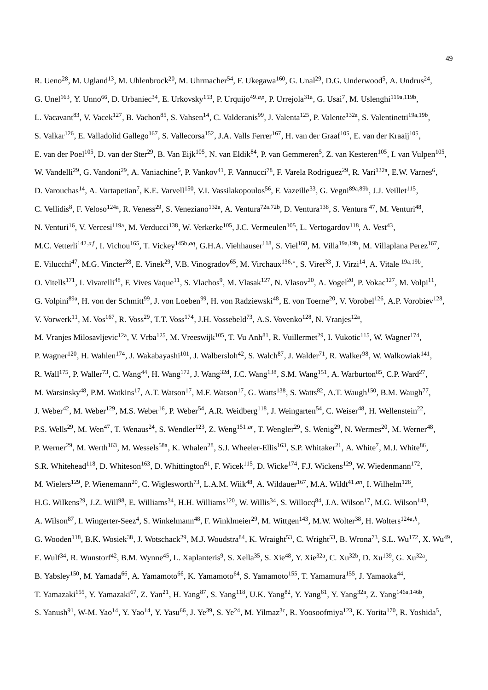R. Ueno<sup>28</sup>, M. Ugland<sup>13</sup>, M. Uhlenbrock<sup>20</sup>, M. Uhrmacher<sup>54</sup>, F. Ukegawa<sup>160</sup>, G. Unal<sup>29</sup>, D.G. Underwood<sup>5</sup>, A. Undrus<sup>24</sup>, G. Unel<sup>163</sup>, Y. Unno<sup>66</sup>, D. Urbaniec<sup>34</sup>, E. Urkovsky<sup>153</sup>, P. Urquijo<sup>49,ap</sup>, P. Urrejola<sup>31a</sup>, G. Usai<sup>7</sup>, M. Uslenghi<sup>119a,119b</sup>, L. Vacavant<sup>83</sup>, V. Vacek<sup>127</sup>, B. Vachon<sup>85</sup>, S. Vahsen<sup>14</sup>, C. Valderanis<sup>99</sup>, J. Valenta<sup>125</sup>, P. Valente<sup>132a</sup>, S. Valentinetti<sup>19a,19b</sup>, S. Valkar<sup>126</sup>, E. Valladolid Gallego<sup>167</sup>, S. Vallecorsa<sup>152</sup>, J.A. Valls Ferrer<sup>167</sup>, H. van der Graaf<sup>105</sup>, E. van der Kraaij<sup>105</sup>, E. van der Poel<sup>105</sup>, D. van der Ster<sup>29</sup>, B. Van Eijk<sup>105</sup>, N. van Eldik<sup>84</sup>, P. van Gemmeren<sup>5</sup>, Z. van Kesteren<sup>105</sup>, I. van Vulpen<sup>105</sup>, W. Vandelli<sup>29</sup>, G. Vandoni<sup>29</sup>, A. Vaniachine<sup>5</sup>, P. Vankov<sup>41</sup>, F. Vannucci<sup>78</sup>, F. Varela Rodriguez<sup>29</sup>, R. Vari<sup>132a</sup>, E.W. Varnes<sup>6</sup>, D. Varouchas<sup>14</sup>, A. Vartapetian<sup>7</sup>, K.E. Varvell<sup>150</sup>, V.I. Vassilakopoulos<sup>56</sup>, F. Vazeille<sup>33</sup>, G. Vegni<sup>89a,89b</sup>, J.J. Veillet<sup>115</sup>, C. Vellidis<sup>8</sup>, F. Veloso<sup>124a</sup>, R. Veness<sup>29</sup>, S. Veneziano<sup>132a</sup>, A. Ventura<sup>72a,72b</sup>, D. Ventura<sup>138</sup>, S. Ventura<sup>47</sup>, M. Venturi<sup>48</sup>, N. Venturi<sup>16</sup>, V. Vercesi<sup>119a</sup>, M. Verducci<sup>138</sup>, W. Verkerke<sup>105</sup>, J.C. Vermeulen<sup>105</sup>, L. Vertogardov<sup>118</sup>, A. Vest<sup>43</sup>, M.C. Vetterli<sup>142,af</sup>, I. Vichou<sup>165</sup>, T. Vickey<sup>145b,aq</sup>, G.H.A. Viehhauser<sup>118</sup>, S. Viel<sup>168</sup>, M. Villa<sup>19a,19b</sup>, M. Villaplana Perez<sup>167</sup>, E. Vilucchi<sup>47</sup>, M.G. Vincter<sup>28</sup>, E. Vinek<sup>29</sup>, V.B. Vinogradov<sup>65</sup>, M. Virchaux<sup>136,∗</sup>, S. Viret<sup>33</sup>, J. Virzi<sup>14</sup>, A. Vitale <sup>19a,19b</sup>, O. Vitells<sup>171</sup>, I. Vivarelli<sup>48</sup>, F. Vives Vaque<sup>11</sup>, S. Vlachos<sup>9</sup>, M. Vlasak<sup>127</sup>, N. Vlasov<sup>20</sup>, A. Vogel<sup>20</sup>, P. Vokac<sup>127</sup>, M. Volpi<sup>11</sup>, G. Volpini<sup>89a</sup>, H. von der Schmitt<sup>99</sup>, J. von Loeben<sup>99</sup>, H. von Radziewski<sup>48</sup>, E. von Toerne<sup>20</sup>, V. Vorobel<sup>126</sup>, A.P. Vorobiev<sup>128</sup>, V. Vorwerk<sup>11</sup>, M. Vos<sup>167</sup>, R. Voss<sup>29</sup>, T.T. Voss<sup>174</sup>, J.H. Vossebeld<sup>73</sup>, A.S. Vovenko<sup>128</sup>, N. Vranjes<sup>12a</sup>, M. Vranjes Milosavljevic<sup>12a</sup>, V. Vrba<sup>125</sup>, M. Vreeswijk<sup>105</sup>, T. Vu Anh<sup>81</sup>, R. Vuillermet<sup>29</sup>, I. Vukotic<sup>115</sup>, W. Wagner<sup>174</sup>, P. Wagner<sup>120</sup>, H. Wahlen<sup>174</sup>, J. Wakabayashi<sup>101</sup>, J. Walbersloh<sup>42</sup>, S. Walch<sup>87</sup>, J. Walder<sup>71</sup>, R. Walker<sup>98</sup>, W. Walkowiak<sup>141</sup>, R. Wall<sup>175</sup>, P. Waller<sup>73</sup>, C. Wang<sup>44</sup>, H. Wang<sup>172</sup>, J. Wang<sup>32d</sup>, J.C. Wang<sup>138</sup>, S.M. Wang<sup>151</sup>, A. Warburton<sup>85</sup>, C.P. Ward<sup>27</sup>, M. Warsinsky<sup>48</sup>, P.M. Watkins<sup>17</sup>, A.T. Watson<sup>17</sup>, M.F. Watson<sup>17</sup>, G. Watts<sup>138</sup>, S. Watts<sup>82</sup>, A.T. Waugh<sup>150</sup>, B.M. Waugh<sup>77</sup>, J. Weber<sup>42</sup>, M. Weber<sup>129</sup>, M.S. Weber<sup>16</sup>, P. Weber<sup>54</sup>, A.R. Weidberg<sup>118</sup>, J. Weingarten<sup>54</sup>, C. Weiser<sup>48</sup>, H. Wellenstein<sup>22</sup>, P.S. Wells<sup>29</sup>, M. Wen<sup>47</sup>, T. Wenaus<sup>24</sup>, S. Wendler<sup>123</sup>, Z. Weng<sup>151,ar</sup>, T. Wengler<sup>29</sup>, S. Wenig<sup>29</sup>, N. Wermes<sup>20</sup>, M. Werner<sup>48</sup>, P. Werner<sup>29</sup>, M. Werth<sup>163</sup>, M. Wessels<sup>58a</sup>, K. Whalen<sup>28</sup>, S.J. Wheeler-Ellis<sup>163</sup>, S.P. Whitaker<sup>21</sup>, A. White<sup>7</sup>, M.J. White<sup>86</sup>, S.R. Whitehead<sup>118</sup>, D. Whiteson<sup>163</sup>, D. Whittington<sup>61</sup>, F. Wicek<sup>115</sup>, D. Wicke<sup>174</sup>, F.J. Wickens<sup>129</sup>, W. Wiedenmann<sup>172</sup>, M. Wielers<sup>129</sup>, P. Wienemann<sup>20</sup>, C. Wiglesworth<sup>73</sup>, L.A.M. Wiik<sup>48</sup>, A. Wildauer<sup>167</sup>, M.A. Wildt<sup>41,an</sup>, I. Wilhelm<sup>126</sup>, H.G. Wilkens<sup>29</sup>, J.Z. Will<sup>98</sup>, E. Williams<sup>34</sup>, H.H. Williams<sup>120</sup>, W. Willis<sup>34</sup>, S. Willocq<sup>84</sup>, J.A. Wilson<sup>17</sup>, M.G. Wilson<sup>143</sup>, A. Wilson<sup>87</sup>, I. Wingerter-Seez<sup>4</sup>, S. Winkelmann<sup>48</sup>, F. Winklmeier<sup>29</sup>, M. Wittgen<sup>143</sup>, M.W. Wolter<sup>38</sup>, H. Wolters<sup>124a,h</sup>, G. Wooden<sup>118</sup>, B.K. Wosiek<sup>38</sup>, J. Wotschack<sup>29</sup>, M.J. Woudstra<sup>84</sup>, K. Wraight<sup>53</sup>, C. Wright<sup>53</sup>, B. Wrona<sup>73</sup>, S.L. Wu<sup>172</sup>, X. Wu<sup>49</sup>, E. Wulf<sup>34</sup>, R. Wunstorf<sup>42</sup>, B.M. Wynne<sup>45</sup>, L. Xaplanteris<sup>9</sup>, S. Xella<sup>35</sup>, S. Xie<sup>48</sup>, Y. Xie<sup>32a</sup>, C. Xu<sup>32b</sup>, D. Xu<sup>139</sup>, G. Xu<sup>32a</sup>, B. Yabsley<sup>150</sup>, M. Yamada<sup>66</sup>, A. Yamamoto<sup>66</sup>, K. Yamamoto<sup>64</sup>, S. Yamamoto<sup>155</sup>, T. Yamamura<sup>155</sup>, J. Yamaoka<sup>44</sup>, T. Yamazaki<sup>155</sup>, Y. Yamazaki<sup>67</sup>, Z. Yan<sup>21</sup>, H. Yang<sup>87</sup>, S. Yang<sup>118</sup>, U.K. Yang<sup>82</sup>, Y. Yang<sup>61</sup>, Y. Yang<sup>32a</sup>, Z. Yang<sup>146a,146b</sup>,

S. Yanush<sup>91</sup>, W-M. Yao<sup>14</sup>, Y. Yao<sup>14</sup>, Y. Yasu<sup>66</sup>, J. Ye<sup>39</sup>, S. Ye<sup>24</sup>, M. Yilmaz<sup>3c</sup>, R. Yoosoofmiya<sup>123</sup>, K. Yorita<sup>170</sup>, R. Yoshida<sup>5</sup>,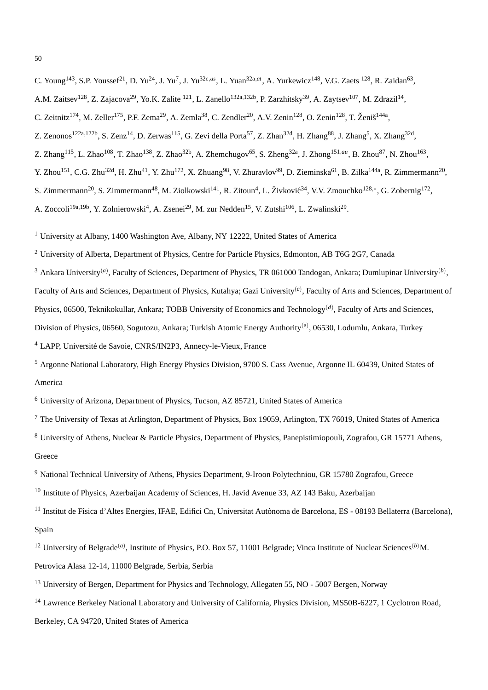C. Young<sup>143</sup>, S.P. Youssef<sup>21</sup>, D. Yu<sup>24</sup>, J. Yu<sup>7</sup>, J. Yu<sup>32c,*as*</sup>, L. Yuan<sup>32a,*at*</sup>, A. Yurkewicz<sup>148</sup>, V.G. Zaets<sup>128</sup>, R. Zaidan<sup>63</sup>,

- A.M. Zaitsev<sup>128</sup>, Z. Zajacova<sup>29</sup>, Yo.K. Zalite <sup>121</sup>, L. Zanello<sup>132a,132b</sup>, P. Zarzhitsky<sup>39</sup>, A. Zaytsev<sup>107</sup>, M. Zdrazil<sup>14</sup>,
- C. Zeitnitz<sup>174</sup>, M. Zeller<sup>175</sup>, P.F. Zema<sup>29</sup>, A. Zemla<sup>38</sup>, C. Zendler<sup>20</sup>, A.V. Zenin<sup>128</sup>, O. Zenin<sup>128</sup>, T. Ženiš<sup>144a</sup>,
- Z. Zenonos<sup>122a,122b</sup>, S. Zenz<sup>14</sup>, D. Zerwas<sup>115</sup>, G. Zevi della Porta<sup>57</sup>, Z. Zhan<sup>32d</sup>, H. Zhang<sup>88</sup>, J. Zhang<sup>5</sup>, X. Zhang<sup>32d</sup>,
- Z. Zhang<sup>115</sup>, L. Zhao<sup>108</sup>, T. Zhao<sup>138</sup>, Z. Zhao<sup>32b</sup>, A. Zhemchugov<sup>65</sup>, S. Zheng<sup>32a</sup>, J. Zhong<sup>151,au</sup>, B. Zhou<sup>87</sup>, N. Zhou<sup>163</sup>,
- Y. Zhou<sup>151</sup>, C.G. Zhu<sup>32d</sup>, H. Zhu<sup>41</sup>, Y. Zhu<sup>172</sup>, X. Zhuang<sup>98</sup>, V. Zhuravlov<sup>99</sup>, D. Zieminska<sup>61</sup>, B. Zilka<sup>144a</sup>, R. Zimmermann<sup>20</sup>,
- S. Zimmermann<sup>20</sup>, S. Zimmermann<sup>48</sup>, M. Ziolkowski<sup>141</sup>, R. Zitoun<sup>4</sup>, L. Živković<sup>34</sup>, V.V. Zmouchko<sup>128,\*</sup>, G. Zobernig<sup>172</sup>,
- A. Zoccoli<sup>19a,19b</sup>, Y. Zolnierowski<sup>4</sup>, A. Zsenei<sup>29</sup>, M. zur Nedden<sup>15</sup>, V. Zutshi<sup>106</sup>, L. Zwalinski<sup>29</sup>.
- <sup>1</sup> University at Albany, 1400 Washington Ave, Albany, NY 12222, United States of America
- <sup>2</sup> University of Alberta, Department of Physics, Centre for Particle Physics, Edmonton, AB T6G 2G7, Canada
- <sup>3</sup> Ankara University<sup>(a)</sup>, Faculty of Sciences, Department of Physics, TR 061000 Tandogan, Ankara; Dumlupinar University<sup>(b)</sup>,
- Faculty of Arts and Sciences, Department of Physics, Kutahya; Gazi University<sup>(*c*)</sup>, Faculty of Arts and Sciences, Department of
- Physics, 06500, Teknikokullar, Ankara; TOBB University of Economics and Technology<sup>(d)</sup>, Faculty of Arts and Sciences,
- Division of Physics, 06560, Sogutozu, Ankara; Turkish Atomic Energy Authority(*e*) , 06530, Lodumlu, Ankara, Turkey
- <sup>4</sup> LAPP, Université de Savoie, CNRS/IN2P3, Annecy-le-Vieux, France
- <sup>5</sup> Argonne National Laboratory, High Energy Physics Division, 9700 S. Cass Avenue, Argonne IL 60439, United States of America
- <sup>6</sup> University of Arizona, Department of Physics, Tucson, AZ 85721, United States of America
- <sup>7</sup> The University of Texas at Arlington, Department of Physics, Box 19059, Arlington, TX 76019, United States of America
- <sup>8</sup> University of Athens, Nuclear & Particle Physics, Department of Physics, Panepistimiopouli, Zografou, GR 15771 Athens, Greece
- <sup>9</sup> National Technical University of Athens, Physics Department, 9-Iroon Polytechniou, GR 15780 Zografou, Greece
- <sup>10</sup> Institute of Physics, Azerbaijan Academy of Sciences, H. Javid Avenue 33, AZ 143 Baku, Azerbaijan
- $^{11}$  Institut de Física d'Altes Energies, IFAE, Edifici Cn, Universitat Autònoma de Barcelona, ES 08193 Bellaterra (Barcelona), Spain
- <sup>12</sup> University of Belgrade<sup>(a)</sup>, Institute of Physics, P.O. Box 57, 11001 Belgrade; Vinca Institute of Nuclear Sciences<sup>(b)</sup>M. Petrovica Alasa 12-14, 11000 Belgrade, Serbia, Serbia
- <sup>13</sup> University of Bergen, Department for Physics and Technology, Allegaten 55, NO 5007 Bergen, Norway
- <sup>14</sup> Lawrence Berkeley National Laboratory and University of California, Physics Division, MS50B-6227, 1 Cyclotron Road,
- Berkeley, CA 94720, United States of America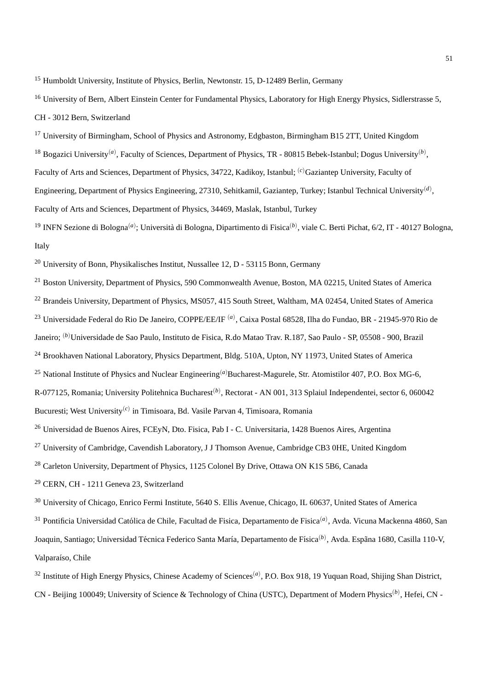<sup>15</sup> Humboldt University, Institute of Physics, Berlin, Newtonstr. 15, D-12489 Berlin, Germany

<sup>16</sup> University of Bern, Albert Einstein Center for Fundamental Physics, Laboratory for High Energy Physics, Sidlerstrasse 5, CH - 3012 Bern, Switzerland

<sup>17</sup> University of Birmingham, School of Physics and Astronomy, Edgbaston, Birmingham B15 2TT, United Kingdom <sup>18</sup> Bogazici University<sup>(a)</sup>, Faculty of Sciences, Department of Physics, TR - 80815 Bebek-Istanbul; Dogus University<sup>(b)</sup>, Faculty of Arts and Sciences, Department of Physics, 34722, Kadikoy, Istanbul; (*c*)Gaziantep University, Faculty of Engineering, Department of Physics Engineering, 27310, Sehitkamil, Gaziantep, Turkey; Istanbul Technical University(*d*) , Faculty of Arts and Sciences, Department of Physics, 34469, Maslak, Istanbul, Turkey <sup>19</sup> INFN Sezione di Bologna<sup>(a)</sup>; Università di Bologna, Dipartimento di Fisica<sup>(b)</sup>, viale C. Berti Pichat, 6/2, IT - 40127 Bologna, Italy

<sup>20</sup> University of Bonn, Physikalisches Institut, Nussallee 12, D - 53115 Bonn, Germany

<sup>21</sup> Boston University, Department of Physics, 590 Commonwealth Avenue, Boston, MA 02215, United States of America <sup>22</sup> Brandeis University, Department of Physics, MS057, 415 South Street, Waltham, MA 02454, United States of America

<sup>23</sup> Universidade Federal do Rio De Janeiro, COPPE/EE/IF (*a*) , Caixa Postal 68528, Ilha do Fundao, BR - 21945-970 Rio de

Janeiro; (*b*)Universidade de Sao Paulo, Instituto de Fisica, R.do Matao Trav. R.187, Sao Paulo - SP, 05508 - 900, Brazil

<sup>24</sup> Brookhaven National Laboratory, Physics Department, Bldg. 510A, Upton, NY 11973, United States of America

<sup>25</sup> National Institute of Physics and Nuclear Engineering<sup>(a)</sup>Bucharest-Magurele, Str. Atomistilor 407, P.O. Box MG-6,

R-077125, Romania; University Politehnica Bucharest<sup>(b)</sup>, Rectorat - AN 001, 313 Splaiul Independentei, sector 6, 060042

Bucuresti; West University(*c*) in Timisoara, Bd. Vasile Parvan 4, Timisoara, Romania

<sup>26</sup> Universidad de Buenos Aires, FCEyN, Dto. Fisica, Pab I - C. Universitaria, 1428 Buenos Aires, Argentina

<sup>27</sup> University of Cambridge, Cavendish Laboratory, J J Thomson Avenue, Cambridge CB3 0HE, United Kingdom

<sup>28</sup> Carleton University, Department of Physics, 1125 Colonel By Drive, Ottawa ON K1S 5B6, Canada

<sup>29</sup> CERN, CH - 1211 Geneva 23, Switzerland

<sup>30</sup> University of Chicago, Enrico Fermi Institute, 5640 S. Ellis Avenue, Chicago, IL 60637, United States of America

<sup>31</sup> Pontificia Universidad Católica de Chile, Facultad de Fisica, Departamento de Fisica<sup>(a)</sup>, Avda. Vicuna Mackenna 4860, San Joaquin, Santiago; Universidad Técnica Federico Santa María, Departamento de Física<sup>(b)</sup>, Avda. Espãna 1680, Casilla 110-V, Valparaíso, Chile

<sup>32</sup> Institute of High Energy Physics, Chinese Academy of Sciences<sup>(a)</sup>, P.O. Box 918, 19 Yuquan Road, Shijing Shan District, CN - Beijing 100049; University of Science & Technology of China (USTC), Department of Modern Physics<sup>(b)</sup>, Hefei, CN -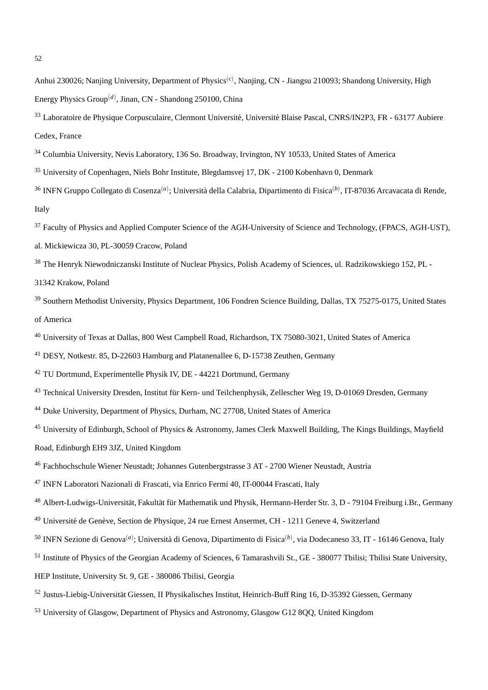- Anhui 230026; Nanjing University, Department of Physics<sup>(c)</sup>, Nanjing, CN Jiangsu 210093; Shandong University, High Energy Physics Group(*d*) , Jinan, CN - Shandong 250100, China
- <sup>33</sup> Laboratoire de Physique Corpusculaire, Clermont Université, Université Blaise Pascal, CNRS/IN2P3, FR 63177 Aubiere Cedex, France
- <sup>34</sup> Columbia University, Nevis Laboratory, 136 So. Broadway, Irvington, NY 10533, United States of America
- <sup>35</sup> University of Copenhagen, Niels Bohr Institute, Blegdamsvej 17, DK 2100 Kobenhavn 0, Denmark
- <sup>36</sup> INFN Gruppo Collegato di Cosenza<sup>(a)</sup>; Università della Calabria, Dipartimento di Fisica<sup>(b)</sup>, IT-87036 Arcavacata di Rende, Italy
- <sup>37</sup> Faculty of Physics and Applied Computer Science of the AGH-University of Science and Technology, (FPACS, AGH-UST),
- al. Mickiewicza 30, PL-30059 Cracow, Poland
- <sup>38</sup> The Henryk Niewodniczanski Institute of Nuclear Physics, Polish Academy of Sciences, ul. Radzikowskiego 152, PL -
- 31342 Krakow, Poland
- <sup>39</sup> Southern Methodist University, Physics Department, 106 Fondren Science Building, Dallas, TX 75275-0175, United States of America
- <sup>40</sup> University of Texas at Dallas, 800 West Campbell Road, Richardson, TX 75080-3021, United States of America
- <sup>41</sup> DESY, Notkestr. 85, D-22603 Hamburg and Platanenallee 6, D-15738 Zeuthen, Germany
- <sup>42</sup> TU Dortmund, Experimentelle Physik IV, DE 44221 Dortmund, Germany
- <sup>43</sup> Technical University Dresden, Institut für Kern- und Teilchenphysik, Zellescher Weg 19, D-01069 Dresden, Germany
- <sup>44</sup> Duke University, Department of Physics, Durham, NC 27708, United States of America
- <sup>45</sup> University of Edinburgh, School of Physics & Astronomy, James Clerk Maxwell Building, The Kings Buildings, Mayfield
- Road, Edinburgh EH9 3JZ, United Kingdom
- <sup>46</sup> Fachhochschule Wiener Neustadt; Johannes Gutenbergstrasse 3 AT 2700 Wiener Neustadt, Austria
- <sup>47</sup> INFN Laboratori Nazionali di Frascati, via Enrico Fermi 40, IT-00044 Frascati, Italy
- <sup>48</sup> Albert-Ludwigs-Universität, Fakultät für Mathematik und Physik, Hermann-Herder Str. 3, D 79104 Freiburg i.Br., Germany
- <sup>49</sup> Université de Genève, Section de Physique, 24 rue Ernest Ansermet, CH 1211 Geneve 4, Switzerland
- <sup>50</sup> INFN Sezione di Genova<sup>(a)</sup>; Università di Genova, Dipartimento di Fisica<sup>(b)</sup>, via Dodecaneso 33, IT 16146 Genova, Italy
- <sup>51</sup> Institute of Physics of the Georgian Academy of Sciences, 6 Tamarashvili St., GE 380077 Tbilisi; Tbilisi State University,
- HEP Institute, University St. 9, GE 380086 Tbilisi, Georgia
- <sup>52</sup> Justus-Liebig-Universität Giessen, II Physikalisches Institut, Heinrich-Buff Ring 16, D-35392 Giessen, Germany
- <sup>53</sup> University of Glasgow, Department of Physics and Astronomy, Glasgow G12 8QQ, United Kingdom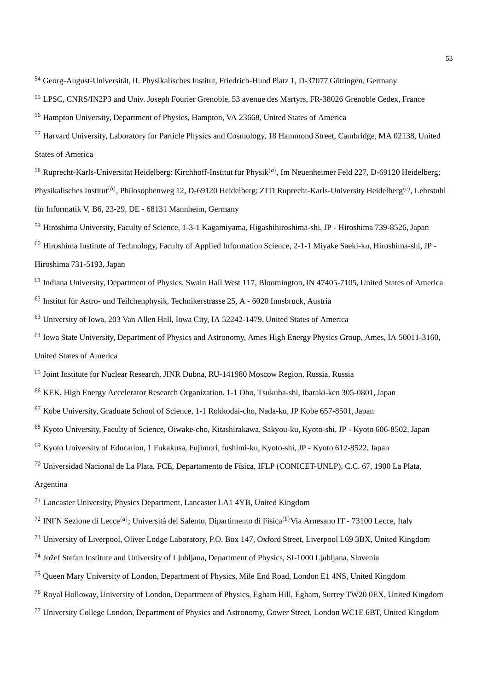- <sup>54</sup> Georg-August-Universität, II. Physikalisches Institut, Friedrich-Hund Platz 1, D-37077 Göttingen, Germany
- LPSC, CNRS/IN2P3 and Univ. Joseph Fourier Grenoble, 53 avenue des Martyrs, FR-38026 Grenoble Cedex, France
- Hampton University, Department of Physics, Hampton, VA 23668, United States of America
- Harvard University, Laboratory for Particle Physics and Cosmology, 18 Hammond Street, Cambridge, MA 02138, United States of America
- <sup>58</sup> Ruprecht-Karls-Universität Heidelberg: Kirchhoff-Institut für Physik<sup>(a)</sup>, Im Neuenheimer Feld 227, D-69120 Heidelberg; Physikalisches Institut(*b*) , Philosophenweg 12, D-69120 Heidelberg; ZITI Ruprecht-Karls-University Heidelberg(*c*) , Lehrstuhl für Informatik V, B6, 23-29, DE - 68131 Mannheim, Germany
- Hiroshima University, Faculty of Science, 1-3-1 Kagamiyama, Higashihiroshima-shi, JP Hiroshima 739-8526, Japan
- Hiroshima Institute of Technology, Faculty of Applied Information Science, 2-1-1 Miyake Saeki-ku, Hiroshima-shi, JP Hiroshima 731-5193, Japan
- <sup>61</sup> Indiana University, Department of Physics, Swain Hall West 117, Bloomington, IN 47405-7105, United States of America Institut für Astro- und Teilchenphysik, Technikerstrasse 25, A - 6020 Innsbruck, Austria
- University of Iowa, 203 Van Allen Hall, Iowa City, IA 52242-1479, United States of America
- Iowa State University, Department of Physics and Astronomy, Ames High Energy Physics Group, Ames, IA 50011-3160, United States of America
- Joint Institute for Nuclear Research, JINR Dubna, RU-141980 Moscow Region, Russia, Russia
- KEK, High Energy Accelerator Research Organization, 1-1 Oho, Tsukuba-shi, Ibaraki-ken 305-0801, Japan
- Kobe University, Graduate School of Science, 1-1 Rokkodai-cho, Nada-ku, JP Kobe 657-8501, Japan
- Kyoto University, Faculty of Science, Oiwake-cho, Kitashirakawa, Sakyou-ku, Kyoto-shi, JP Kyoto 606-8502, Japan
- Kyoto University of Education, 1 Fukakusa, Fujimori, fushimi-ku, Kyoto-shi, JP Kyoto 612-8522, Japan
- <sup>70</sup> Universidad Nacional de La Plata, FCE, Departamento de Física, IFLP (CONICET-UNLP), C.C. 67, 1900 La Plata,
- Argentina
- Lancaster University, Physics Department, Lancaster LA1 4YB, United Kingdom
- <sup>72</sup> INFN Sezione di Lecce<sup>(a)</sup>; Università del Salento, Dipartimento di Fisica<sup>(b)</sup>Via Arnesano IT 73100 Lecce, Italy
- University of Liverpool, Oliver Lodge Laboratory, P.O. Box 147, Oxford Street, Liverpool L69 3BX, United Kingdom
- <sup>74</sup> Jožef Stefan Institute and University of Ljubljana, Department of Physics, SI-1000 Ljubljana, Slovenia
- Queen Mary University of London, Department of Physics, Mile End Road, London E1 4NS, United Kingdom
- Royal Holloway, University of London, Department of Physics, Egham Hill, Egham, Surrey TW20 0EX, United Kingdom
- University College London, Department of Physics and Astronomy, Gower Street, London WC1E 6BT, United Kingdom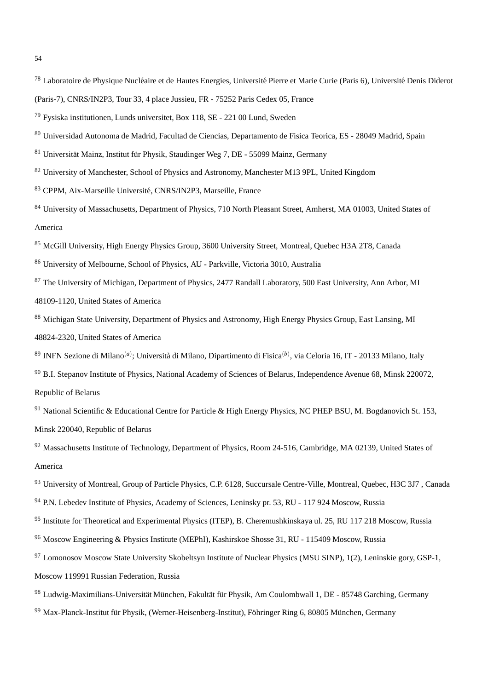- <sup>78</sup> Laboratoire de Physique Nucléaire et de Hautes Energies, Université Pierre et Marie Curie (Paris 6), Université Denis Diderot
- (Paris-7), CNRS/IN2P3, Tour 33, 4 place Jussieu, FR 75252 Paris Cedex 05, France
- <sup>79</sup> Fysiska institutionen, Lunds universitet, Box 118, SE 221 00 Lund, Sweden
- <sup>80</sup> Universidad Autonoma de Madrid, Facultad de Ciencias, Departamento de Fisica Teorica, ES 28049 Madrid, Spain
- <sup>81</sup> Universität Mainz, Institut für Physik, Staudinger Weg 7, DE 55099 Mainz, Germany
- <sup>82</sup> University of Manchester, School of Physics and Astronomy, Manchester M13 9PL, United Kingdom
- 83 CPPM, Aix-Marseille Université, CNRS/IN2P3, Marseille, France
- 84 University of Massachusetts, Department of Physics, 710 North Pleasant Street, Amherst, MA 01003, United States of America
- <sup>85</sup> McGill University, High Energy Physics Group, 3600 University Street, Montreal, Quebec H3A 2T8, Canada
- <sup>86</sup> University of Melbourne, School of Physics, AU Parkville, Victoria 3010, Australia
- <sup>87</sup> The University of Michigan, Department of Physics, 2477 Randall Laboratory, 500 East University, Ann Arbor, MI 48109-1120, United States of America
- 88 Michigan State University, Department of Physics and Astronomy, High Energy Physics Group, East Lansing, MI 48824-2320, United States of America
- <sup>89</sup> INFN Sezione di Milano<sup>(a)</sup>; Università di Milano, Dipartimento di Fisica<sup>(b)</sup>, via Celoria 16, IT 20133 Milano, Italy
- <sup>90</sup> B.I. Stepanov Institute of Physics, National Academy of Sciences of Belarus, Independence Avenue 68, Minsk 220072, Republic of Belarus
- <sup>91</sup> National Scientific & Educational Centre for Particle & High Energy Physics, NC PHEP BSU, M. Bogdanovich St. 153, Minsk 220040, Republic of Belarus
- <sup>92</sup> Massachusetts Institute of Technology, Department of Physics, Room 24-516, Cambridge, MA 02139, United States of America
- <sup>93</sup> University of Montreal, Group of Particle Physics, C.P. 6128, Succursale Centre-Ville, Montreal, Quebec, H3C 3J7, Canada <sup>94</sup> P.N. Lebedev Institute of Physics, Academy of Sciences, Leninsky pr. 53, RU - 117 924 Moscow, Russia
- <sup>95</sup> Institute for Theoretical and Experimental Physics (ITEP), B. Cheremushkinskaya ul. 25, RU 117 218 Moscow, Russia
- <sup>96</sup> Moscow Engineering & Physics Institute (MEPhI), Kashirskoe Shosse 31, RU 115409 Moscow, Russia
- <sup>97</sup> Lomonosov Moscow State University Skobeltsyn Institute of Nuclear Physics (MSU SINP), 1(2), Leninskie gory, GSP-1,
- Moscow 119991 Russian Federation, Russia
- 98 Ludwig-Maximilians-Universität München, Fakultät für Physik, Am Coulombwall 1, DE 85748 Garching, Germany
- 99 Max-Planck-Institut für Physik, (Werner-Heisenberg-Institut), Föhringer Ring 6, 80805 München, Germany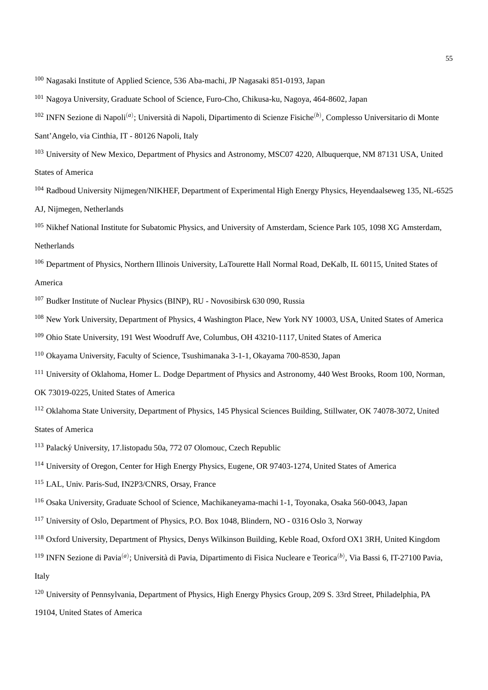- <sup>100</sup> Nagasaki Institute of Applied Science, 536 Aba-machi, JP Nagasaki 851-0193, Japan
- <sup>101</sup> Nagoya University, Graduate School of Science, Furo-Cho, Chikusa-ku, Nagoya, 464-8602, Japan
- <sup>102</sup> INFN Sezione di Napoli<sup>(a)</sup>; Università di Napoli, Dipartimento di Scienze Fisiche<sup>(b)</sup>, Complesso Universitario di Monte

Sant'Angelo, via Cinthia, IT - 80126 Napoli, Italy

- <sup>103</sup> University of New Mexico, Department of Physics and Astronomy, MSC07 4220, Albuquerque, NM 87131 USA, United States of America
- <sup>104</sup> Radboud University Nijmegen/NIKHEF, Department of Experimental High Energy Physics, Heyendaalseweg 135, NL-6525 AJ, Nijmegen, Netherlands
- <sup>105</sup> Nikhef National Institute for Subatomic Physics, and University of Amsterdam, Science Park 105, 1098 XG Amsterdam, Netherlands
- <sup>106</sup> Department of Physics, Northern Illinois University, LaTourette Hall Normal Road, DeKalb, IL 60115, United States of America
- <sup>107</sup> Budker Institute of Nuclear Physics (BINP), RU Novosibirsk 630 090, Russia
- <sup>108</sup> New York University, Department of Physics, 4 Washington Place, New York NY 10003, USA, United States of America
- <sup>109</sup> Ohio State University, 191 West Woodruff Ave, Columbus, OH 43210-1117, United States of America
- <sup>110</sup> Okayama University, Faculty of Science, Tsushimanaka 3-1-1, Okayama 700-8530, Japan
- <sup>111</sup> University of Oklahoma, Homer L. Dodge Department of Physics and Astronomy, 440 West Brooks, Room 100, Norman,
- OK 73019-0225, United States of America
- <sup>112</sup> Oklahoma State University, Department of Physics, 145 Physical Sciences Building, Stillwater, OK 74078-3072, United States of America
- <sup>113</sup> Palacký University, 17. listopadu 50a, 772 07 Olomouc, Czech Republic
- <sup>114</sup> University of Oregon, Center for High Energy Physics, Eugene, OR 97403-1274, United States of America
- <sup>115</sup> LAL, Univ. Paris-Sud, IN2P3/CNRS, Orsay, France
- <sup>116</sup> Osaka University, Graduate School of Science, Machikaneyama-machi 1-1, Toyonaka, Osaka 560-0043, Japan
- <sup>117</sup> University of Oslo, Department of Physics, P.O. Box 1048, Blindern, NO 0316 Oslo 3, Norway
- <sup>118</sup> Oxford University, Department of Physics, Denys Wilkinson Building, Keble Road, Oxford OX1 3RH, United Kingdom
- <sup>119</sup> INFN Sezione di Pavia<sup>(a)</sup>; Università di Pavia, Dipartimento di Fisica Nucleare e Teorica<sup>(b)</sup>, Via Bassi 6, IT-27100 Pavia, Italy
- <sup>120</sup> University of Pennsylvania, Department of Physics, High Energy Physics Group, 209 S. 33rd Street, Philadelphia, PA
- 19104, United States of America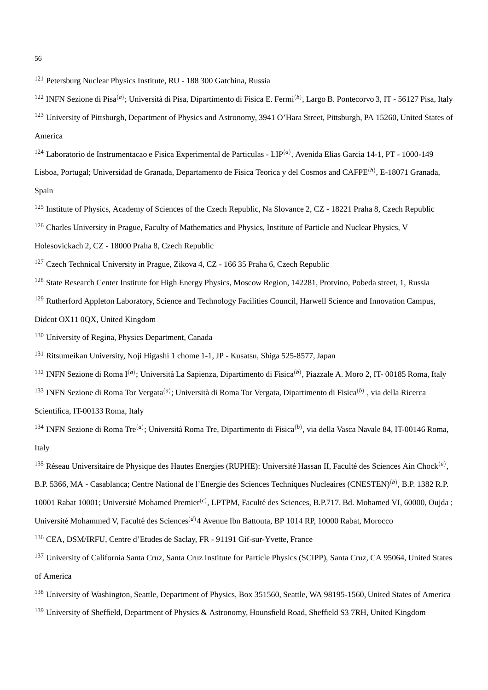<sup>121</sup> Petersburg Nuclear Physics Institute, RU - 188 300 Gatchina, Russia

- <sup>122</sup> INFN Sezione di Pisa<sup>(a)</sup>; Università di Pisa, Dipartimento di Fisica E. Fermi<sup>(b)</sup>, Largo B. Pontecorvo 3, IT 56127 Pisa, Italy <sup>123</sup> University of Pittsburgh, Department of Physics and Astronomy, 3941 O'Hara Street, Pittsburgh, PA 15260, United States of America
- <sup>124</sup> Laboratorio de Instrumentacao e Fisica Experimental de Particulas LIP(*a*) , Avenida Elias Garcia 14-1, PT 1000-149 Lisboa, Portugal; Universidad de Granada, Departamento de Fisica Teorica y del Cosmos and CAFPE(*b*) , E-18071 Granada, Spain
- <sup>125</sup> Institute of Physics, Academy of Sciences of the Czech Republic, Na Slovance 2, CZ 18221 Praha 8, Czech Republic
- <sup>126</sup> Charles University in Prague, Faculty of Mathematics and Physics, Institute of Particle and Nuclear Physics, V

Holesovickach 2, CZ - 18000 Praha 8, Czech Republic

<sup>127</sup> Czech Technical University in Prague, Zikova 4, CZ - 166 35 Praha 6, Czech Republic

<sup>128</sup> State Research Center Institute for High Energy Physics, Moscow Region, 142281, Protvino, Pobeda street, 1, Russia

<sup>129</sup> Rutherford Appleton Laboratory, Science and Technology Facilities Council, Harwell Science and Innovation Campus,

Didcot OX11 0QX, United Kingdom

<sup>130</sup> University of Regina, Physics Department, Canada

<sup>131</sup> Ritsumeikan University, Noji Higashi 1 chome 1-1, JP - Kusatsu, Shiga 525-8577, Japan

<sup>132</sup> INFN Sezione di Roma I<sup>(a)</sup>; Università La Sapienza, Dipartimento di Fisica<sup>(b)</sup>, Piazzale A. Moro 2, IT- 00185 Roma, Italy

<sup>133</sup> INFN Sezione di Roma Tor Vergata<sup>(a)</sup>; Università di Roma Tor Vergata, Dipartimento di Fisica<sup>(b)</sup>, via della Ricerca Scientifica, IT-00133 Roma, Italy

<sup>134</sup> INFN Sezione di Roma Tre<sup>(a)</sup>; Università Roma Tre, Dipartimento di Fisica<sup>(b)</sup>, via della Vasca Navale 84, IT-00146 Roma, Italy

<sup>135</sup> Réseau Universitaire de Physique des Hautes Energies (RUPHE): Université Hassan II, Faculté des Sciences Ain Chock<sup>(a)</sup>,

B.P. 5366, MA - Casablanca; Centre National de l'Energie des Sciences Techniques Nucleaires (CNESTEN)(*b*) , B.P. 1382 R.P.

10001 Rabat 10001; Université Mohamed Premier<sup>(*c*)</sup>, LPTPM, Faculté des Sciences, B.P.717. Bd. Mohamed VI, 60000, Oujda ;

Université Mohammed V, Faculté des Sciences<sup>(d)</sup>4 Avenue Ibn Battouta, BP 1014 RP, 10000 Rabat, Morocco

<sup>136</sup> CEA, DSM/IRFU, Centre d'Etudes de Saclay, FR - 91191 Gif-sur-Yvette, France

- <sup>137</sup> University of California Santa Cruz, Santa Cruz Institute for Particle Physics (SCIPP), Santa Cruz, CA 95064, United States of America
- <sup>138</sup> University of Washington, Seattle, Department of Physics, Box 351560, Seattle, WA 98195-1560, United States of America
- <sup>139</sup> University of Sheffield, Department of Physics & Astronomy, Hounsfield Road, Sheffield S3 7RH, United Kingdom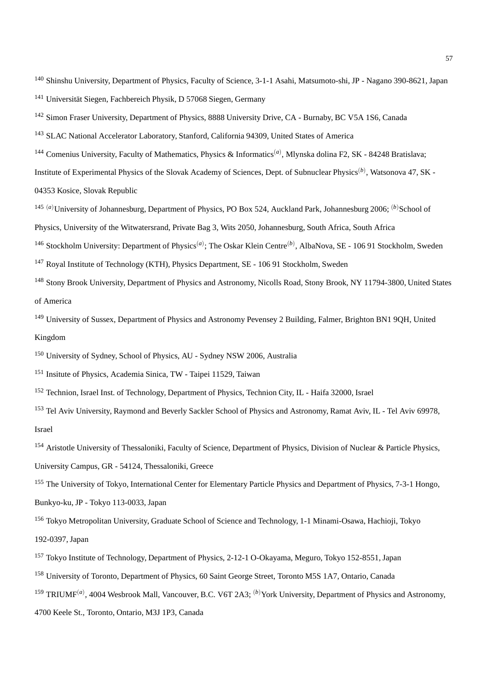<sup>140</sup> Shinshu University, Department of Physics, Faculty of Science, 3-1-1 Asahi, Matsumoto-shi, JP - Nagano 390-8621, Japan <sup>141</sup> Universität Siegen, Fachbereich Physik, D 57068 Siegen, Germany

<sup>142</sup> Simon Fraser University, Department of Physics, 8888 University Drive, CA - Burnaby, BC V5A 1S6, Canada

<sup>143</sup> SLAC National Accelerator Laboratory, Stanford, California 94309, United States of America

- <sup>144</sup> Comenius University, Faculty of Mathematics, Physics & Informatics<sup>(a)</sup>, Mlynska dolina F2, SK 84248 Bratislava; Institute of Experimental Physics of the Slovak Academy of Sciences, Dept. of Subnuclear Physics(*b*) , Watsonova 47, SK - 04353 Kosice, Slovak Republic
- <sup>145 (*a*)</sup>University of Johannesburg, Department of Physics, PO Box 524, Auckland Park, Johannesburg 2006; <sup>(*b*)</sup>School of Physics, University of the Witwatersrand, Private Bag 3, Wits 2050, Johannesburg, South Africa, South Africa

<sup>146</sup> Stockholm University: Department of Physics<sup>(a)</sup>; The Oskar Klein Centre<sup>(b)</sup>, AlbaNova, SE - 106 91 Stockholm, Sweden

<sup>147</sup> Royal Institute of Technology (KTH), Physics Department, SE - 106 91 Stockholm, Sweden

- <sup>148</sup> Stony Brook University, Department of Physics and Astronomy, Nicolls Road, Stony Brook, NY 11794-3800, United States of America
- <sup>149</sup> University of Sussex, Department of Physics and Astronomy Pevensey 2 Building, Falmer, Brighton BN1 9QH, United Kingdom

<sup>150</sup> University of Sydney, School of Physics, AU - Sydney NSW 2006, Australia

- <sup>151</sup> Insitute of Physics, Academia Sinica, TW Taipei 11529, Taiwan
- <sup>152</sup> Technion, Israel Inst. of Technology, Department of Physics, Technion City, IL Haifa 32000, Israel
- <sup>153</sup> Tel Aviv University, Raymond and Beverly Sackler School of Physics and Astronomy, Ramat Aviv, IL Tel Aviv 69978, Israel
- <sup>154</sup> Aristotle University of Thessaloniki, Faculty of Science, Department of Physics, Division of Nuclear & Particle Physics, University Campus, GR - 54124, Thessaloniki, Greece

<sup>155</sup> The University of Tokyo, International Center for Elementary Particle Physics and Department of Physics, 7-3-1 Hongo,

Bunkyo-ku, JP - Tokyo 113-0033, Japan

<sup>156</sup> Tokyo Metropolitan University, Graduate School of Science and Technology, 1-1 Minami-Osawa, Hachioji, Tokyo 192-0397, Japan

- <sup>157</sup> Tokyo Institute of Technology, Department of Physics, 2-12-1 O-Okayama, Meguro, Tokyo 152-8551, Japan
- <sup>158</sup> University of Toronto, Department of Physics, 60 Saint George Street, Toronto M5S 1A7, Ontario, Canada
- <sup>159</sup> TRIUMF<sup>(a)</sup>, 4004 Wesbrook Mall, Vancouver, B.C. V6T 2A3; <sup>(b)</sup>York University, Department of Physics and Astronomy,
- 4700 Keele St., Toronto, Ontario, M3J 1P3, Canada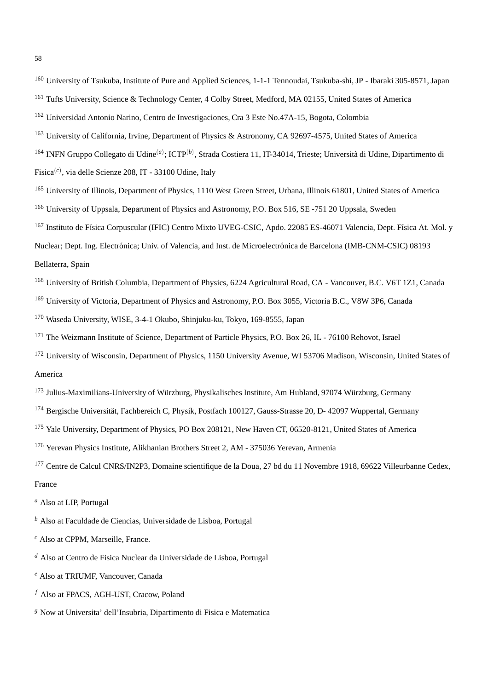<sup>160</sup> University of Tsukuba, Institute of Pure and Applied Sciences, 1-1-1 Tennoudai, Tsukuba-shi, JP - Ibaraki 305-8571, Japan <sup>161</sup> Tufts University, Science & Technology Center, 4 Colby Street, Medford, MA 02155, United States of America

- <sup>162</sup> Universidad Antonio Narino, Centro de Investigaciones, Cra 3 Este No.47A-15, Bogota, Colombia
- <sup>163</sup> University of California, Irvine, Department of Physics & Astronomy, CA 92697-4575, United States of America
- <sup>164</sup> INFN Gruppo Collegato di Udine<sup>(a)</sup>; ICTP<sup>(b)</sup>, Strada Costiera 11, IT-34014, Trieste; Università di Udine, Dipartimento di Fisica(*c*) , via delle Scienze 208, IT - 33100 Udine, Italy
- <sup>165</sup> University of Illinois, Department of Physics, 1110 West Green Street, Urbana, Illinois 61801, United States of America <sup>166</sup> University of Uppsala, Department of Physics and Astronomy, P.O. Box 516, SE -751 20 Uppsala, Sweden
- <sup>167</sup> Instituto de Física Corpuscular (IFIC) Centro Mixto UVEG-CSIC, Apdo. 22085 ES-46071 Valencia, Dept. Física At. Mol. y Nuclear; Dept. Ing. Electrónica; Univ. of Valencia, and Inst. de Microelectrónica de Barcelona (IMB-CNM-CSIC) 08193 Bellaterra, Spain
- <sup>168</sup> University of British Columbia, Department of Physics, 6224 Agricultural Road, CA Vancouver, B.C. V6T 1Z1, Canada
- <sup>169</sup> University of Victoria, Department of Physics and Astronomy, P.O. Box 3055, Victoria B.C., V8W 3P6, Canada
- <sup>170</sup> Waseda University, WISE, 3-4-1 Okubo, Shinjuku-ku, Tokyo, 169-8555, Japan
- <sup>171</sup> The Weizmann Institute of Science, Department of Particle Physics, P.O. Box 26, IL 76100 Rehovot, Israel
- <sup>172</sup> University of Wisconsin, Department of Physics, 1150 University Avenue, WI 53706 Madison, Wisconsin, United States of America
- <sup>173</sup> Julius-Maximilians-University of Würzburg, Physikalisches Institute, Am Hubland, 97074 Würzburg, Germany
- <sup>174</sup> Bergische Universität, Fachbereich C, Physik, Postfach 100127, Gauss-Strasse 20, D- 42097 Wuppertal, Germany
- <sup>175</sup> Yale University, Department of Physics, PO Box 208121, New Haven CT, 06520-8121, United States of America
- <sup>176</sup> Yerevan Physics Institute, Alikhanian Brothers Street 2, AM 375036 Yerevan, Armenia
- <sup>177</sup> Centre de Calcul CNRS/IN2P3, Domaine scientifique de la Doua, 27 bd du 11 Novembre 1918, 69622 Villeurbanne Cedex, France
- *<sup>a</sup>* Also at LIP, Portugal
- *<sup>b</sup>* Also at Faculdade de Ciencias, Universidade de Lisboa, Portugal
- *<sup>c</sup>* Also at CPPM, Marseille, France.
- *<sup>d</sup>* Also at Centro de Fisica Nuclear da Universidade de Lisboa, Portugal
- *<sup>e</sup>* Also at TRIUMF, Vancouver, Canada
- *<sup>f</sup>* Also at FPACS, AGH-UST, Cracow, Poland
- *<sup>g</sup>* Now at Universita' dell'Insubria, Dipartimento di Fisica e Matematica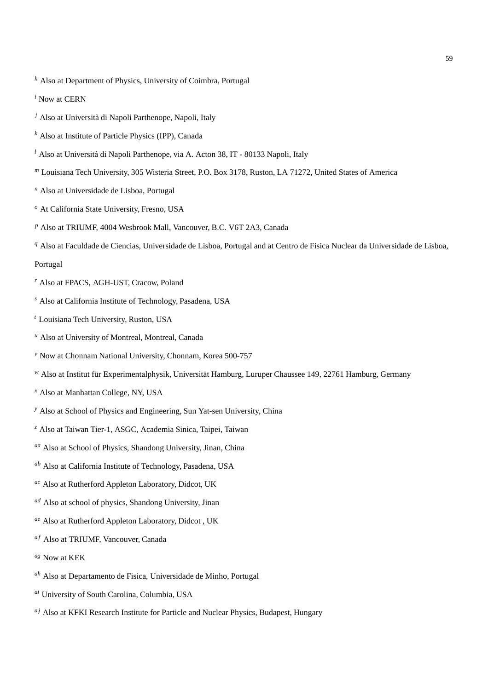- *<sup>h</sup>* Also at Department of Physics, University of Coimbra, Portugal
- *<sup>i</sup>* Now at CERN
- <sup>*j*</sup> Also at Università di Napoli Parthenope, Napoli, Italy
- *<sup>k</sup>* Also at Institute of Particle Physics (IPP), Canada
- <sup>l</sup> Also at Università di Napoli Parthenope, via A. Acton 38, IT 80133 Napoli, Italy
- *<sup>m</sup>* Louisiana Tech University, 305 Wisteria Street, P.O. Box 3178, Ruston, LA 71272, United States of America
- *<sup>n</sup>* Also at Universidade de Lisboa, Portugal
- *<sup>o</sup>* At California State University, Fresno, USA
- *<sup>p</sup>* Also at TRIUMF, 4004 Wesbrook Mall, Vancouver, B.C. V6T 2A3, Canada
- *<sup>q</sup>* Also at Faculdade de Ciencias, Universidade de Lisboa, Portugal and at Centro de Fisica Nuclear da Universidade de Lisboa,

## Portugal

- *<sup>r</sup>* Also at FPACS, AGH-UST, Cracow, Poland
- *<sup>s</sup>* Also at California Institute of Technology, Pasadena, USA
- *<sup>t</sup>* Louisiana Tech University, Ruston, USA
- *<sup>u</sup>* Also at University of Montreal, Montreal, Canada
- *<sup>v</sup>* Now at Chonnam National University, Chonnam, Korea 500-757
- *w* Also at Institut für Experimentalphysik, Universität Hamburg, Luruper Chaussee 149, 22761 Hamburg, Germany
- *<sup>x</sup>* Also at Manhattan College, NY, USA
- *<sup>y</sup>* Also at School of Physics and Engineering, Sun Yat-sen University, China
- *<sup>z</sup>* Also at Taiwan Tier-1, ASGC, Academia Sinica, Taipei, Taiwan
- *aa* Also at School of Physics, Shandong University, Jinan, China
- *ab* Also at California Institute of Technology, Pasadena, USA
- *ac* Also at Rutherford Appleton Laboratory, Didcot, UK
- *ad* Also at school of physics, Shandong University, Jinan
- *ae* Also at Rutherford Appleton Laboratory, Didcot , UK
- af Also at TRIUMF, Vancouver, Canada
- *ag* Now at KEK
- *ah* Also at Departamento de Fisica, Universidade de Minho, Portugal
- *ai* University of South Carolina, Columbia, USA
- <sup>aj</sup> Also at KFKI Research Institute for Particle and Nuclear Physics, Budapest, Hungary